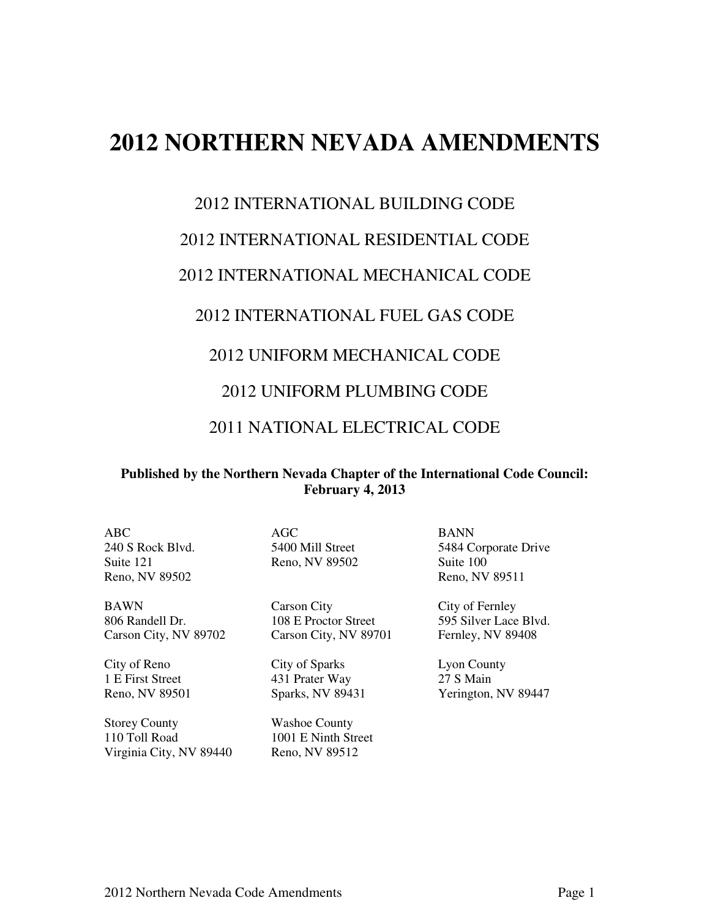# **2012 NORTHERN NEVADA AMENDMENTS**

#### 2012 INTERNATIONAL BUILDING CODE

#### 2012 INTERNATIONAL RESIDENTIAL CODE

#### 2012 INTERNATIONAL MECHANICAL CODE

#### 2012 INTERNATIONAL FUEL GAS CODE

#### 2012 UNIFORM MECHANICAL CODE

#### 2012 UNIFORM PLUMBING CODE

### 2011 NATIONAL ELECTRICAL CODE

#### **Published by the Northern Nevada Chapter of the International Code Council: February 4, 2013**

ABC AGC BANN Suite 121 Reno, NV 89502 Suite 100 Reno, NV 89502 Reno, NV 89511

Storey County Washoe County 110 Toll Road 1001 E Ninth Street Virginia City, NV 89440 Reno, NV 89512

BAWN Carson City City of Fernley 806 Randell Dr. 108 E Proctor Street 595 Silver Lace Blvd.<br>Carson City, NV 89702 Carson City, NV 89701 Fernley, NV 89408 Carson City, NV 89702 Carson City, NV 89701

City of Reno City of Sparks Lyon County 1 E First Street 431 Prater Way 27 S Main

240 S Rock Blvd. 5400 Mill Street 5484 Corporate Drive

Reno, NV 89501 Sparks, NV 89431 Yerington, NV 89447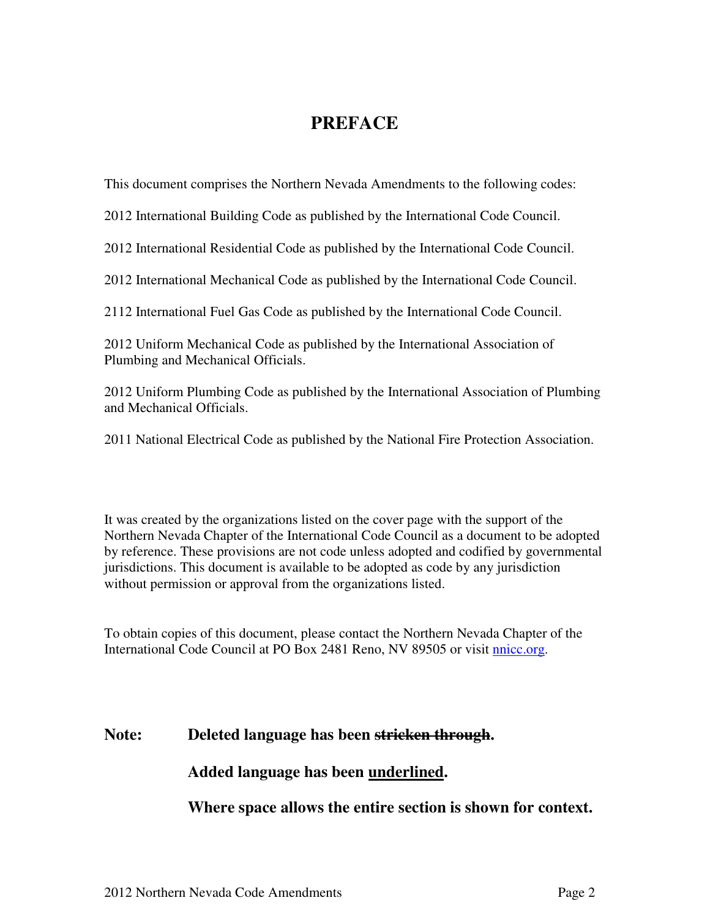## **PREFACE**

This document comprises the Northern Nevada Amendments to the following codes:

2012 International Building Code as published by the International Code Council.

2012 International Residential Code as published by the International Code Council.

2012 International Mechanical Code as published by the International Code Council.

2112 International Fuel Gas Code as published by the International Code Council.

2012 Uniform Mechanical Code as published by the International Association of Plumbing and Mechanical Officials.

2012 Uniform Plumbing Code as published by the International Association of Plumbing and Mechanical Officials.

2011 National Electrical Code as published by the National Fire Protection Association.

It was created by the organizations listed on the cover page with the support of the Northern Nevada Chapter of the International Code Council as a document to be adopted by reference. These provisions are not code unless adopted and codified by governmental jurisdictions. This document is available to be adopted as code by any jurisdiction without permission or approval from the organizations listed.

To obtain copies of this document, please contact the Northern Nevada Chapter of the International Code Council at PO Box 2481 Reno, NV 89505 or visit nnicc.org.

### **Note: Deleted language has been stricken through.**

### **Added language has been underlined.**

**Where space allows the entire section is shown for context.**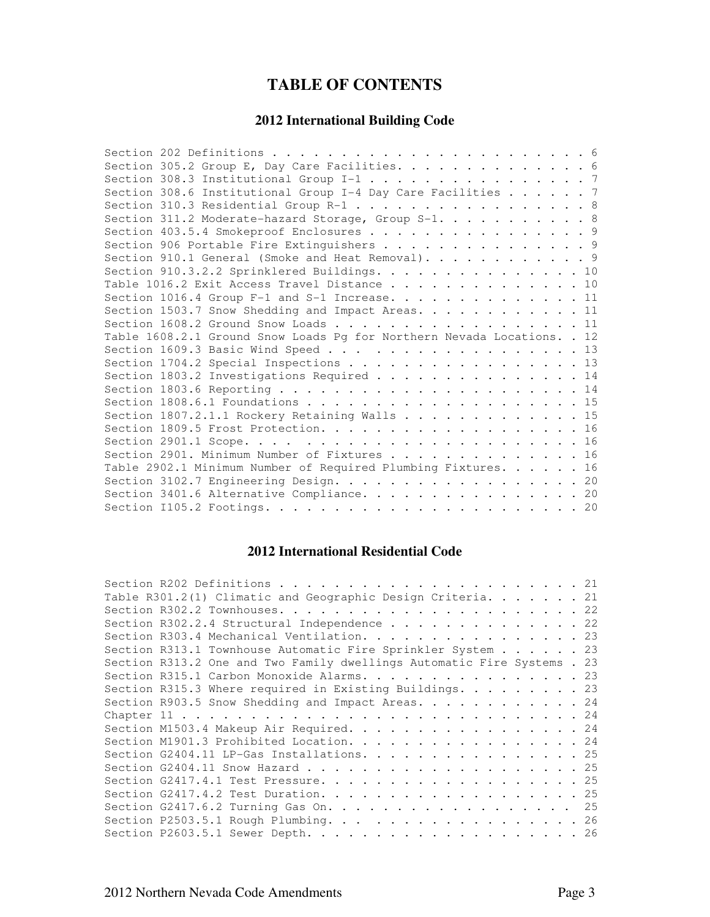## **TABLE OF CONTENTS**

#### **2012 International Building Code**

| Section 305.2 Group E, Day Care Facilities. 6                           |  |
|-------------------------------------------------------------------------|--|
| Section 308.3 Institutional Group I-1 7                                 |  |
| Section 308.6 Institutional Group I-4 Day Care Facilities 7             |  |
| Section 310.3 Residential Group R-1 8                                   |  |
| Section 311.2 Moderate-hazard Storage, Group S-1. 8                     |  |
| Section 403.5.4 Smokeproof Enclosures 9                                 |  |
| Section 906 Portable Fire Extinguishers 9                               |  |
| Section 910.1 General (Smoke and Heat Removal). 9                       |  |
| Section 910.3.2.2 Sprinklered Buildings. 10                             |  |
| Table 1016.2 Exit Access Travel Distance 10                             |  |
| Section 1016.4 Group F-1 and S-1 Increase. 11                           |  |
| Section 1503.7 Snow Shedding and Impact Areas. 11                       |  |
| Section 1608.2 Ground Snow Loads 11                                     |  |
| Table 1608.2.1 Ground Snow Loads Pg for Northern Nevada Locations. . 12 |  |
|                                                                         |  |
| Section 1704.2 Special Inspections 13                                   |  |
| Section 1803.2 Investigations Required 14                               |  |
|                                                                         |  |
|                                                                         |  |
| Section 1807.2.1.1 Rockery Retaining Walls 15                           |  |
|                                                                         |  |
|                                                                         |  |
| Section 2901. Minimum Number of Fixtures 16                             |  |
| Table 2902.1 Minimum Number of Required Plumbing Fixtures. 16           |  |
| Section 3102.7 Engineering Design. 20                                   |  |
| Section 3401.6 Alternative Compliance. 20                               |  |
|                                                                         |  |

## **2012 International Residential Code**

| Table R301.2(1) Climatic and Geographic Design Criteria. 21             |  |  |  |
|-------------------------------------------------------------------------|--|--|--|
|                                                                         |  |  |  |
| Section R302.2.4 Structural Independence 22                             |  |  |  |
| Section R303.4 Mechanical Ventilation. 23                               |  |  |  |
| Section R313.1 Townhouse Automatic Fire Sprinkler System 23             |  |  |  |
| Section R313.2 One and Two Family dwellings Automatic Fire Systems . 23 |  |  |  |
| Section R315.1 Carbon Monoxide Alarms. 23                               |  |  |  |
| Section R315.3 Where required in Existing Buildings. 23                 |  |  |  |
| Section R903.5 Snow Shedding and Impact Areas. 24                       |  |  |  |
|                                                                         |  |  |  |
| Section M1503.4 Makeup Air Required. 24                                 |  |  |  |
| Section M1901.3 Prohibited Location. 24                                 |  |  |  |
| Section G2404.11 LP-Gas Installations. 25                               |  |  |  |
|                                                                         |  |  |  |
|                                                                         |  |  |  |
|                                                                         |  |  |  |
| Section G2417.6.2 Turning Gas On. 25                                    |  |  |  |
| Section P2503.5.1 Rough Plumbing. 26                                    |  |  |  |
|                                                                         |  |  |  |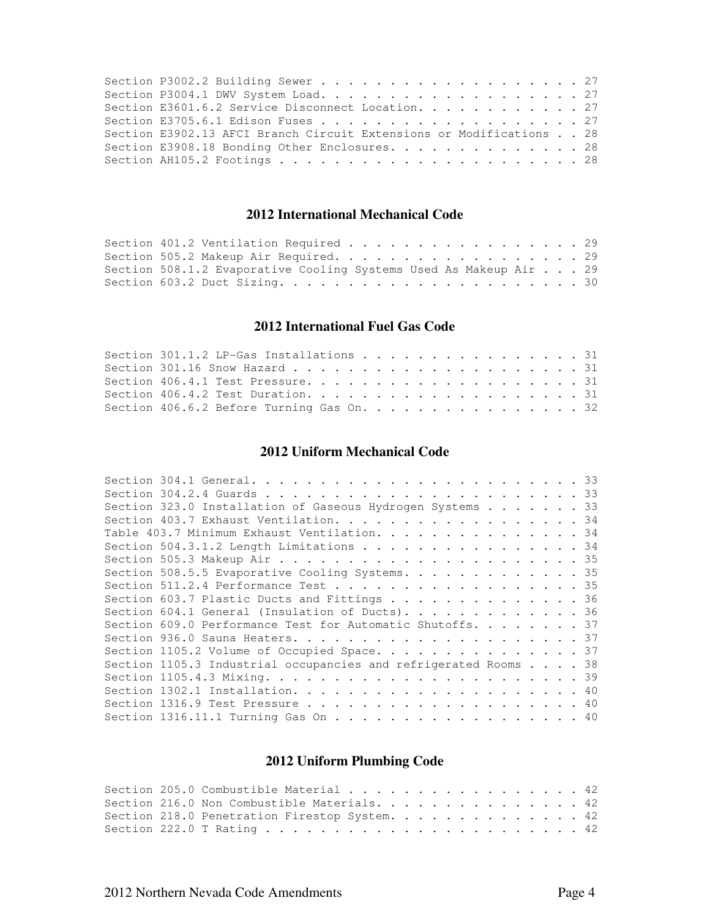| Section E3601.6.2 Service Disconnect Location. 27                   |  |  |
|---------------------------------------------------------------------|--|--|
|                                                                     |  |  |
| Section E3902.13 AFCI Branch Circuit Extensions or Modifications 28 |  |  |
| Section E3908.18 Bonding Other Enclosures. 28                       |  |  |
|                                                                     |  |  |

#### **2012 International Mechanical Code**

| Section 401.2 Ventilation Required 29                             |  |
|-------------------------------------------------------------------|--|
| Section 505.2 Makeup Air Required. 29                             |  |
| Section 508.1.2 Evaporative Cooling Systems Used As Makeup Air 29 |  |
|                                                                   |  |

#### **2012 International Fuel Gas Code**

| Section 301.1.2 LP-Gas Installations 31   |  |  |  |  |
|-------------------------------------------|--|--|--|--|
|                                           |  |  |  |  |
|                                           |  |  |  |  |
|                                           |  |  |  |  |
| Section 406.6.2 Before Turning Gas On. 32 |  |  |  |  |

#### **2012 Uniform Mechanical Code**

| Section 323.0 Installation of Gaseous Hydrogen Systems 33       |  |
|-----------------------------------------------------------------|--|
| Section 403.7 Exhaust Ventilation. 34                           |  |
| Table 403.7 Minimum Exhaust Ventilation. 34                     |  |
| Section 504.3.1.2 Length Limitations 34                         |  |
|                                                                 |  |
| Section 508.5.5 Evaporative Cooling Systems. 35                 |  |
| Section 511.2.4 Performance Test 35                             |  |
| Section 603.7 Plastic Ducts and Fittings 36                     |  |
| Section 604.1 General (Insulation of Ducts). 36                 |  |
| Section 609.0 Performance Test for Automatic Shutoffs. 37       |  |
|                                                                 |  |
| Section 1105.2 Volume of Occupied Space. 37                     |  |
| Section 1105.3 Industrial occupancies and refrigerated Rooms 38 |  |
|                                                                 |  |
|                                                                 |  |
|                                                                 |  |
|                                                                 |  |

## **2012 Uniform Plumbing Code**

|  | Section 205.0 Combustible Material 42         |  |
|--|-----------------------------------------------|--|
|  | Section 216.0 Non Combustible Materials. 42   |  |
|  | Section 218.0 Penetration Firestop System. 42 |  |
|  |                                               |  |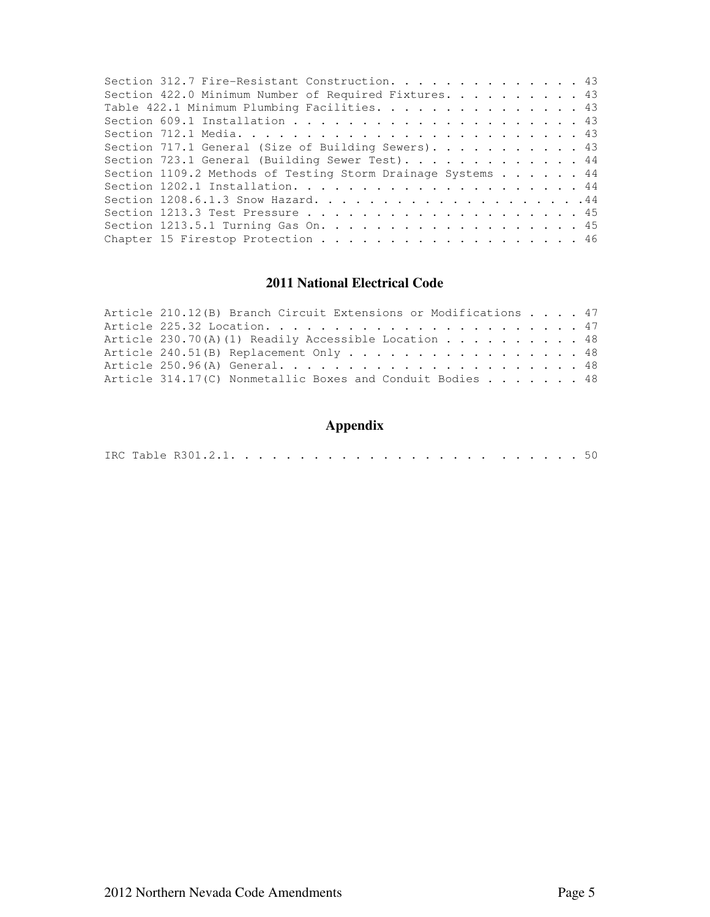| Section 312.7 Fire-Resistant Construction. 43               |  |
|-------------------------------------------------------------|--|
| Section 422.0 Minimum Number of Required Fixtures. 43       |  |
| Table 422.1 Minimum Plumbing Facilities. 43                 |  |
|                                                             |  |
|                                                             |  |
| Section 717.1 General (Size of Building Sewers). 43         |  |
| Section 723.1 General (Building Sewer Test). 44             |  |
| Section 1109.2 Methods of Testing Storm Drainage Systems 44 |  |
|                                                             |  |
|                                                             |  |
|                                                             |  |
|                                                             |  |
| Chapter 15 Firestop Protection 46                           |  |

### **2011 National Electrical Code**

| Article 210.12(B) Branch Circuit Extensions or Modifications 47    |  |  |  |  |  |  |  |  |  |  |
|--------------------------------------------------------------------|--|--|--|--|--|--|--|--|--|--|
|                                                                    |  |  |  |  |  |  |  |  |  |  |
| Article 230.70(A)(1) Readily Accessible Location 48                |  |  |  |  |  |  |  |  |  |  |
| Article 240.51(B) Replacement Only 48                              |  |  |  |  |  |  |  |  |  |  |
|                                                                    |  |  |  |  |  |  |  |  |  |  |
| Article 314.17(C) Nonmetallic Boxes and Conduit Bodies $\ldots$ 48 |  |  |  |  |  |  |  |  |  |  |

## **Appendix**

|--|--|--|--|--|--|--|--|--|--|--|--|--|--|--|--|--|--|--|--|--|--|--|--|--|--|--|--|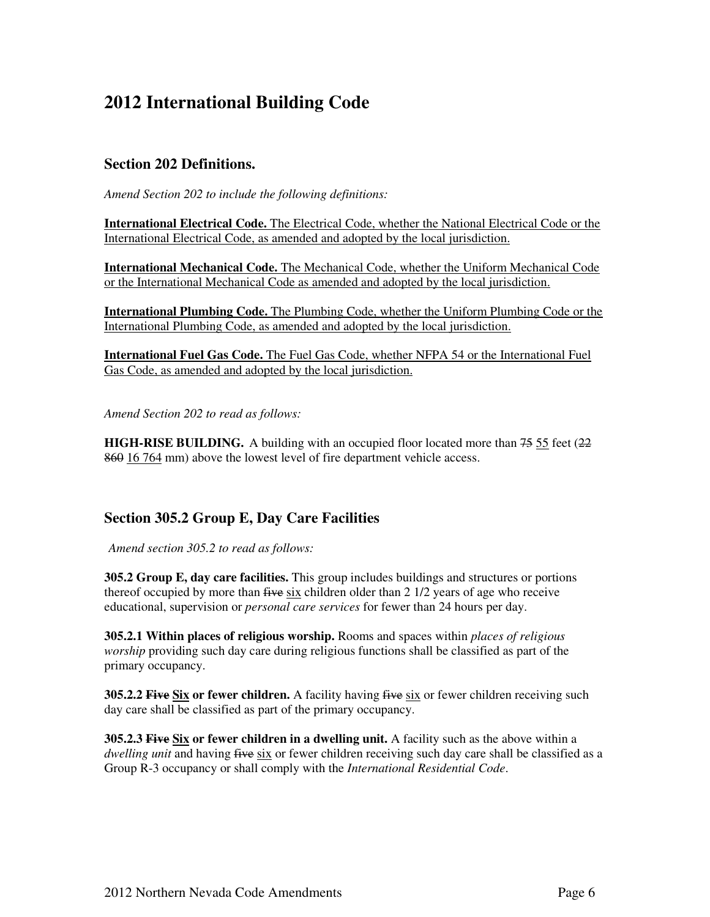## **2012 International Building Code**

#### **Section 202 Definitions.**

*Amend Section 202 to include the following definitions:* 

**International Electrical Code.** The Electrical Code, whether the National Electrical Code or the International Electrical Code, as amended and adopted by the local jurisdiction.

**International Mechanical Code.** The Mechanical Code, whether the Uniform Mechanical Code or the International Mechanical Code as amended and adopted by the local jurisdiction.

**International Plumbing Code.** The Plumbing Code, whether the Uniform Plumbing Code or the International Plumbing Code, as amended and adopted by the local jurisdiction.

**International Fuel Gas Code.** The Fuel Gas Code, whether NFPA 54 or the International Fuel Gas Code, as amended and adopted by the local jurisdiction.

*Amend Section 202 to read as follows:* 

**HIGH-RISE BUILDING.** A building with an occupied floor located more than 75 55 feet (22) 860 16 764 mm) above the lowest level of fire department vehicle access.

#### **Section 305.2 Group E, Day Care Facilities**

*Amend section 305.2 to read as follows:*

**305.2 Group E, day care facilities.** This group includes buildings and structures or portions thereof occupied by more than  $f$ ive six children older than 2  $1/2$  years of age who receive educational, supervision or *personal care services* for fewer than 24 hours per day.

**305.2.1 Within places of religious worship.** Rooms and spaces within *places of religious worship* providing such day care during religious functions shall be classified as part of the primary occupancy.

**305.2.2 Five Six or fewer children.** A facility having five six or fewer children receiving such day care shall be classified as part of the primary occupancy.

**305.2.3 Five Six or fewer children in a dwelling unit.** A facility such as the above within a *dwelling unit* and having five six or fewer children receiving such day care shall be classified as a Group R-3 occupancy or shall comply with the *International Residential Code*.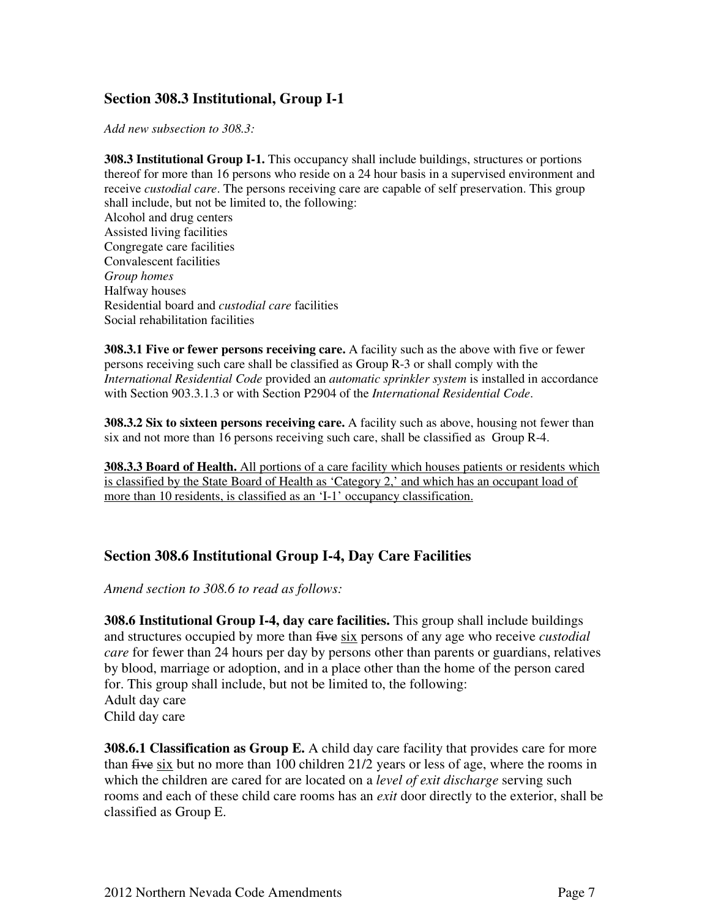### **Section 308.3 Institutional, Group I-1**

*Add new subsection to 308.3:* 

**308.3 Institutional Group I-1.** This occupancy shall include buildings, structures or portions thereof for more than 16 persons who reside on a 24 hour basis in a supervised environment and receive *custodial care*. The persons receiving care are capable of self preservation. This group shall include, but not be limited to, the following: Alcohol and drug centers Assisted living facilities Congregate care facilities Convalescent facilities *Group homes*  Halfway houses Residential board and *custodial care* facilities Social rehabilitation facilities

**308.3.1 Five or fewer persons receiving care.** A facility such as the above with five or fewer persons receiving such care shall be classified as Group R-3 or shall comply with the *International Residential Code* provided an *automatic sprinkler system* is installed in accordance with Section 903.3.1.3 or with Section P2904 of the *International Residential Code*.

**308.3.2 Six to sixteen persons receiving care.** A facility such as above, housing not fewer than six and not more than 16 persons receiving such care, shall be classified as Group R-4.

**308.3.3 Board of Health.** All portions of a care facility which houses patients or residents which is classified by the State Board of Health as 'Category 2,' and which has an occupant load of more than 10 residents, is classified as an 'I-1' occupancy classification.

#### **Section 308.6 Institutional Group I-4, Day Care Facilities**

*Amend section to 308.6 to read as follows:* 

**308.6 Institutional Group I-4, day care facilities.** This group shall include buildings and structures occupied by more than five six persons of any age who receive *custodial care* for fewer than 24 hours per day by persons other than parents or guardians, relatives by blood, marriage or adoption, and in a place other than the home of the person cared for. This group shall include, but not be limited to, the following: Adult day care Child day care

**308.6.1 Classification as Group E.** A child day care facility that provides care for more than five six but no more than 100 children 21/2 years or less of age, where the rooms in which the children are cared for are located on a *level of exit discharge* serving such rooms and each of these child care rooms has an *exit* door directly to the exterior, shall be classified as Group E.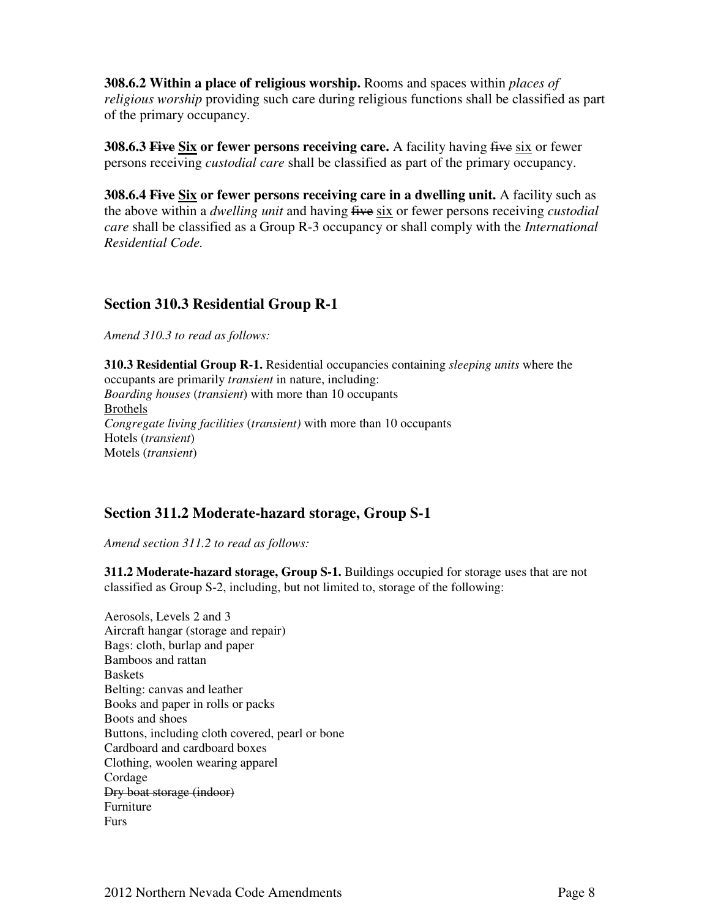**308.6.2 Within a place of religious worship.** Rooms and spaces within *places of religious worship* providing such care during religious functions shall be classified as part of the primary occupancy.

**308.6.3 Five Six or fewer persons receiving care.** A facility having five six or fewer persons receiving *custodial care* shall be classified as part of the primary occupancy.

**308.6.4 Five Six or fewer persons receiving care in a dwelling unit.** A facility such as the above within a *dwelling unit* and having five six or fewer persons receiving *custodial care* shall be classified as a Group R-3 occupancy or shall comply with the *International Residential Code.* 

#### **Section 310.3 Residential Group R-1**

*Amend 310.3 to read as follows:* 

**310.3 Residential Group R-1.** Residential occupancies containing *sleeping units* where the occupants are primarily *transient* in nature, including: *Boarding houses* (*transient*) with more than 10 occupants Brothels *Congregate living facilities* (*transient)* with more than 10 occupants Hotels (*transient*) Motels (*transient*)

#### **Section 311.2 Moderate-hazard storage, Group S-1**

*Amend section 311.2 to read as follows:* 

**311.2 Moderate-hazard storage, Group S-1.** Buildings occupied for storage uses that are not classified as Group S-2, including, but not limited to, storage of the following:

Aerosols, Levels 2 and 3 Aircraft hangar (storage and repair) Bags: cloth, burlap and paper Bamboos and rattan Baskets Belting: canvas and leather Books and paper in rolls or packs Boots and shoes Buttons, including cloth covered, pearl or bone Cardboard and cardboard boxes Clothing, woolen wearing apparel Cordage Dry boat storage (indoor) Furniture Furs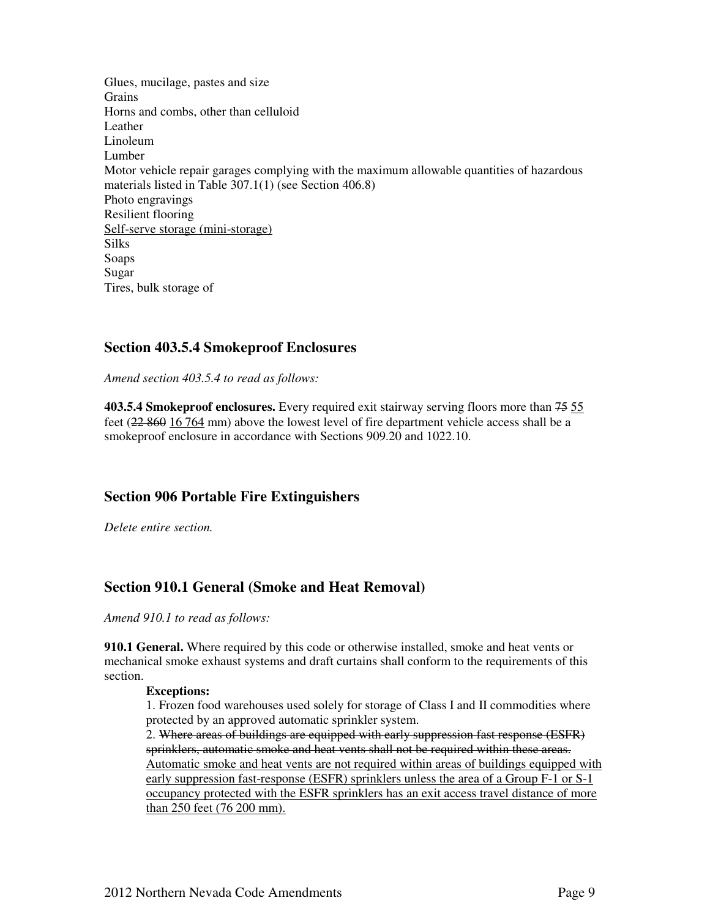Glues, mucilage, pastes and size **Grains** Horns and combs, other than celluloid Leather Linoleum **Lumber** Motor vehicle repair garages complying with the maximum allowable quantities of hazardous materials listed in Table 307.1(1) (see Section 406.8) Photo engravings Resilient flooring Self-serve storage (mini-storage) Silks Soaps Sugar Tires, bulk storage of

#### **Section 403.5.4 Smokeproof Enclosures**

*Amend section 403.5.4 to read as follows:* 

**403.5.4 Smokeproof enclosures.** Every required exit stairway serving floors more than 75 55 feet (22 860 16 764 mm) above the lowest level of fire department vehicle access shall be a smokeproof enclosure in accordance with Sections 909.20 and 1022.10.

#### **Section 906 Portable Fire Extinguishers**

*Delete entire section.* 

#### **Section 910.1 General (Smoke and Heat Removal)**

*Amend 910.1 to read as follows:* 

**910.1 General.** Where required by this code or otherwise installed, smoke and heat vents or mechanical smoke exhaust systems and draft curtains shall conform to the requirements of this section.

#### **Exceptions:**

1. Frozen food warehouses used solely for storage of Class I and II commodities where protected by an approved automatic sprinkler system.

2. Where areas of buildings are equipped with early suppression fast response (ESFR) sprinklers, automatic smoke and heat vents shall not be required within these areas. Automatic smoke and heat vents are not required within areas of buildings equipped with early suppression fast-response (ESFR) sprinklers unless the area of a Group F-1 or S-1 occupancy protected with the ESFR sprinklers has an exit access travel distance of more than 250 feet (76 200 mm).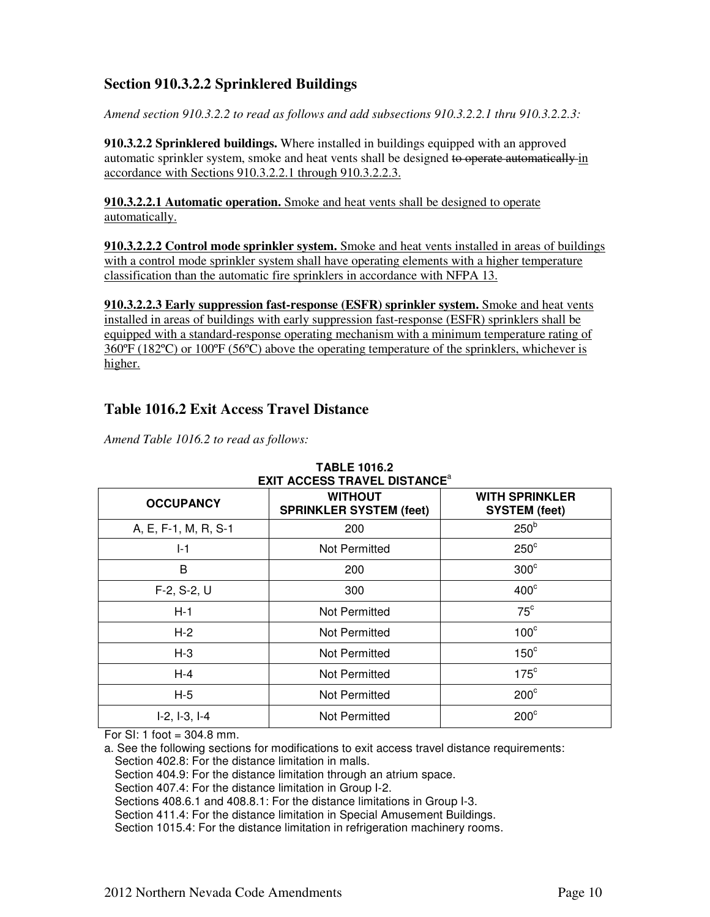### **Section 910.3.2.2 Sprinklered Buildings**

*Amend section 910.3.2.2 to read as follows and add subsections 910.3.2.2.1 thru 910.3.2.2.3:* 

**910.3.2.2 Sprinklered buildings.** Where installed in buildings equipped with an approved automatic sprinkler system, smoke and heat vents shall be designed to operate automatically in accordance with Sections 910.3.2.2.1 through 910.3.2.2.3.

**910.3.2.2.1 Automatic operation.** Smoke and heat vents shall be designed to operate automatically.

**910.3.2.2.2 Control mode sprinkler system.** Smoke and heat vents installed in areas of buildings with a control mode sprinkler system shall have operating elements with a higher temperature classification than the automatic fire sprinklers in accordance with NFPA 13.

**910.3.2.2.3 Early suppression fast-response (ESFR) sprinkler system.** Smoke and heat vents installed in areas of buildings with early suppression fast-response (ESFR) sprinklers shall be equipped with a standard-response operating mechanism with a minimum temperature rating of  $360^{\circ}F (182^{\circ}C)$  or  $100^{\circ}F (56^{\circ}C)$  above the operating temperature of the sprinklers, whichever is higher.

#### **Table 1016.2 Exit Access Travel Distance**

*Amend Table 1016.2 to read as follows:* 

| <b>OCCUPANCY</b>     | <b>WITHOUT</b><br><b>SPRINKLER SYSTEM (feet)</b> | <b>WITH SPRINKLER</b><br><b>SYSTEM (feet)</b> |
|----------------------|--------------------------------------------------|-----------------------------------------------|
| A, E, F-1, M, R, S-1 | 200                                              | 250 <sup>b</sup>                              |
| $I-1$                | Not Permitted                                    | $250^\circ$                                   |
| B                    | 200                                              | $300^\circ$                                   |
| $F-2, S-2, U$        | 300                                              | $400^\circ$                                   |
| $H-1$                | Not Permitted                                    | $75^{\circ}$                                  |
| $H-2$                | Not Permitted                                    | $100^\circ$                                   |
| $H-3$                | Not Permitted                                    | $150^\circ$                                   |
| $H-4$                | Not Permitted                                    | $175^{\circ}$                                 |
| $H-5$                | Not Permitted                                    | $200^{\circ}$                                 |
| $I-2, I-3, I-4$      | Not Permitted                                    | $200^\circ$                                   |

#### **TABLE 1016.2 EXIT ACCESS TRAVEL DISTANCE**<sup>a</sup>

For SI: 1 foot =  $304.8$  mm.

a. See the following sections for modifications to exit access travel distance requirements: Section 402.8: For the distance limitation in malls.

Section 404.9: For the distance limitation through an atrium space.

Section 407.4: For the distance limitation in Group I-2.

Sections 408.6.1 and 408.8.1: For the distance limitations in Group I-3.

Section 411.4: For the distance limitation in Special Amusement Buildings.

Section 1015.4: For the distance limitation in refrigeration machinery rooms.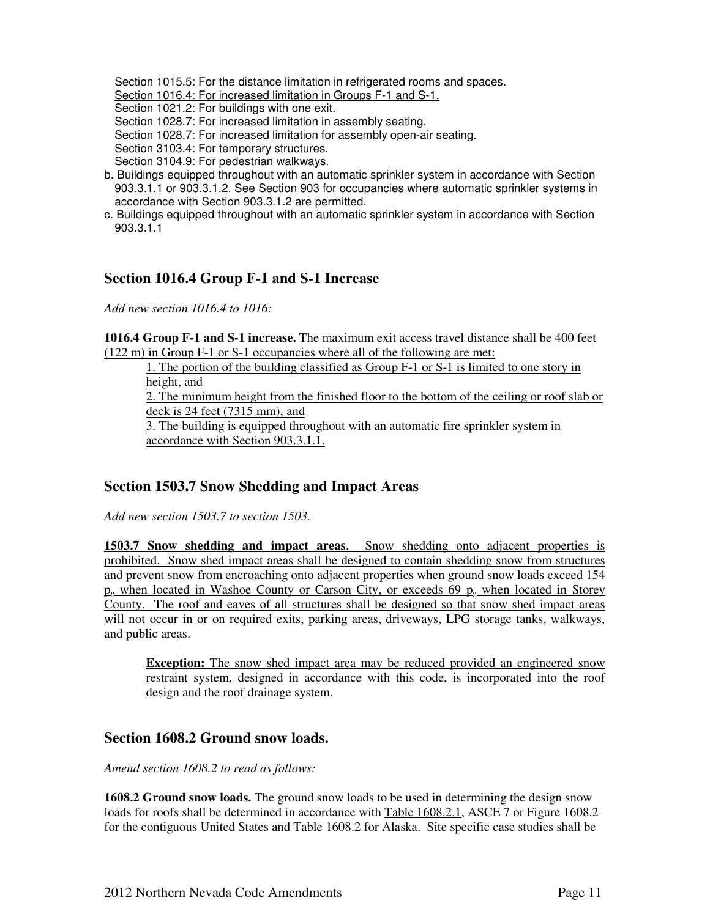Section 1015.5: For the distance limitation in refrigerated rooms and spaces.

Section 1016.4: For increased limitation in Groups F-1 and S-1.

Section 1021.2: For buildings with one exit.

Section 1028.7: For increased limitation in assembly seating.

Section 1028.7: For increased limitation for assembly open-air seating.

Section 3103.4: For temporary structures.

Section 3104.9: For pedestrian walkways.

- b. Buildings equipped throughout with an automatic sprinkler system in accordance with Section 903.3.1.1 or 903.3.1.2. See Section 903 for occupancies where automatic sprinkler systems in accordance with Section 903.3.1.2 are permitted.
- c. Buildings equipped throughout with an automatic sprinkler system in accordance with Section 903.3.1.1

#### **Section 1016.4 Group F-1 and S-1 Increase**

*Add new section 1016.4 to 1016:* 

**1016.4 Group F-1 and S-1 increase.** The maximum exit access travel distance shall be 400 feet (122 m) in Group F-1 or S-1 occupancies where all of the following are met:

1. The portion of the building classified as Group F-1 or S-1 is limited to one story in height, and

2. The minimum height from the finished floor to the bottom of the ceiling or roof slab or deck is 24 feet (7315 mm), and

3. The building is equipped throughout with an automatic fire sprinkler system in accordance with Section 903.3.1.1.

#### **Section 1503.7 Snow Shedding and Impact Areas**

*Add new section 1503.7 to section 1503.* 

**1503.7 Snow shedding and impact areas**. Snow shedding onto adjacent properties is prohibited. Snow shed impact areas shall be designed to contain shedding snow from structures and prevent snow from encroaching onto adjacent properties when ground snow loads exceed 154  $p<sub>g</sub>$  when located in Washoe County or Carson City, or exceeds 69  $p<sub>g</sub>$  when located in Storey County. The roof and eaves of all structures shall be designed so that snow shed impact areas will not occur in or on required exits, parking areas, driveways, LPG storage tanks, walkways, and public areas.

**Exception:** The snow shed impact area may be reduced provided an engineered snow restraint system, designed in accordance with this code, is incorporated into the roof design and the roof drainage system.

#### **Section 1608.2 Ground snow loads.**

*Amend section 1608.2 to read as follows:* 

**1608.2 Ground snow loads.** The ground snow loads to be used in determining the design snow loads for roofs shall be determined in accordance with Table 1608.2.1, ASCE 7 or Figure 1608.2 for the contiguous United States and Table 1608.2 for Alaska. Site specific case studies shall be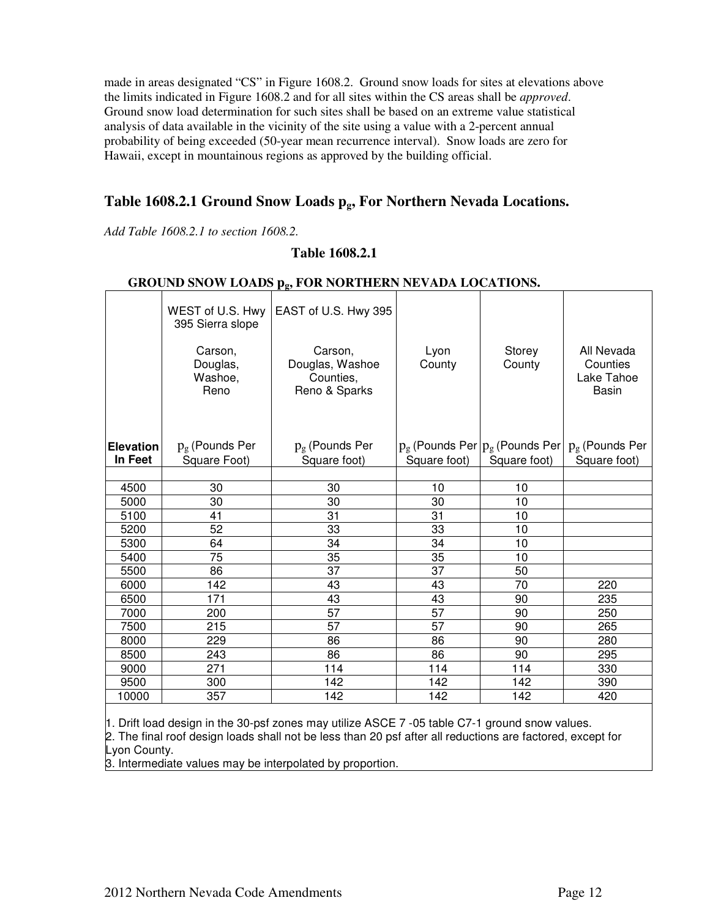made in areas designated "CS" in Figure 1608.2. Ground snow loads for sites at elevations above the limits indicated in Figure 1608.2 and for all sites within the CS areas shall be *approved*. Ground snow load determination for such sites shall be based on an extreme value statistical analysis of data available in the vicinity of the site using a value with a 2-percent annual probability of being exceeded (50-year mean recurrence interval). Snow loads are zero for Hawaii, except in mountainous regions as approved by the building official.

## **Table 1608.2.1 Ground Snow Loads pg, For Northern Nevada Locations.**

*Add Table 1608.2.1 to section 1608.2.* 

#### **Table 1608.2.1**

#### **GROUND SNOW LOADS pg, FOR NORTHERN NEVADA LOCATIONS.**

|                             | WEST of U.S. Hwy<br>395 Sierra slope    | EAST of U.S. Hwy 395                                     |                 |                  |                                                                         |  |  |  |  |  |
|-----------------------------|-----------------------------------------|----------------------------------------------------------|-----------------|------------------|-------------------------------------------------------------------------|--|--|--|--|--|
|                             | Carson,<br>Douglas,<br>Washoe,<br>Reno  | Carson,<br>Douglas, Washoe<br>Counties,<br>Reno & Sparks | Lyon<br>County  | Storey<br>County |                                                                         |  |  |  |  |  |
| <b>Elevation</b><br>In Feet | $p_{\rm g}$ (Pounds Per<br>Square Foot) | $p_{g}$ (Pounds Per<br>Square foot)                      | Square foot)    | Square foot)     | $p_g$ (Pounds Per $ p_g$ (Pounds Per $ p_g$ (Pounds Per<br>Square foot) |  |  |  |  |  |
|                             |                                         |                                                          |                 |                  |                                                                         |  |  |  |  |  |
| 4500                        | 30                                      | 30                                                       | 10              | 10               |                                                                         |  |  |  |  |  |
| 5000                        | 30                                      | 30                                                       | 30              | 10               |                                                                         |  |  |  |  |  |
| 5100                        | 41                                      | 31                                                       | 31              | 10               |                                                                         |  |  |  |  |  |
| 5200                        | 52                                      | 33                                                       | 33              | 10               |                                                                         |  |  |  |  |  |
| 5300                        | 64                                      | 34                                                       | 34              | 10               |                                                                         |  |  |  |  |  |
| 5400                        | 75                                      | 35                                                       | 35              | 10               |                                                                         |  |  |  |  |  |
| 5500                        | 86                                      | 37                                                       | 37              | 50               |                                                                         |  |  |  |  |  |
| 6000                        | 142                                     | 43                                                       | 43              | 70               | 220                                                                     |  |  |  |  |  |
| 6500                        | 171                                     | 43                                                       | 43              | 90               | 235                                                                     |  |  |  |  |  |
| 7000                        | 200                                     | 57                                                       | $\overline{57}$ | 90               | 250                                                                     |  |  |  |  |  |
| 7500                        | 215                                     | 57                                                       | $\overline{57}$ | 90               | 265                                                                     |  |  |  |  |  |
| 8000                        | 229                                     | 86                                                       | 86              | 90               | 280                                                                     |  |  |  |  |  |
| 8500                        | 243                                     | 86                                                       | 86              | 90               | 295                                                                     |  |  |  |  |  |
| 9000                        | 271                                     | 114                                                      | 114             | 114              | 330                                                                     |  |  |  |  |  |
| 9500                        | 300                                     | 142                                                      | 142             | 142              | 390                                                                     |  |  |  |  |  |
| 10000                       | 357                                     | 142                                                      | 142             | 142              | 420                                                                     |  |  |  |  |  |

1. Drift load design in the 30-psf zones may utilize ASCE 7 -05 table C7-1 ground snow values. 2. The final roof design loads shall not be less than 20 psf after all reductions are factored, except for Lyon County.

3. Intermediate values may be interpolated by proportion.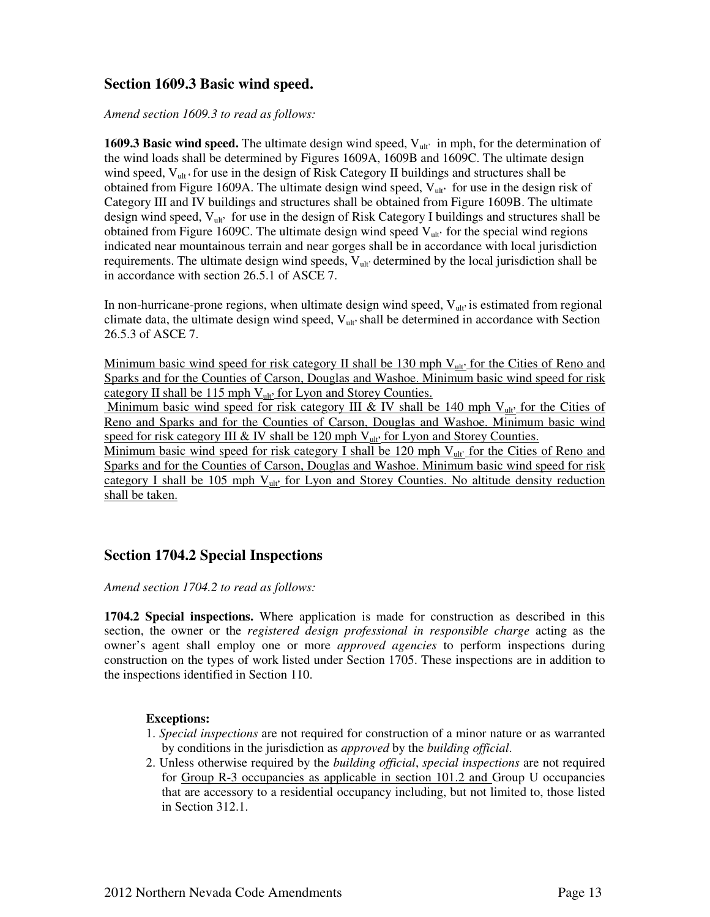#### **Section 1609.3 Basic wind speed.**

*Amend section 1609.3 to read as follows:* 

**1609.3 Basic wind speed.** The ultimate design wind speed,  $V_{\text{ul}t}$  in mph, for the determination of the wind loads shall be determined by Figures 1609A, 1609B and 1609C. The ultimate design wind speed,  $V_{ult}$  for use in the design of Risk Category II buildings and structures shall be obtained from Figure 1609A. The ultimate design wind speed, Vult**'** for use in the design risk of Category III and IV buildings and structures shall be obtained from Figure 1609B. The ultimate design wind speed, Vult**'** for use in the design of Risk Category I buildings and structures shall be obtained from Figure 1609C. The ultimate design wind speed V<sub>ult</sub>, for the special wind regions indicated near mountainous terrain and near gorges shall be in accordance with local jurisdiction requirements. The ultimate design wind speeds,  $V_{ult}$  determined by the local jurisdiction shall be in accordance with section 26.5.1 of ASCE 7.

In non-hurricane-prone regions, when ultimate design wind speed, V<sub>ult</sub> is estimated from regional climate data, the ultimate design wind speed, Vult**'**shall be determined in accordance with Section 26.5.3 of ASCE 7.

Minimum basic wind speed for risk category II shall be 130 mph V<sub>ult</sub> for the Cities of Reno and Sparks and for the Counties of Carson, Douglas and Washoe. Minimum basic wind speed for risk category II shall be 115 mph V<sub>ult</sub> for Lyon and Storey Counties.

Minimum basic wind speed for risk category III & IV shall be 140 mph  $V_{ult}$  for the Cities of Reno and Sparks and for the Counties of Carson, Douglas and Washoe. Minimum basic wind speed for risk category III & IV shall be 120 mph V<sub>ult</sub>' for Lyon and Storey Counties.

Minimum basic wind speed for risk category I shall be 120 mph  $V_{ult}$  for the Cities of Reno and Sparks and for the Counties of Carson, Douglas and Washoe. Minimum basic wind speed for risk category I shall be 105 mph V<sub>ult</sub> for Lyon and Storey Counties. No altitude density reduction shall be taken.

#### **Section 1704.2 Special Inspections**

*Amend section 1704.2 to read as follows:* 

**1704.2 Special inspections.** Where application is made for construction as described in this section, the owner or the *registered design professional in responsible charge* acting as the owner's agent shall employ one or more *approved agencies* to perform inspections during construction on the types of work listed under Section 1705. These inspections are in addition to the inspections identified in Section 110.

#### **Exceptions:**

- 1. *Special inspections* are not required for construction of a minor nature or as warranted by conditions in the jurisdiction as *approved* by the *building official*.
- 2. Unless otherwise required by the *building official*, *special inspections* are not required for Group R-3 occupancies as applicable in section 101.2 and Group U occupancies that are accessory to a residential occupancy including, but not limited to, those listed in Section 312.1.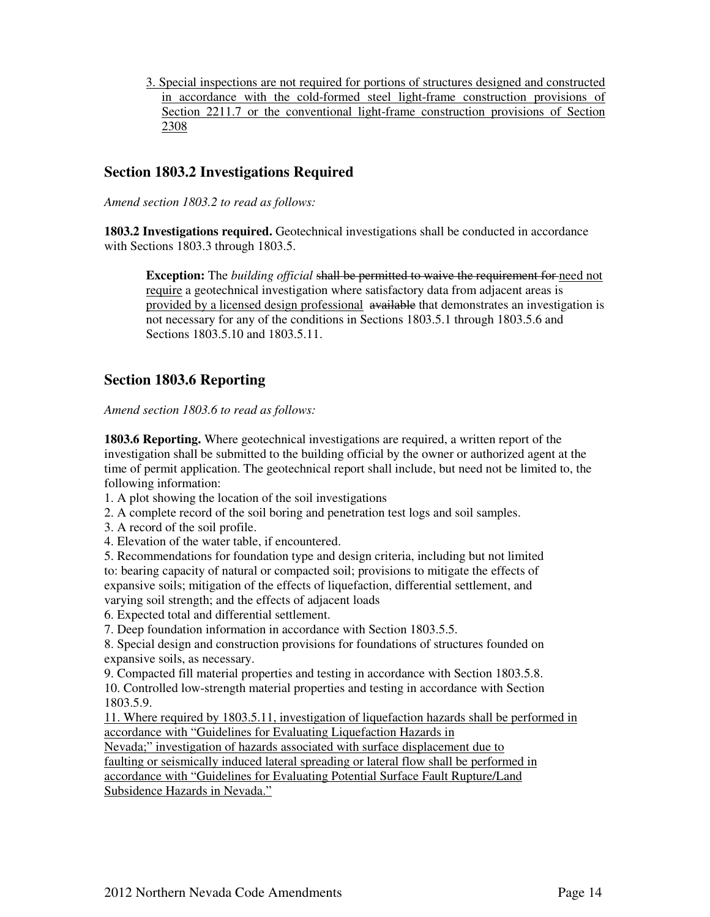3. Special inspections are not required for portions of structures designed and constructed in accordance with the cold-formed steel light-frame construction provisions of Section 2211.7 or the conventional light-frame construction provisions of Section 2308

#### **Section 1803.2 Investigations Required**

*Amend section 1803.2 to read as follows:* 

**1803.2 Investigations required.** Geotechnical investigations shall be conducted in accordance with Sections 1803.3 through 1803.5.

**Exception:** The *building official* shall be permitted to waive the requirement for need not require a geotechnical investigation where satisfactory data from adjacent areas is provided by a licensed design professional available that demonstrates an investigation is not necessary for any of the conditions in Sections 1803.5.1 through 1803.5.6 and Sections 1803.5.10 and 1803.5.11.

#### **Section 1803.6 Reporting**

*Amend section 1803.6 to read as follows:* 

**1803.6 Reporting.** Where geotechnical investigations are required, a written report of the investigation shall be submitted to the building official by the owner or authorized agent at the time of permit application. The geotechnical report shall include, but need not be limited to, the following information:

1. A plot showing the location of the soil investigations

2. A complete record of the soil boring and penetration test logs and soil samples.

3. A record of the soil profile.

4. Elevation of the water table, if encountered.

5. Recommendations for foundation type and design criteria, including but not limited to: bearing capacity of natural or compacted soil; provisions to mitigate the effects of expansive soils; mitigation of the effects of liquefaction, differential settlement, and varying soil strength; and the effects of adjacent loads

6. Expected total and differential settlement.

7. Deep foundation information in accordance with Section 1803.5.5.

8. Special design and construction provisions for foundations of structures founded on expansive soils, as necessary.

9. Compacted fill material properties and testing in accordance with Section 1803.5.8. 10. Controlled low-strength material properties and testing in accordance with Section 1803.5.9.

11. Where required by 1803.5.11, investigation of liquefaction hazards shall be performed in accordance with "Guidelines for Evaluating Liquefaction Hazards in

Nevada;" investigation of hazards associated with surface displacement due to faulting or seismically induced lateral spreading or lateral flow shall be performed in accordance with "Guidelines for Evaluating Potential Surface Fault Rupture/Land Subsidence Hazards in Nevada."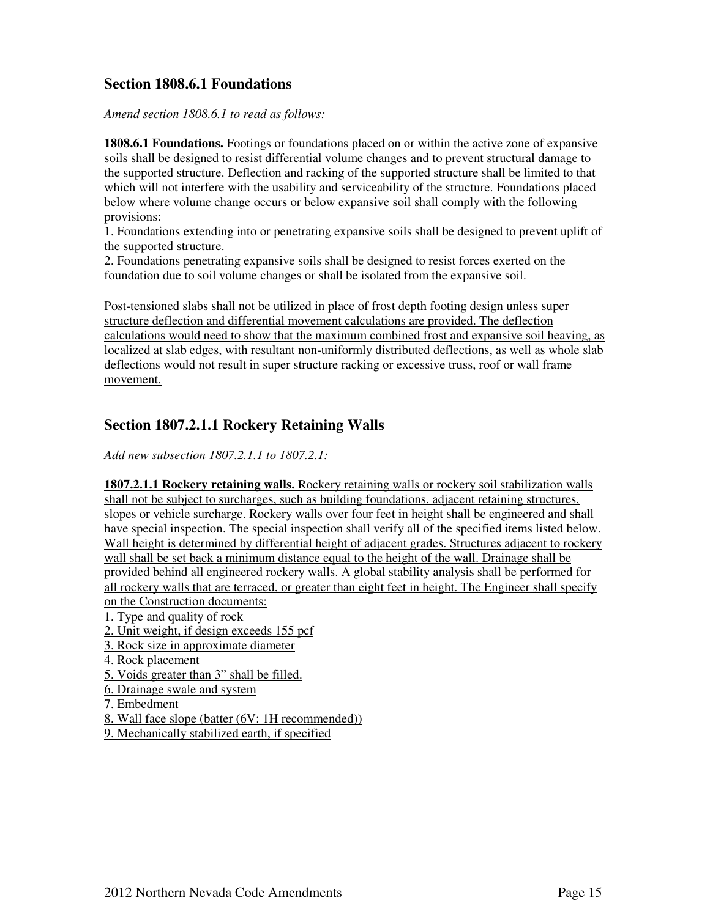#### **Section 1808.6.1 Foundations**

*Amend section 1808.6.1 to read as follows:* 

**1808.6.1 Foundations.** Footings or foundations placed on or within the active zone of expansive soils shall be designed to resist differential volume changes and to prevent structural damage to the supported structure. Deflection and racking of the supported structure shall be limited to that which will not interfere with the usability and serviceability of the structure. Foundations placed below where volume change occurs or below expansive soil shall comply with the following provisions:

1. Foundations extending into or penetrating expansive soils shall be designed to prevent uplift of the supported structure.

2. Foundations penetrating expansive soils shall be designed to resist forces exerted on the foundation due to soil volume changes or shall be isolated from the expansive soil.

Post-tensioned slabs shall not be utilized in place of frost depth footing design unless super structure deflection and differential movement calculations are provided. The deflection calculations would need to show that the maximum combined frost and expansive soil heaving, as localized at slab edges, with resultant non-uniformly distributed deflections, as well as whole slab deflections would not result in super structure racking or excessive truss, roof or wall frame movement.

#### **Section 1807.2.1.1 Rockery Retaining Walls**

*Add new subsection 1807.2.1.1 to 1807.2.1:* 

**1807.2.1.1 Rockery retaining walls.** Rockery retaining walls or rockery soil stabilization walls shall not be subject to surcharges, such as building foundations, adjacent retaining structures, slopes or vehicle surcharge. Rockery walls over four feet in height shall be engineered and shall have special inspection. The special inspection shall verify all of the specified items listed below. Wall height is determined by differential height of adjacent grades. Structures adjacent to rockery wall shall be set back a minimum distance equal to the height of the wall. Drainage shall be provided behind all engineered rockery walls. A global stability analysis shall be performed for all rockery walls that are terraced, or greater than eight feet in height. The Engineer shall specify on the Construction documents:

1. Type and quality of rock

2. Unit weight, if design exceeds 155 pcf

3. Rock size in approximate diameter

4. Rock placement

5. Voids greater than 3" shall be filled.

6. Drainage swale and system

7. Embedment

8. Wall face slope (batter (6V: 1H recommended))

9. Mechanically stabilized earth, if specified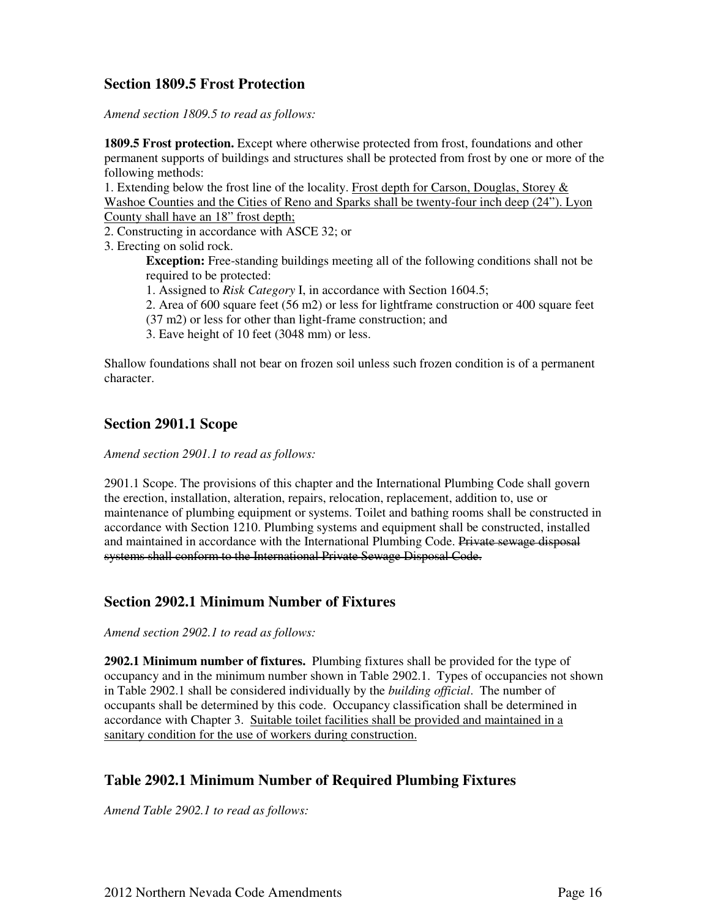#### **Section 1809.5 Frost Protection**

*Amend section 1809.5 to read as follows:* 

**1809.5 Frost protection.** Except where otherwise protected from frost, foundations and other permanent supports of buildings and structures shall be protected from frost by one or more of the following methods:

1. Extending below the frost line of the locality. Frost depth for Carson, Douglas, Storey & Washoe Counties and the Cities of Reno and Sparks shall be twenty-four inch deep (24"). Lyon County shall have an 18" frost depth;

2. Constructing in accordance with ASCE 32; or

3. Erecting on solid rock.

**Exception:** Free-standing buildings meeting all of the following conditions shall not be required to be protected:

1. Assigned to *Risk Category* I, in accordance with Section 1604.5;

2. Area of 600 square feet (56 m2) or less for lightframe construction or 400 square feet (37 m2) or less for other than light-frame construction; and

3. Eave height of 10 feet (3048 mm) or less.

Shallow foundations shall not bear on frozen soil unless such frozen condition is of a permanent character.

#### **Section 2901.1 Scope**

*Amend section 2901.1 to read as follows:*

2901.1 Scope. The provisions of this chapter and the International Plumbing Code shall govern the erection, installation, alteration, repairs, relocation, replacement, addition to, use or maintenance of plumbing equipment or systems. Toilet and bathing rooms shall be constructed in accordance with Section 1210. Plumbing systems and equipment shall be constructed, installed and maintained in accordance with the International Plumbing Code. Private sewage disposal systems shall conform to the International Private Sewage Disposal Code.

#### **Section 2902.1 Minimum Number of Fixtures**

*Amend section 2902.1 to read as follows:* 

**2902.1 Minimum number of fixtures.** Plumbing fixtures shall be provided for the type of occupancy and in the minimum number shown in Table 2902.1. Types of occupancies not shown in Table 2902.1 shall be considered individually by the *building official*. The number of occupants shall be determined by this code. Occupancy classification shall be determined in accordance with Chapter 3. Suitable toilet facilities shall be provided and maintained in a sanitary condition for the use of workers during construction.

#### **Table 2902.1 Minimum Number of Required Plumbing Fixtures**

*Amend Table 2902.1 to read as follows:*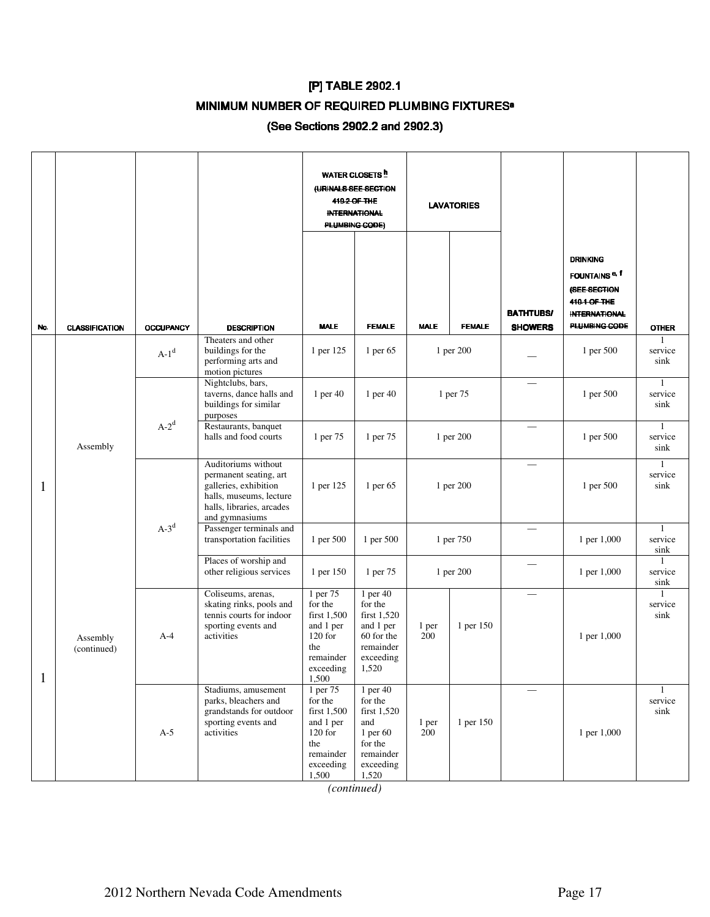# [P] TABLE 2902.1

## MINIMUM NUMBER OF REQUIRED PLUMBING FIXTURES<sup>a</sup>

#### (See Sections 2902.2 and 2902.3)

|     |                         |                  |                                                                                                                                                  | <b>WATER CLOSETS</b> <sup>h</sup><br>(URINALS SEE SECTION<br>419.2 OF THE<br><b>INTERNATIONAL</b><br>PLUMBING CODE) |                                                                                                       | <b>LAVATORIES</b> |               |                                    |                                                                                                                       |                      |
|-----|-------------------------|------------------|--------------------------------------------------------------------------------------------------------------------------------------------------|---------------------------------------------------------------------------------------------------------------------|-------------------------------------------------------------------------------------------------------|-------------------|---------------|------------------------------------|-----------------------------------------------------------------------------------------------------------------------|----------------------|
| No. | <b>CLASSIFICATION</b>   | <b>OCCUPANCY</b> | <b>DESCRIPTION</b>                                                                                                                               | <b>MALE</b>                                                                                                         | <b>FEMALE</b>                                                                                         | <b>MALE</b>       | <b>FEMALE</b> | <b>BATHTUBS/</b><br><b>SHOWERS</b> | <b>DRINKING</b><br>FOUNTAINS <sup>e, f</sup><br>(SEE SECTION<br>410.1 OF THE<br><b>INTERNATIONAL</b><br>PLUMBING CODE | <b>OTHER</b>         |
|     |                         | $A-1d$           | Theaters and other<br>buildings for the<br>performing arts and<br>motion pictures                                                                | 1 per 125                                                                                                           | 1 per $65$                                                                                            |                   | 1 per 200     |                                    | 1 per 500                                                                                                             | service<br>sink      |
|     |                         |                  | Nightclubs, bars,<br>taverns, dance halls and<br>buildings for similar<br>purposes                                                               | 1 per 40                                                                                                            | 1 per $40$                                                                                            |                   | 1 per 75      |                                    | 1 per 500                                                                                                             | service<br>sink      |
|     | Assembly                | $A-2^d$          | Restaurants, banquet<br>halls and food courts                                                                                                    | 1 per 75                                                                                                            | 1 per 75                                                                                              |                   | 1 per 200     |                                    | 1 per 500                                                                                                             | service<br>sink      |
| 1   |                         |                  | Auditoriums without<br>permanent seating, art<br>galleries, exhibition<br>halls, museums, lecture<br>halls, libraries, arcades<br>and gymnasiums | 1 per 125                                                                                                           | 1 per 65                                                                                              |                   | 1 per 200     |                                    | 1 per 500                                                                                                             | service<br>sink      |
|     |                         | $A-3^d$          | Passenger terminals and<br>transportation facilities                                                                                             | 1 per 500                                                                                                           | 1 per 500                                                                                             |                   | 1 per 750     |                                    | 1 per 1,000                                                                                                           | service<br>sink      |
|     |                         |                  | Places of worship and<br>other religious services                                                                                                | 1 per 150                                                                                                           | 1 per 75                                                                                              |                   | 1 per 200     |                                    | 1 per 1,000                                                                                                           | 1<br>service<br>sink |
| 1   | Assembly<br>(continued) | $A-4$            | Coliseums, arenas,<br>skating rinks, pools and<br>tennis courts for indoor<br>sporting events and<br>activities                                  | 1 per 75<br>for the<br>first 1,500<br>and 1 per<br>$120$ for<br>the<br>remainder<br>exceeding<br>1,500              | 1 per $40$<br>for the<br>first 1,520<br>and 1 per<br>60 for the<br>remainder<br>exceeding<br>1,520    | 1 per<br>200      | 1 per 150     |                                    | 1 per 1,000                                                                                                           | service<br>sink      |
|     |                         | $A-5$            | Stadiums, amusement<br>parks, bleachers and<br>grandstands for outdoor<br>sporting events and<br>activities                                      | 1 per 75<br>for the<br>first 1,500<br>and 1 per<br>$120$ for<br>the<br>remainder<br>exceeding<br>1,500              | 1 per $40$<br>for the<br>first 1,520<br>and<br>1 per 60<br>for the<br>remainder<br>exceeding<br>1,520 | 1 per<br>200      | 1 per 150     |                                    | 1 per 1,000                                                                                                           | service<br>sink      |

*(continued)*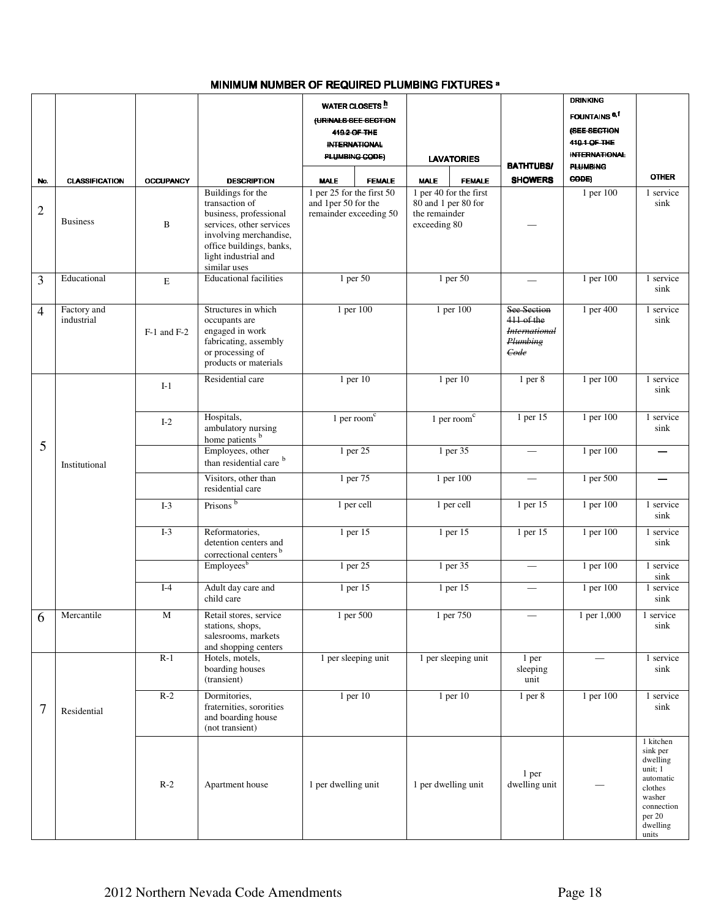#### MINIMUM NUMBER OF REQUIRED PLUMBING FIXTURES <sup>a</sup>

|                |                           |                  |                                                                                                                                                                         | <b>WATER CLOSETS</b> <sup>h</sup>                                          |                                                                                |                                                                       | <b>DRINKING</b>                 |                                                                                                                             |
|----------------|---------------------------|------------------|-------------------------------------------------------------------------------------------------------------------------------------------------------------------------|----------------------------------------------------------------------------|--------------------------------------------------------------------------------|-----------------------------------------------------------------------|---------------------------------|-----------------------------------------------------------------------------------------------------------------------------|
|                |                           |                  |                                                                                                                                                                         | (URINALS SEE SECTION                                                       |                                                                                |                                                                       | <b>FOUNTAINS <sup>e,f</sup></b> |                                                                                                                             |
|                |                           |                  |                                                                                                                                                                         | 419.2 OF THE                                                               |                                                                                |                                                                       | (SEE SECTION                    |                                                                                                                             |
|                |                           |                  |                                                                                                                                                                         | <b>INTERNATIONAL</b>                                                       |                                                                                |                                                                       | 410.1 OF THE                    |                                                                                                                             |
|                |                           |                  |                                                                                                                                                                         | <b>PLUMBING CODE)</b>                                                      | <b>LAVATORIES</b>                                                              |                                                                       | <b>INTERNATIONAL</b>            |                                                                                                                             |
|                |                           |                  |                                                                                                                                                                         |                                                                            |                                                                                | <b>BATHTUBS/</b>                                                      | <b>PLUMBING</b>                 | <b>OTHER</b>                                                                                                                |
| No.            | <b>CLASSIFICATION</b>     | <b>OCCUPANCY</b> | <b>DESCRIPTION</b>                                                                                                                                                      | <b>MALE</b><br><b>FEMALE</b>                                               | <b>MALE</b><br><b>FEMALE</b>                                                   | <b>SHOWERS</b>                                                        | CODE)                           |                                                                                                                             |
| $\overline{2}$ | <b>Business</b>           | $\, {\bf B}$     | Buildings for the<br>transaction of<br>business, professional<br>services, other services<br>involving merchandise,<br>office buildings, banks,<br>light industrial and | 1 per 25 for the first 50<br>and 1per 50 for the<br>remainder exceeding 50 | 1 per 40 for the first<br>80 and 1 per 80 for<br>the remainder<br>exceeding 80 |                                                                       | $1$ per $100$                   | 1 service<br>sink                                                                                                           |
|                |                           |                  | similar uses                                                                                                                                                            |                                                                            |                                                                                |                                                                       |                                 |                                                                                                                             |
| 3              | Educational               | $\mathbf E$      | <b>Educational facilities</b>                                                                                                                                           | $1$ per 50                                                                 | 1 per 50                                                                       |                                                                       | 1 per 100                       | 1 service<br>sink                                                                                                           |
| $\overline{4}$ | Factory and<br>industrial | $F-1$ and $F-2$  | Structures in which<br>occupants are<br>engaged in work<br>fabricating, assembly<br>or processing of<br>products or materials                                           | 1 per 100                                                                  | $1$ per $100$                                                                  | See Section<br>411 of the<br><b>International</b><br>Plumbing<br>Code | 1 per 400                       | 1 service<br>sink                                                                                                           |
|                |                           | $I-1$            | Residential care                                                                                                                                                        | 1 per 10                                                                   | $1$ per $10$                                                                   | 1 <sub>per</sub> 8                                                    | 1 per 100                       | 1 service<br>sink                                                                                                           |
|                |                           | $I-2$            | Hospitals,<br>ambulatory nursing<br>home patients <sup>b</sup>                                                                                                          | 1 per room $\overline{c}$                                                  | 1 per room $\overline{c}$                                                      | 1 per 15                                                              | 1 per 100                       | 1 service<br>sink                                                                                                           |
| 5              | Institutional             |                  | Employees, other<br>than residential care <sup>b</sup>                                                                                                                  | 1 per 25                                                                   | 1 per 35                                                                       |                                                                       | 1 per 100                       |                                                                                                                             |
|                |                           |                  | Visitors, other than<br>residential care                                                                                                                                | 1 per 75                                                                   | 1 per 100                                                                      | $\overline{\phantom{0}}$                                              | 1 per 500                       |                                                                                                                             |
|                |                           | $I-3$            | Prisons <sup>b</sup>                                                                                                                                                    | 1 per cell                                                                 | 1 per cell                                                                     | 1 per 15                                                              | 1 per 100                       | 1 service<br>sink                                                                                                           |
|                |                           | $I-3$            | Reformatories,<br>detention centers and<br>correctional centers <sup>b</sup>                                                                                            | 1 per 15                                                                   | 1 per 15                                                                       | 1 per 15                                                              | $1$ per $100$                   | 1 service<br>sink                                                                                                           |
|                |                           |                  | Employees <sup>b</sup>                                                                                                                                                  | 1 per 25                                                                   | 1 per 35                                                                       |                                                                       | 1 per 100                       | 1 service                                                                                                                   |
|                |                           | $I-4$            | Adult day care and<br>child care                                                                                                                                        | 1 per 15                                                                   | 1 per 15                                                                       | $\overline{\phantom{0}}$                                              | 1 per 100                       | sink<br>1 service<br>sink                                                                                                   |
| 6              | Mercantile                | $\mathbf M$      | Retail stores, service<br>stations, shops,<br>salesrooms, markets<br>and shopping centers                                                                               | 1 per 500                                                                  | 1 per 750                                                                      |                                                                       | 1 per 1,000                     | 1 service<br>sink                                                                                                           |
|                |                           | $R-1$            | Hotels, motels,<br>boarding houses<br>(transient)                                                                                                                       | 1 per sleeping unit                                                        | 1 per sleeping unit                                                            | 1 per<br>sleeping<br>unit                                             | $\overline{\phantom{0}}$        | 1 service<br>sink                                                                                                           |
| $\tau$         | Residential               | $R-2$            | Dormitories,<br>fraternities, sororities<br>and boarding house<br>(not transient)                                                                                       | 1 per 10                                                                   | 1 per 10                                                                       | 1 <sub>per</sub> 8                                                    | 1 per 100                       | 1 service<br>sink                                                                                                           |
|                |                           | $R-2$            | Apartment house                                                                                                                                                         | 1 per dwelling unit                                                        | 1 per dwelling unit                                                            | 1 per<br>dwelling unit                                                |                                 | 1 kitchen<br>sink per<br>dwelling<br>unit; 1<br>automatic<br>clothes<br>washer<br>connection<br>per 20<br>dwelling<br>units |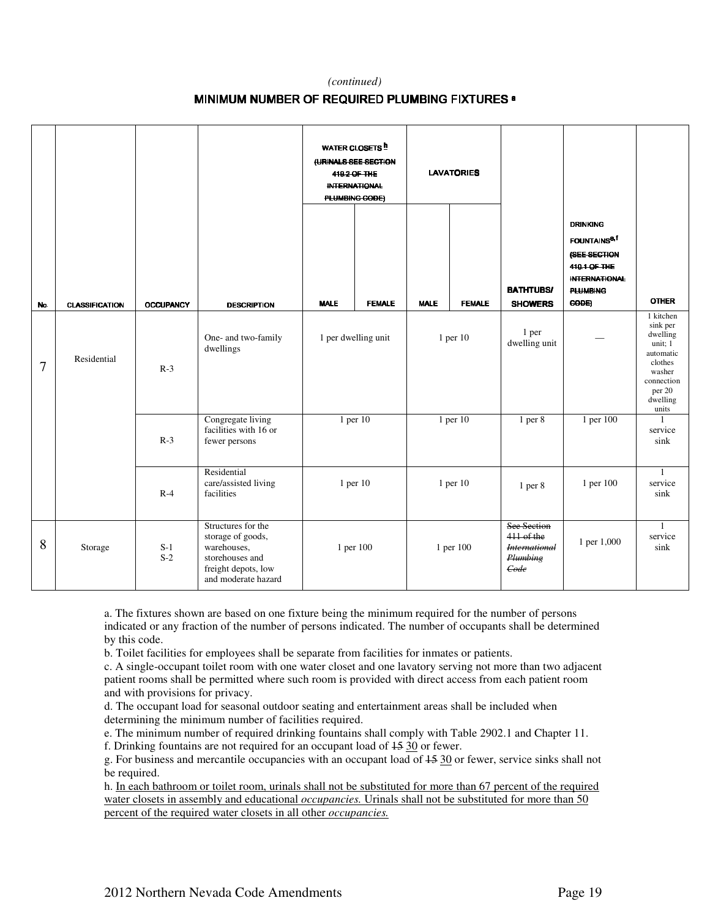#### *(continued)*

#### MINIMUM NUMBER OF REQUIRED PLUMBING FIXTURES a

|                |                       |                  |                                                                                                                         |                              | <b>WATER CLOSETS h</b><br>(URINALS SEE SECTION<br>419.2 OF THE<br><b>INTERNATIONAL</b><br><b>PLUMBING CODE)</b> |             | <b>LAVATORIES</b> |                                                                       |                                                                                                                                       |                                                                                                                             |
|----------------|-----------------------|------------------|-------------------------------------------------------------------------------------------------------------------------|------------------------------|-----------------------------------------------------------------------------------------------------------------|-------------|-------------------|-----------------------------------------------------------------------|---------------------------------------------------------------------------------------------------------------------------------------|-----------------------------------------------------------------------------------------------------------------------------|
| No.            | <b>CLASSIFICATION</b> | <b>OCCUPANCY</b> | <b>DESCRIPTION</b>                                                                                                      | <b>MALE</b><br><b>FEMALE</b> |                                                                                                                 | <b>MALE</b> | <b>FEMALE</b>     | <b>BATHTUBS/</b><br><b>SHOWERS</b>                                    | <b>DRINKING</b><br><b>FOUNTAINS<sup>e.f</sup></b><br>(SEE SECTION<br>410.1 OF THE<br><b>INTERNATIONAL</b><br><b>PLUMBING</b><br>CODE) | <b>OTHER</b>                                                                                                                |
| $\overline{7}$ | Residential           | $R-3$            | One- and two-family<br>dwellings                                                                                        | 1 per dwelling unit          |                                                                                                                 |             | $1$ per $10$      | 1 per<br>dwelling unit                                                |                                                                                                                                       | 1 kitchen<br>sink per<br>dwelling<br>unit; 1<br>automatic<br>clothes<br>washer<br>connection<br>per 20<br>dwelling<br>units |
|                |                       | $R-3$            | Congregate living<br>facilities with 16 or<br>fewer persons                                                             |                              | $1$ per $10$                                                                                                    |             | $1$ per $10$      | 1 <sub>per</sub> 8                                                    | 1 per 100                                                                                                                             | service<br>sink                                                                                                             |
|                |                       | $R-4$            | Residential<br>care/assisted living<br>facilities                                                                       | 1 per 10                     |                                                                                                                 |             | 1 per 10          | $1$ per $8$                                                           | 1 per 100                                                                                                                             | $\overline{1}$<br>service<br>sink                                                                                           |
| 8              | Storage               | $S-1$<br>$S-2$   | Structures for the<br>storage of goods,<br>warehouses,<br>storehouses and<br>freight depots, low<br>and moderate hazard | 1 per 100                    |                                                                                                                 | 1 per 100   |                   | See Section<br>411 of the<br><b>International</b><br>Plumbing<br>Gode | 1 per 1,000                                                                                                                           | $\mathbf{1}$<br>service<br>sink                                                                                             |

a. The fixtures shown are based on one fixture being the minimum required for the number of persons indicated or any fraction of the number of persons indicated. The number of occupants shall be determined by this code.

b. Toilet facilities for employees shall be separate from facilities for inmates or patients.

c. A single-occupant toilet room with one water closet and one lavatory serving not more than two adjacent patient rooms shall be permitted where such room is provided with direct access from each patient room and with provisions for privacy.

d. The occupant load for seasonal outdoor seating and entertainment areas shall be included when determining the minimum number of facilities required.

e. The minimum number of required drinking fountains shall comply with Table 2902.1 and Chapter 11.

f. Drinking fountains are not required for an occupant load of 15 30 or fewer.

g. For business and mercantile occupancies with an occupant load of 15 30 or fewer, service sinks shall not be required.

h. In each bathroom or toilet room, urinals shall not be substituted for more than 67 percent of the required water closets in assembly and educational *occupancies.* Urinals shall not be substituted for more than 50 percent of the required water closets in all other *occupancies.*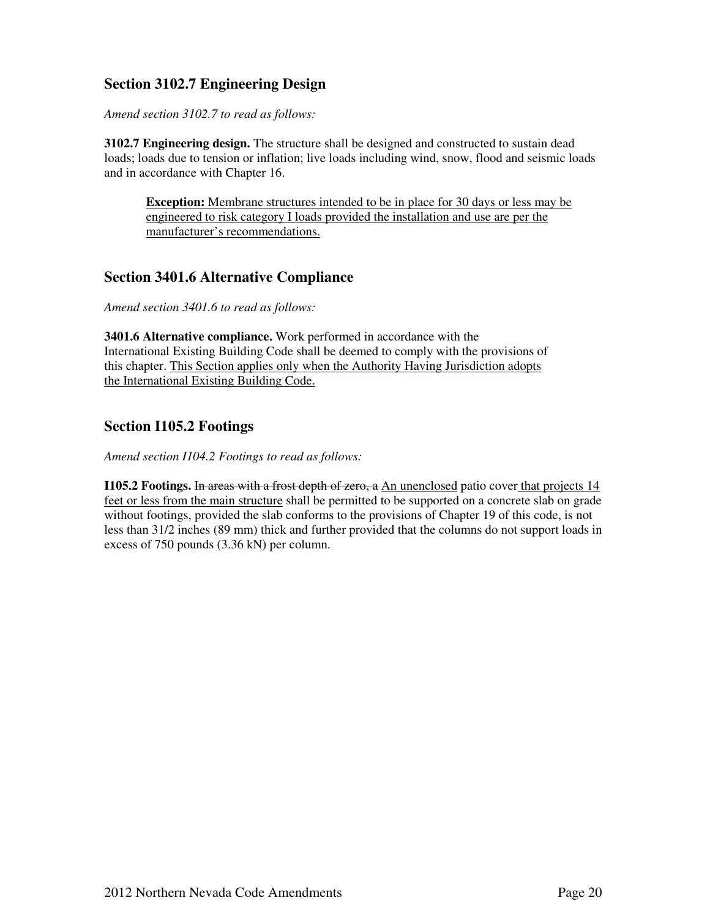### **Section 3102.7 Engineering Design**

*Amend section 3102.7 to read as follows:* 

**3102.7 Engineering design.** The structure shall be designed and constructed to sustain dead loads; loads due to tension or inflation; live loads including wind, snow, flood and seismic loads and in accordance with Chapter 16.

**Exception:** Membrane structures intended to be in place for 30 days or less may be engineered to risk category I loads provided the installation and use are per the manufacturer's recommendations.

#### **Section 3401.6 Alternative Compliance**

*Amend section 3401.6 to read as follows:* 

**3401.6 Alternative compliance.** Work performed in accordance with the International Existing Building Code shall be deemed to comply with the provisions of this chapter. This Section applies only when the Authority Having Jurisdiction adopts the International Existing Building Code.

#### **Section I105.2 Footings**

*Amend section I104.2 Footings to read as follows:* 

**I105.2 Footings.** In areas with a frost depth of zero, a An unenclosed patio cover that projects 14 feet or less from the main structure shall be permitted to be supported on a concrete slab on grade without footings, provided the slab conforms to the provisions of Chapter 19 of this code, is not less than 31/2 inches (89 mm) thick and further provided that the columns do not support loads in excess of 750 pounds (3.36 kN) per column.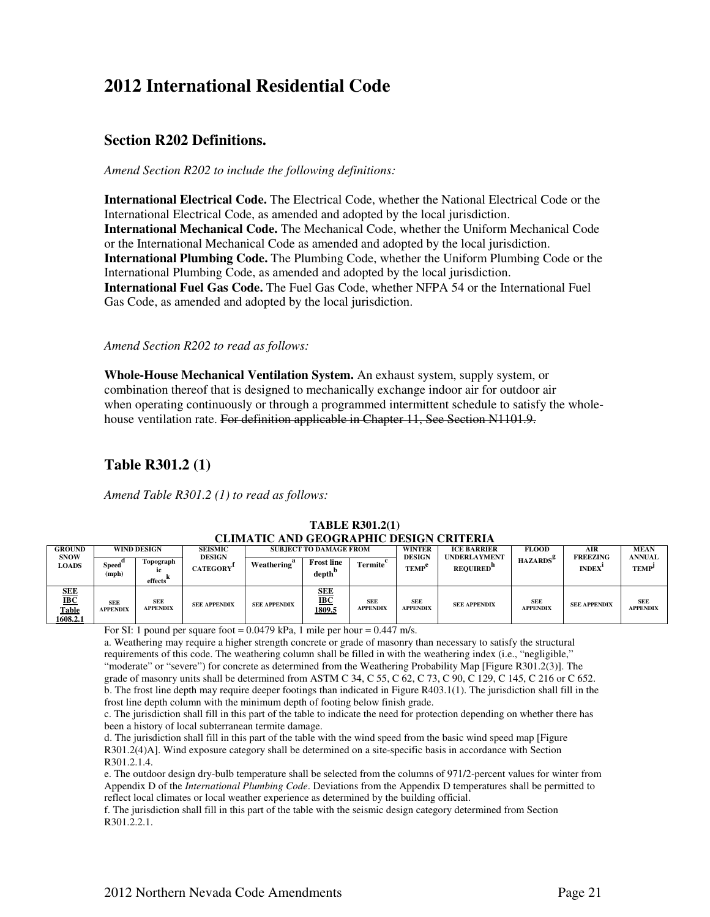## **2012 International Residential Code**

#### **Section R202 Definitions.**

*Amend Section R202 to include the following definitions:* 

**International Electrical Code.** The Electrical Code, whether the National Electrical Code or the International Electrical Code, as amended and adopted by the local jurisdiction. **International Mechanical Code.** The Mechanical Code, whether the Uniform Mechanical Code or the International Mechanical Code as amended and adopted by the local jurisdiction. **International Plumbing Code.** The Plumbing Code, whether the Uniform Plumbing Code or the International Plumbing Code, as amended and adopted by the local jurisdiction. **International Fuel Gas Code.** The Fuel Gas Code, whether NFPA 54 or the International Fuel Gas Code, as amended and adopted by the local jurisdiction.

#### *Amend Section R202 to read as follows:*

**Whole-House Mechanical Ventilation System.** An exhaust system, supply system, or combination thereof that is designed to mechanically exchange indoor air for outdoor air when operating continuously or through a programmed intermittent schedule to satisfy the wholehouse ventilation rate. For definition applicable in Chapter 11, See Section N1101.9.

### **Table R301.2 (1)**

*Amend Table R301.2 (1) to read as follows:* 

| <b>GROUND</b>                                          |                               | <b>WIND DESIGN</b>            | <b>SEISMIC</b>                   |                         | <b>SUBJECT TO DAMAGE FROM</b>           |                               | <b>WINTER</b>                 | <b>ICE BARRIER</b>                     | <b>FLOOD</b>                  | AIR                             | <b>MEAN</b>                   |
|--------------------------------------------------------|-------------------------------|-------------------------------|----------------------------------|-------------------------|-----------------------------------------|-------------------------------|-------------------------------|----------------------------------------|-------------------------------|---------------------------------|-------------------------------|
| <b>SNOW</b><br><b>LOADS</b>                            | Speed`<br>(mph)               | Topograph<br>effects          | <b>DESIGN</b><br><b>CATEGORY</b> | Weathering <sup>"</sup> | <b>Frost line</b><br>depth <sup>b</sup> | <b>Termite</b>                | <b>DESIGN</b><br><b>TEMP</b>  | <b>UNDERLAYMENT</b><br><b>REQUIRED</b> | <b>HAZARDS</b> <sup>8</sup>   | <b>FREEZING</b><br><b>INDEX</b> | <b>ANNUAL</b><br><b>TEMP</b>  |
| <b>SEE</b><br>$_{\rm IBC}$<br><b>Table</b><br>1608.2.1 | <b>SEE</b><br><b>APPENDIX</b> | <b>SEE</b><br><b>APPENDIX</b> | <b>SEE APPENDIX</b>              | <b>SEE APPENDIX</b>     | <b>SEE</b><br>$_{\rm IBC}$<br>1809.5    | <b>SEE</b><br><b>APPENDIX</b> | <b>SEE</b><br><b>APPENDIX</b> | <b>SEE APPENDIX</b>                    | <b>SEE</b><br><b>APPENDIX</b> | <b>SEE APPENDIX</b>             | <b>SEE</b><br><b>APPENDIX</b> |

#### **TABLE R301.2(1) CLIMATIC AND GEOGRAPHIC DESIGN CRITERIA**

For SI: 1 pound per square foot =  $0.0479$  kPa, 1 mile per hour =  $0.447$  m/s.

a. Weathering may require a higher strength concrete or grade of masonry than necessary to satisfy the structural requirements of this code. The weathering column shall be filled in with the weathering index (i.e., "negligible," "moderate" or "severe") for concrete as determined from the Weathering Probability Map [Figure R301.2(3)]. The grade of masonry units shall be determined from ASTM C 34, C 55, C 62, C 73, C 90, C 129, C 145, C 216 or C 652. b. The frost line depth may require deeper footings than indicated in Figure R403.1(1). The jurisdiction shall fill in the frost line depth column with the minimum depth of footing below finish grade.

c. The jurisdiction shall fill in this part of the table to indicate the need for protection depending on whether there has been a history of local subterranean termite damage.

d. The jurisdiction shall fill in this part of the table with the wind speed from the basic wind speed map [Figure R301.2(4)A]. Wind exposure category shall be determined on a site-specific basis in accordance with Section R301.2.1.4.

e. The outdoor design dry-bulb temperature shall be selected from the columns of 971/2-percent values for winter from Appendix D of the *International Plumbing Code*. Deviations from the Appendix D temperatures shall be permitted to reflect local climates or local weather experience as determined by the building official.

f. The jurisdiction shall fill in this part of the table with the seismic design category determined from Section R301.2.2.1.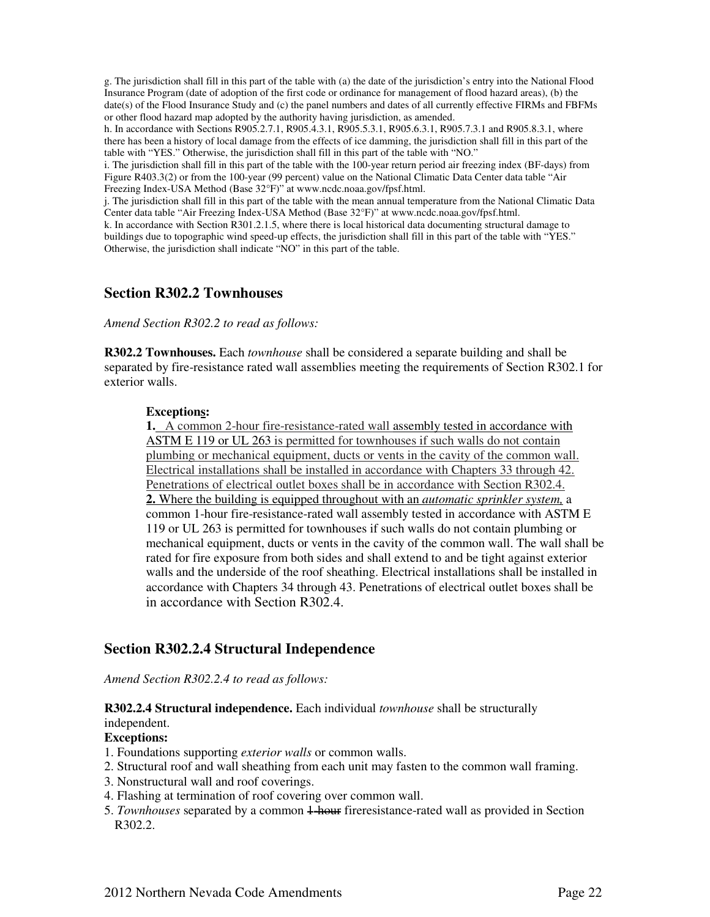g. The jurisdiction shall fill in this part of the table with (a) the date of the jurisdiction's entry into the National Flood Insurance Program (date of adoption of the first code or ordinance for management of flood hazard areas), (b) the date(s) of the Flood Insurance Study and (c) the panel numbers and dates of all currently effective FIRMs and FBFMs or other flood hazard map adopted by the authority having jurisdiction, as amended.

h. In accordance with Sections R905.2.7.1, R905.4.3.1, R905.5.3.1, R905.6.3.1, R905.7.3.1 and R905.8.3.1, where there has been a history of local damage from the effects of ice damming, the jurisdiction shall fill in this part of the table with "YES." Otherwise, the jurisdiction shall fill in this part of the table with "NO."

i. The jurisdiction shall fill in this part of the table with the 100-year return period air freezing index (BF-days) from Figure R403.3(2) or from the 100-year (99 percent) value on the National Climatic Data Center data table "Air Freezing Index-USA Method (Base 32°F)" at www.ncdc.noaa.gov/fpsf.html.

j. The jurisdiction shall fill in this part of the table with the mean annual temperature from the National Climatic Data Center data table "Air Freezing Index-USA Method (Base 32°F)" at www.ncdc.noaa.gov/fpsf.html.

k. In accordance with Section R301.2.1.5, where there is local historical data documenting structural damage to buildings due to topographic wind speed-up effects, the jurisdiction shall fill in this part of the table with "YES." Otherwise, the jurisdiction shall indicate "NO" in this part of the table.

#### **Section R302.2 Townhouses**

*Amend Section R302.2 to read as follows:* 

**R302.2 Townhouses.** Each *townhouse* shall be considered a separate building and shall be separated by fire-resistance rated wall assemblies meeting the requirements of Section R302.1 for exterior walls.

#### **Exceptions:**

**1.** A common 2-hour fire-resistance-rated wall assembly tested in accordance with ASTM E 119 or UL 263 is permitted for townhouses if such walls do not contain plumbing or mechanical equipment, ducts or vents in the cavity of the common wall. Electrical installations shall be installed in accordance with Chapters 33 through 42. Penetrations of electrical outlet boxes shall be in accordance with Section R302.4. **2.** Where the building is equipped throughout with an *automatic sprinkler system,* a common 1-hour fire-resistance-rated wall assembly tested in accordance with ASTM E 119 or UL 263 is permitted for townhouses if such walls do not contain plumbing or mechanical equipment, ducts or vents in the cavity of the common wall. The wall shall be rated for fire exposure from both sides and shall extend to and be tight against exterior walls and the underside of the roof sheathing. Electrical installations shall be installed in accordance with Chapters 34 through 43. Penetrations of electrical outlet boxes shall be in accordance with Section R302.4.

#### **Section R302.2.4 Structural Independence**

*Amend Section R302.2.4 to read as follows:* 

#### **R302.2.4 Structural independence.** Each individual *townhouse* shall be structurally independent.

#### **Exceptions:**

- 1. Foundations supporting *exterior walls* or common walls.
- 2. Structural roof and wall sheathing from each unit may fasten to the common wall framing.
- 3. Nonstructural wall and roof coverings.
- 4. Flashing at termination of roof covering over common wall.
- 5. *Townhouses* separated by a common 1-hour fireresistance-rated wall as provided in Section R302.2.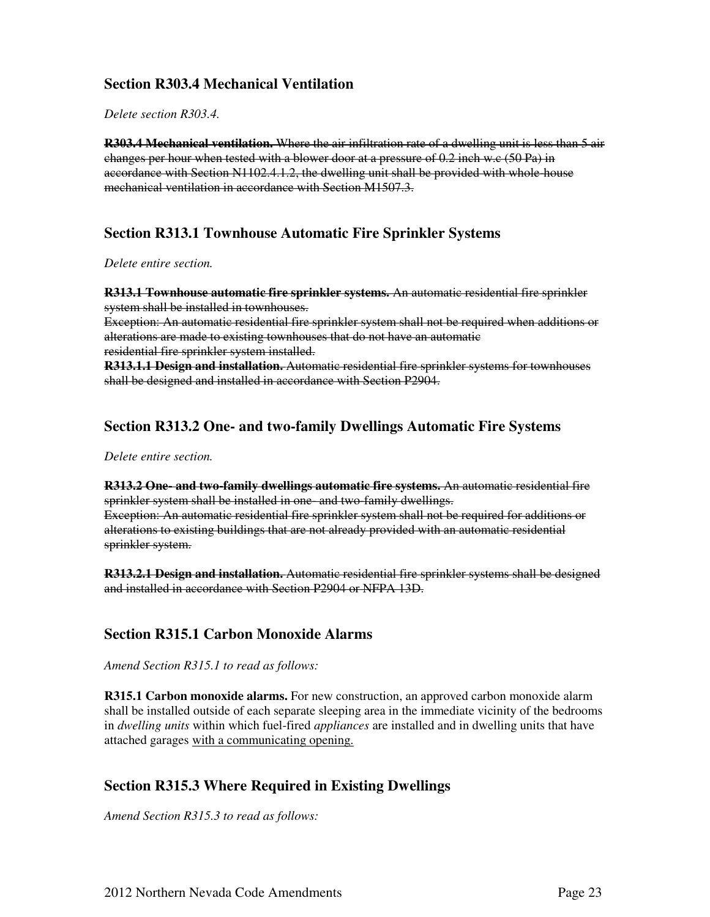### **Section R303.4 Mechanical Ventilation**

*Delete section R303.4.* 

**R303.4 Mechanical ventilation.** Where the air infiltration rate of a dwelling unit is less than 5 air changes per hour when tested with a blower door at a pressure of 0.2 inch w.c (50 Pa) in accordance with Section N1102.4.1.2, the dwelling unit shall be provided with whole-house mechanical ventilation in accordance with Section M1507.3.

#### **Section R313.1 Townhouse Automatic Fire Sprinkler Systems**

*Delete entire section.* 

**R313.1 Townhouse automatic fire sprinkler systems.** An automatic residential fire sprinkler system shall be installed in townhouses.

Exception: An automatic residential fire sprinkler system shall not be required when additions or alterations are made to existing townhouses that do not have an automatic residential fire sprinkler system installed.

**R313.1.1 Design and installation.** Automatic residential fire sprinkler systems for townhouses shall be designed and installed in accordance with Section P2904.

#### **Section R313.2 One- and two-family Dwellings Automatic Fire Systems**

*Delete entire section.* 

**R313.2 One- and two-family dwellings automatic fire systems.** An automatic residential fire sprinkler system shall be installed in one- and two-family dwellings. Exception: An automatic residential fire sprinkler system shall not be required for additions or alterations to existing buildings that are not already provided with an automatic residential sprinkler system.

**R313.2.1 Design and installation.** Automatic residential fire sprinkler systems shall be designed and installed in accordance with Section P2904 or NFPA 13D.

#### **Section R315.1 Carbon Monoxide Alarms**

*Amend Section R315.1 to read as follows:* 

**R315.1 Carbon monoxide alarms.** For new construction, an approved carbon monoxide alarm shall be installed outside of each separate sleeping area in the immediate vicinity of the bedrooms in *dwelling units* within which fuel-fired *appliances* are installed and in dwelling units that have attached garages with a communicating opening.

#### **Section R315.3 Where Required in Existing Dwellings**

*Amend Section R315.3 to read as follows:*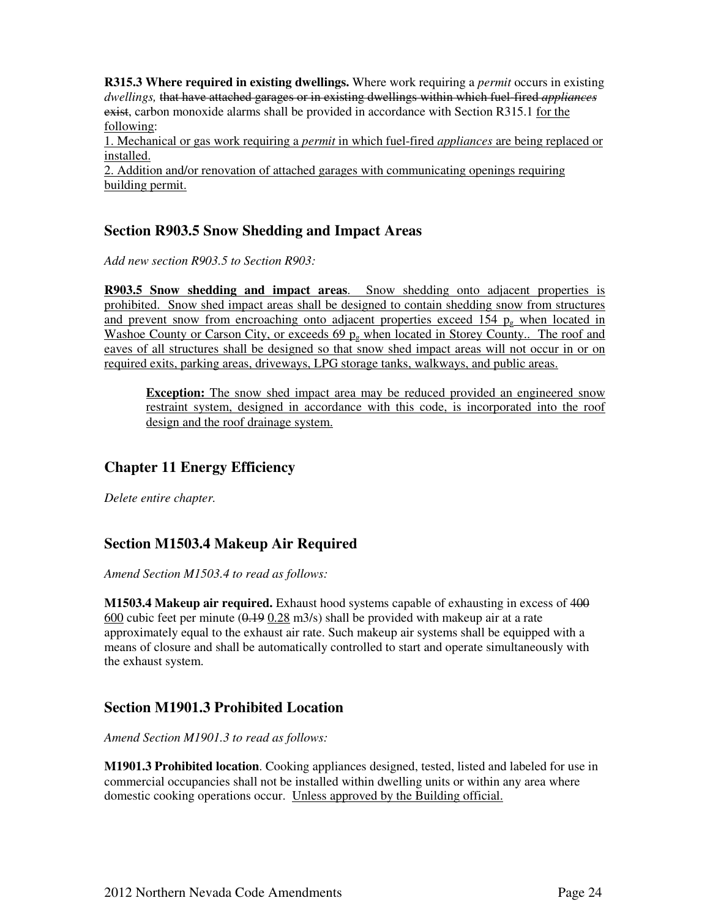**R315.3 Where required in existing dwellings.** Where work requiring a *permit* occurs in existing *dwellings,* that have attached garages or in existing dwellings within which fuel-fired *appliances*  exist, carbon monoxide alarms shall be provided in accordance with Section R315.1 for the following:

1. Mechanical or gas work requiring a *permit* in which fuel-fired *appliances* are being replaced or installed.

2. Addition and/or renovation of attached garages with communicating openings requiring building permit.

#### **Section R903.5 Snow Shedding and Impact Areas**

*Add new section R903.5 to Section R903:* 

**R903.5 Snow shedding and impact areas**. Snow shedding onto adjacent properties is prohibited. Snow shed impact areas shall be designed to contain shedding snow from structures and prevent snow from encroaching onto adjacent properties exceed 154  $p<sub>g</sub>$  when located in Washoe County or Carson City, or exceeds 69  $p<sub>g</sub>$  when located in Storey County.. The roof and eaves of all structures shall be designed so that snow shed impact areas will not occur in or on required exits, parking areas, driveways, LPG storage tanks, walkways, and public areas.

**Exception:** The snow shed impact area may be reduced provided an engineered snow restraint system, designed in accordance with this code, is incorporated into the roof design and the roof drainage system.

#### **Chapter 11 Energy Efficiency**

*Delete entire chapter.* 

#### **Section M1503.4 Makeup Air Required**

*Amend Section M1503.4 to read as follows:* 

**M1503.4 Makeup air required.** Exhaust hood systems capable of exhausting in excess of 400  $600$  cubic feet per minute ( $0.19$   $0.28$  m3/s) shall be provided with makeup air at a rate approximately equal to the exhaust air rate. Such makeup air systems shall be equipped with a means of closure and shall be automatically controlled to start and operate simultaneously with the exhaust system.

#### **Section M1901.3 Prohibited Location**

*Amend Section M1901.3 to read as follows:* 

**M1901.3 Prohibited location**. Cooking appliances designed, tested, listed and labeled for use in commercial occupancies shall not be installed within dwelling units or within any area where domestic cooking operations occur. Unless approved by the Building official.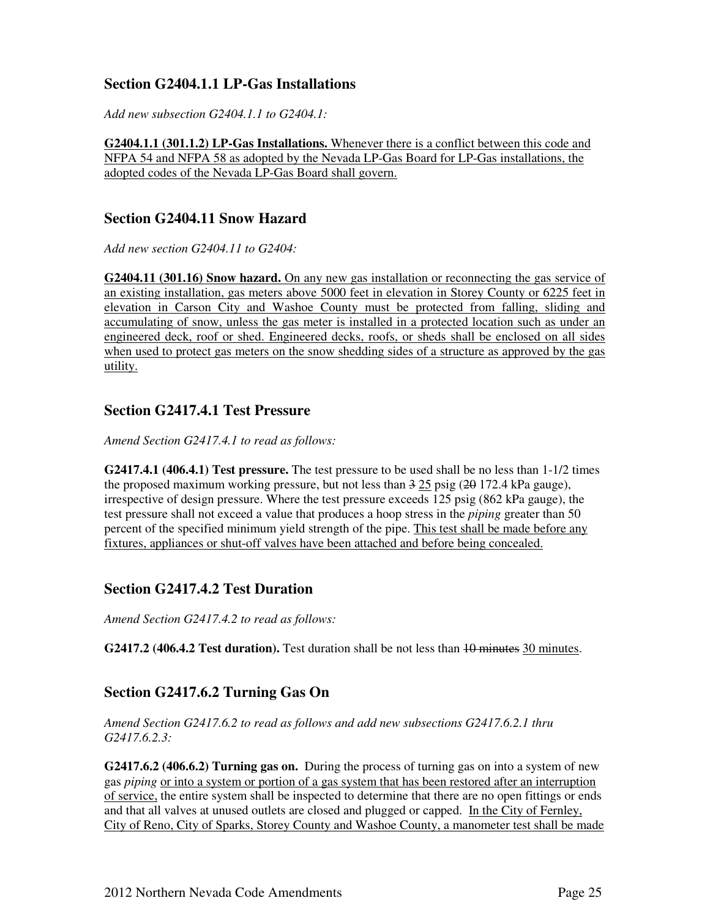#### **Section G2404.1.1 LP-Gas Installations**

*Add new subsection G2404.1.1 to G2404.1:*

**G2404.1.1 (301.1.2) LP-Gas Installations.** Whenever there is a conflict between this code and NFPA 54 and NFPA 58 as adopted by the Nevada LP-Gas Board for LP-Gas installations, the adopted codes of the Nevada LP-Gas Board shall govern.

#### **Section G2404.11 Snow Hazard**

*Add new section G2404.11 to G2404:* 

**G2404.11 (301.16) Snow hazard.** On any new gas installation or reconnecting the gas service of an existing installation, gas meters above 5000 feet in elevation in Storey County or 6225 feet in elevation in Carson City and Washoe County must be protected from falling, sliding and accumulating of snow, unless the gas meter is installed in a protected location such as under an engineered deck, roof or shed. Engineered decks, roofs, or sheds shall be enclosed on all sides when used to protect gas meters on the snow shedding sides of a structure as approved by the gas utility.

#### **Section G2417.4.1 Test Pressure**

*Amend Section G2417.4.1 to read as follows:* 

**G2417.4.1 (406.4.1) Test pressure.** The test pressure to be used shall be no less than 1-1/2 times the proposed maximum working pressure, but not less than  $3\,25$  psig ( $20\,172.4$  kPa gauge), irrespective of design pressure. Where the test pressure exceeds 125 psig (862 kPa gauge), the test pressure shall not exceed a value that produces a hoop stress in the *piping* greater than 50 percent of the specified minimum yield strength of the pipe. This test shall be made before any fixtures, appliances or shut-off valves have been attached and before being concealed.

#### **Section G2417.4.2 Test Duration**

*Amend Section G2417.4.2 to read as follows:* 

**G2417.2 (406.4.2 Test duration).** Test duration shall be not less than 40 minutes 30 minutes.

#### **Section G2417.6.2 Turning Gas On**

*Amend Section G2417.6.2 to read as follows and add new subsections G2417.6.2.1 thru G2417.6.2.3:* 

**G2417.6.2 (406.6.2) Turning gas on.** During the process of turning gas on into a system of new gas *piping* or into a system or portion of a gas system that has been restored after an interruption of service, the entire system shall be inspected to determine that there are no open fittings or ends and that all valves at unused outlets are closed and plugged or capped. In the City of Fernley, City of Reno, City of Sparks, Storey County and Washoe County, a manometer test shall be made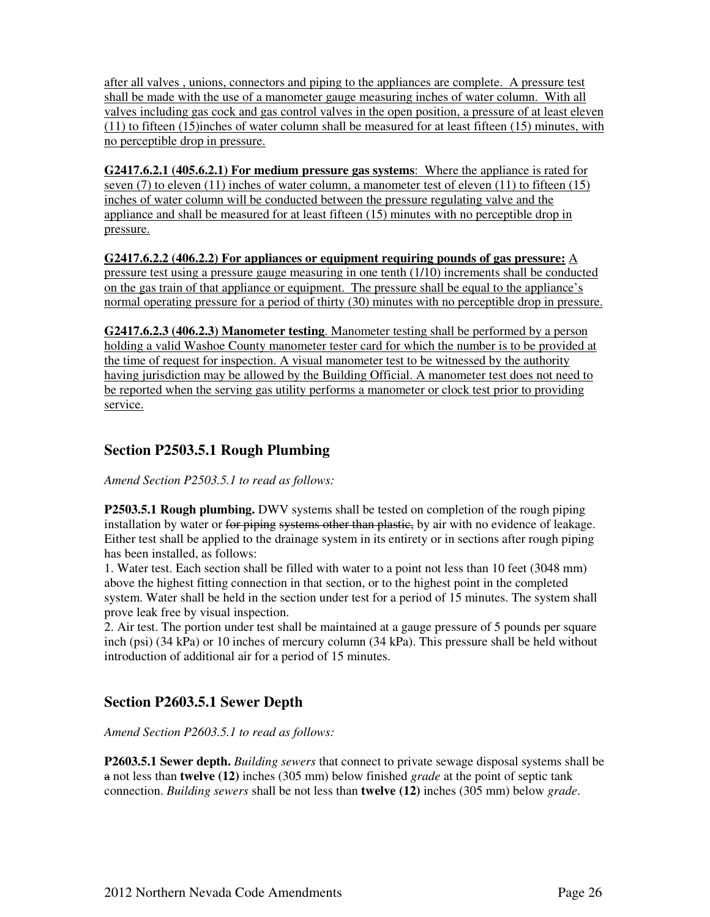after all valves , unions, connectors and piping to the appliances are complete. A pressure test shall be made with the use of a manometer gauge measuring inches of water column. With all valves including gas cock and gas control valves in the open position, a pressure of at least eleven (11) to fifteen (15)inches of water column shall be measured for at least fifteen (15) minutes, with no perceptible drop in pressure.

**G2417.6.2.1 (405.6.2.1) For medium pressure gas systems**: Where the appliance is rated for seven (7) to eleven (11) inches of water column, a manometer test of eleven (11) to fifteen (15) inches of water column will be conducted between the pressure regulating valve and the appliance and shall be measured for at least fifteen (15) minutes with no perceptible drop in pressure.

**G2417.6.2.2 (406.2.2) For appliances or equipment requiring pounds of gas pressure:** A pressure test using a pressure gauge measuring in one tenth (1/10) increments shall be conducted on the gas train of that appliance or equipment. The pressure shall be equal to the appliance's normal operating pressure for a period of thirty (30) minutes with no perceptible drop in pressure.

**G2417.6.2.3 (406.2.3) Manometer testing**. Manometer testing shall be performed by a person holding a valid Washoe County manometer tester card for which the number is to be provided at the time of request for inspection. A visual manometer test to be witnessed by the authority having jurisdiction may be allowed by the Building Official. A manometer test does not need to be reported when the serving gas utility performs a manometer or clock test prior to providing service.

#### **Section P2503.5.1 Rough Plumbing**

*Amend Section P2503.5.1 to read as follows:* 

**P2503.5.1 Rough plumbing.** DWV systems shall be tested on completion of the rough piping installation by water or for piping systems other than plastic, by air with no evidence of leakage. Either test shall be applied to the drainage system in its entirety or in sections after rough piping has been installed, as follows:

1. Water test. Each section shall be filled with water to a point not less than 10 feet (3048 mm) above the highest fitting connection in that section, or to the highest point in the completed system. Water shall be held in the section under test for a period of 15 minutes. The system shall prove leak free by visual inspection.

2. Air test. The portion under test shall be maintained at a gauge pressure of 5 pounds per square inch (psi) (34 kPa) or 10 inches of mercury column (34 kPa). This pressure shall be held without introduction of additional air for a period of 15 minutes.

### **Section P2603.5.1 Sewer Depth**

*Amend Section P2603.5.1 to read as follows:* 

**P2603.5.1 Sewer depth.** *Building sewers* that connect to private sewage disposal systems shall be a not less than **twelve (12)** inches (305 mm) below finished *grade* at the point of septic tank connection. *Building sewers* shall be not less than **twelve (12)** inches (305 mm) below *grade*.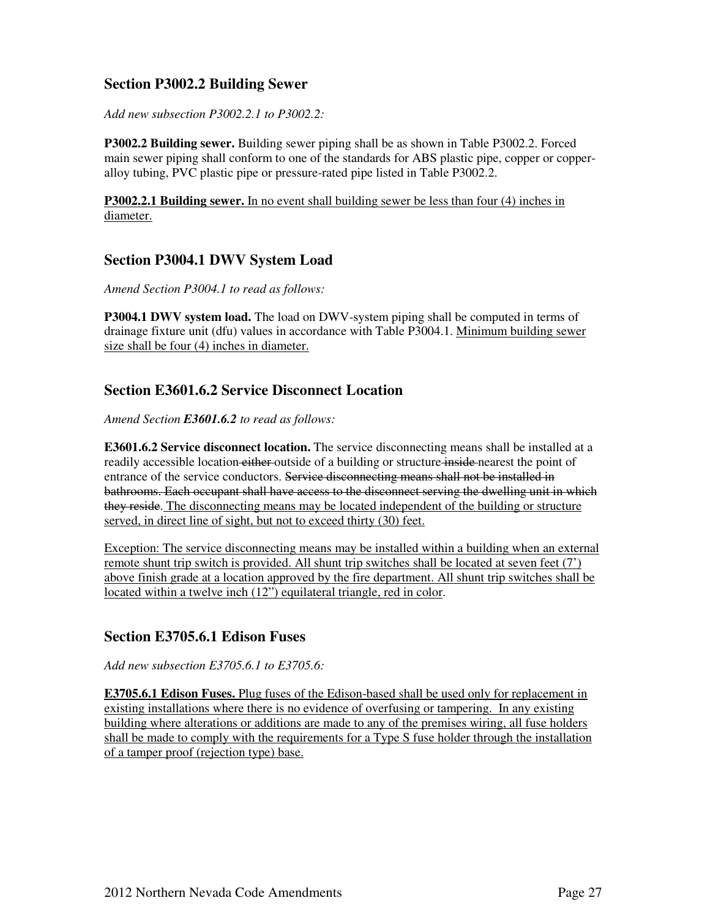#### **Section P3002.2 Building Sewer**

*Add new subsection P3002.2.1 to P3002.2:* 

**P3002.2 Building sewer.** Building sewer piping shall be as shown in Table P3002.2. Forced main sewer piping shall conform to one of the standards for ABS plastic pipe, copper or copperalloy tubing, PVC plastic pipe or pressure-rated pipe listed in Table P3002.2.

**P3002.2.1 Building sewer.** In no event shall building sewer be less than four (4) inches in diameter.

#### **Section P3004.1 DWV System Load**

*Amend Section P3004.1 to read as follows:* 

**P3004.1 DWV system load.** The load on DWV-system piping shall be computed in terms of drainage fixture unit (dfu) values in accordance with Table P3004.1. Minimum building sewer size shall be four (4) inches in diameter.

#### **Section E3601.6.2 Service Disconnect Location**

*Amend Section E3601.6.2 to read as follows:* 

**E3601.6.2 Service disconnect location.** The service disconnecting means shall be installed at a readily accessible location either outside of a building or structure inside nearest the point of entrance of the service conductors. Service disconnecting means shall not be installed in bathrooms. Each occupant shall have access to the disconnect serving the dwelling unit in which they reside. The disconnecting means may be located independent of the building or structure served, in direct line of sight, but not to exceed thirty (30) feet.

Exception: The service disconnecting means may be installed within a building when an external remote shunt trip switch is provided. All shunt trip switches shall be located at seven feet (7') above finish grade at a location approved by the fire department. All shunt trip switches shall be located within a twelve inch (12") equilateral triangle, red in color.

#### **Section E3705.6.1 Edison Fuses**

*Add new subsection E3705.6.1 to E3705.6:* 

**E3705.6.1 Edison Fuses.** Plug fuses of the Edison-based shall be used only for replacement in existing installations where there is no evidence of overfusing or tampering. In any existing building where alterations or additions are made to any of the premises wiring, all fuse holders shall be made to comply with the requirements for a Type S fuse holder through the installation of a tamper proof (rejection type) base.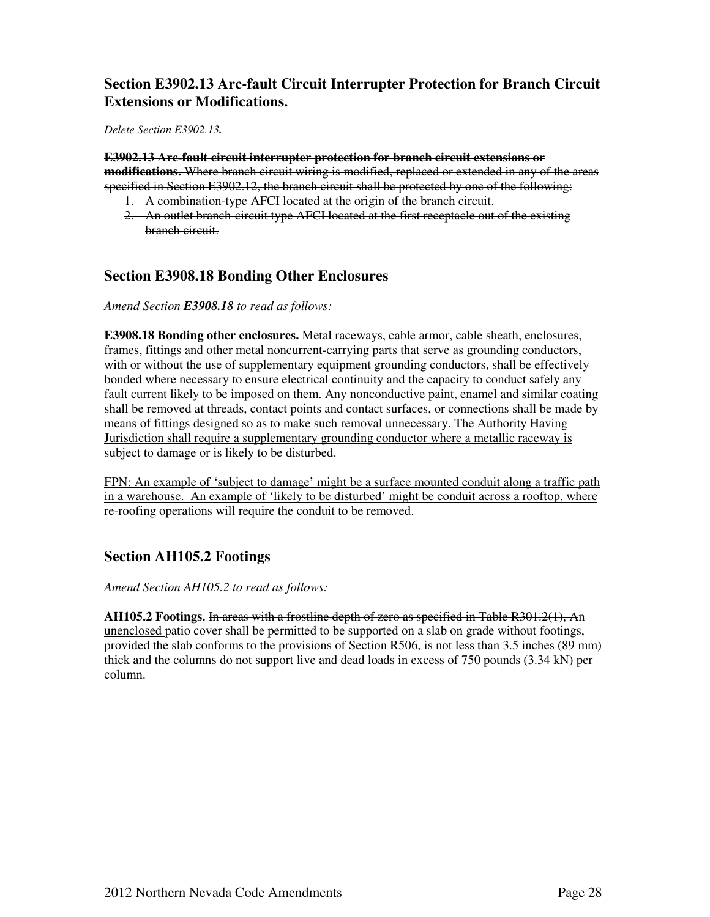#### **Section E3902.13 Arc-fault Circuit Interrupter Protection for Branch Circuit Extensions or Modifications.**

*Delete Section E3902.13.*

**E3902.13 Arc-fault circuit interrupter protection for branch circuit extensions or modifications.** Where branch circuit wiring is modified, replaced or extended in any of the areas specified in Section E3902.12, the branch circuit shall be protected by one of the following:

- 1. A combination-type AFCI located at the origin of the branch circuit.
- 2. An outlet branch-circuit type AFCI located at the first receptacle out of the existing branch circuit.

#### **Section E3908.18 Bonding Other Enclosures**

*Amend Section E3908.18 to read as follows:* 

**E3908.18 Bonding other enclosures.** Metal raceways, cable armor, cable sheath, enclosures, frames, fittings and other metal noncurrent-carrying parts that serve as grounding conductors, with or without the use of supplementary equipment grounding conductors, shall be effectively bonded where necessary to ensure electrical continuity and the capacity to conduct safely any fault current likely to be imposed on them. Any nonconductive paint, enamel and similar coating shall be removed at threads, contact points and contact surfaces, or connections shall be made by means of fittings designed so as to make such removal unnecessary. The Authority Having Jurisdiction shall require a supplementary grounding conductor where a metallic raceway is subject to damage or is likely to be disturbed.

FPN: An example of 'subject to damage' might be a surface mounted conduit along a traffic path in a warehouse. An example of 'likely to be disturbed' might be conduit across a rooftop, where re-roofing operations will require the conduit to be removed.

#### **Section AH105.2 Footings**

*Amend Section AH105.2 to read as follows:* 

**AH105.2 Footings.** In areas with a frostline depth of zero as specified in Table R301.2(1), An unenclosed patio cover shall be permitted to be supported on a slab on grade without footings, provided the slab conforms to the provisions of Section R506, is not less than 3.5 inches (89 mm) thick and the columns do not support live and dead loads in excess of 750 pounds (3.34 kN) per column.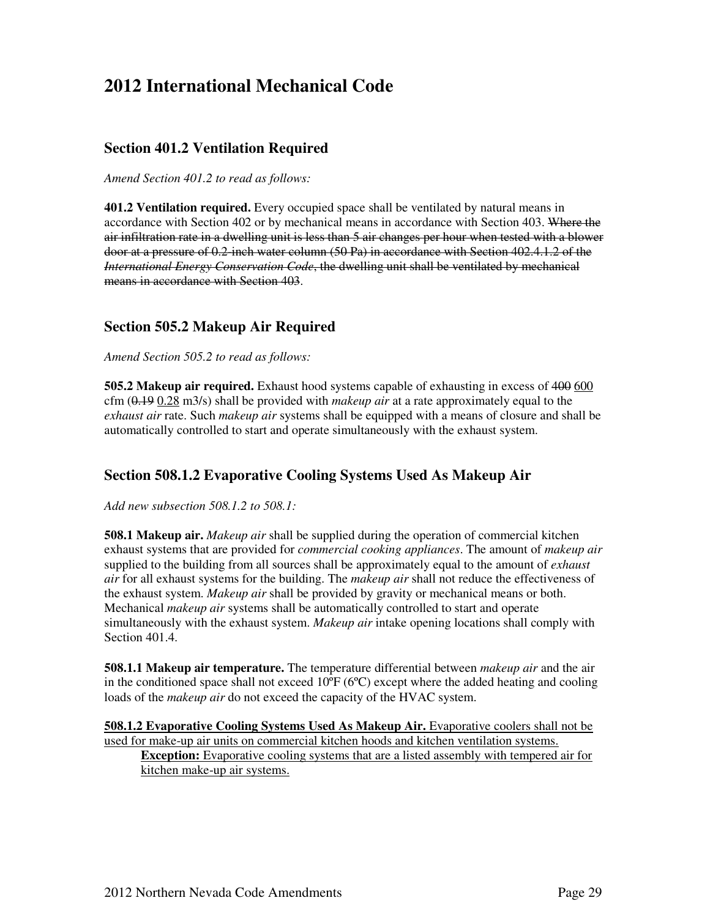## **2012 International Mechanical Code**

#### **Section 401.2 Ventilation Required**

*Amend Section 401.2 to read as follows:*

**401.2 Ventilation required.** Every occupied space shall be ventilated by natural means in accordance with Section 402 or by mechanical means in accordance with Section 403. Where the air infiltration rate in a dwelling unit is less than 5 air changes per hour when tested with a blower door at a pressure of 0.2-inch water column (50 Pa) in accordance with Section 402.4.1.2 of the *International Energy Conservation Code*, the dwelling unit shall be ventilated by mechanical means in accordance with Section 403.

#### **Section 505.2 Makeup Air Required**

*Amend Section 505.2 to read as follows:*

**505.2 Makeup air required.** Exhaust hood systems capable of exhausting in excess of 400 600 cfm (0.19 0.28 m3/s) shall be provided with *makeup air* at a rate approximately equal to the *exhaust air* rate. Such *makeup air* systems shall be equipped with a means of closure and shall be automatically controlled to start and operate simultaneously with the exhaust system.

#### **Section 508.1.2 Evaporative Cooling Systems Used As Makeup Air**

*Add new subsection 508.1.2 to 508.1:*

**508.1 Makeup air.** *Makeup air* shall be supplied during the operation of commercial kitchen exhaust systems that are provided for *commercial cooking appliances*. The amount of *makeup air*  supplied to the building from all sources shall be approximately equal to the amount of *exhaust air* for all exhaust systems for the building. The *makeup air* shall not reduce the effectiveness of the exhaust system. *Makeup air* shall be provided by gravity or mechanical means or both. Mechanical *makeup air* systems shall be automatically controlled to start and operate simultaneously with the exhaust system. *Makeup air* intake opening locations shall comply with Section 401.4.

**508.1.1 Makeup air temperature.** The temperature differential between *makeup air* and the air in the conditioned space shall not exceed  $10^{\circ}F(6^{\circ}C)$  except where the added heating and cooling loads of the *makeup air* do not exceed the capacity of the HVAC system.

**508.1.2 Evaporative Cooling Systems Used As Makeup Air.** Evaporative coolers shall not be used for make-up air units on commercial kitchen hoods and kitchen ventilation systems.

**Exception:** Evaporative cooling systems that are a listed assembly with tempered air for kitchen make-up air systems.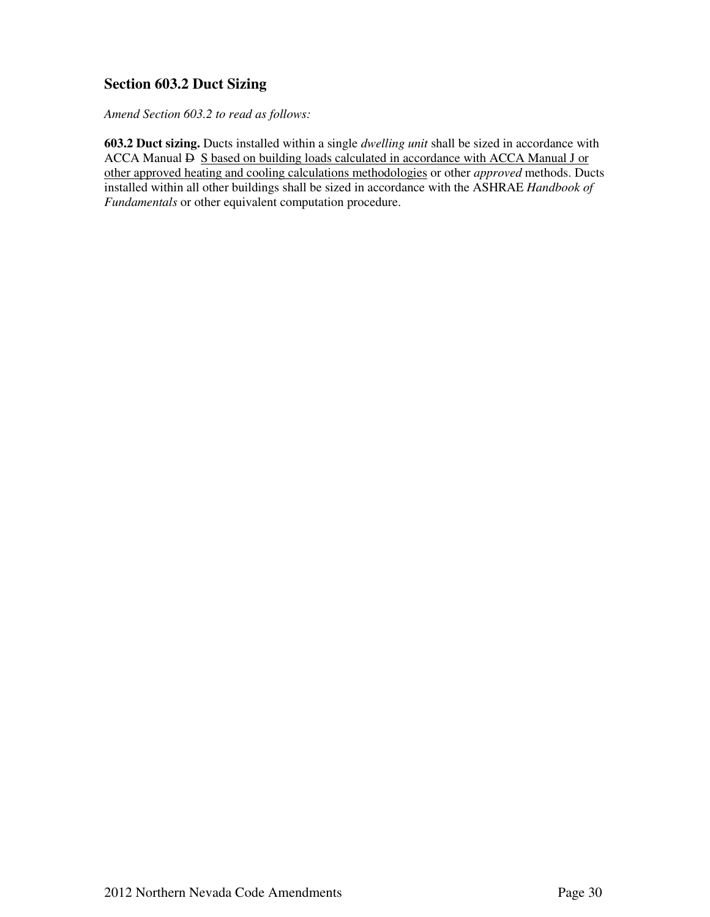### **Section 603.2 Duct Sizing**

*Amend Section 603.2 to read as follows:*

**603.2 Duct sizing.** Ducts installed within a single *dwelling unit* shall be sized in accordance with ACCA Manual  $\overline{P}$  S based on building loads calculated in accordance with ACCA Manual J or other approved heating and cooling calculations methodologies or other *approved* methods. Ducts installed within all other buildings shall be sized in accordance with the ASHRAE *Handbook of Fundamentals* or other equivalent computation procedure.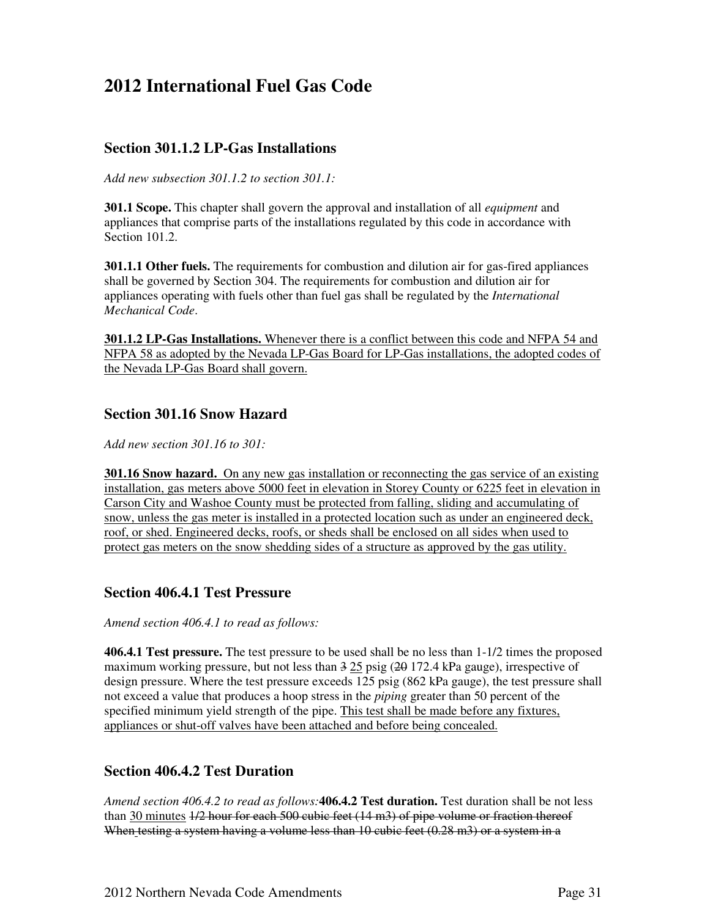## **2012 International Fuel Gas Code**

#### **Section 301.1.2 LP-Gas Installations**

*Add new subsection 301.1.2 to section 301.1:* 

**301.1 Scope.** This chapter shall govern the approval and installation of all *equipment* and appliances that comprise parts of the installations regulated by this code in accordance with Section 101.2.

**301.1.1 Other fuels.** The requirements for combustion and dilution air for gas-fired appliances shall be governed by Section 304. The requirements for combustion and dilution air for appliances operating with fuels other than fuel gas shall be regulated by the *International Mechanical Code*.

**301.1.2 LP-Gas Installations.** Whenever there is a conflict between this code and NFPA 54 and NFPA 58 as adopted by the Nevada LP-Gas Board for LP-Gas installations, the adopted codes of the Nevada LP-Gas Board shall govern.

#### **Section 301.16 Snow Hazard**

*Add new section 301.16 to 301:* 

**301.16 Snow hazard.** On any new gas installation or reconnecting the gas service of an existing installation, gas meters above 5000 feet in elevation in Storey County or 6225 feet in elevation in Carson City and Washoe County must be protected from falling, sliding and accumulating of snow, unless the gas meter is installed in a protected location such as under an engineered deck, roof, or shed. Engineered decks, roofs, or sheds shall be enclosed on all sides when used to protect gas meters on the snow shedding sides of a structure as approved by the gas utility.

#### **Section 406.4.1 Test Pressure**

*Amend section 406.4.1 to read as follows:* 

**406.4.1 Test pressure.** The test pressure to be used shall be no less than 1-1/2 times the proposed maximum working pressure, but not less than  $3\overline{25}$  psig ( $\overline{20}$  172.4 kPa gauge), irrespective of design pressure. Where the test pressure exceeds 125 psig (862 kPa gauge), the test pressure shall not exceed a value that produces a hoop stress in the *piping* greater than 50 percent of the specified minimum yield strength of the pipe. This test shall be made before any fixtures, appliances or shut-off valves have been attached and before being concealed.

#### **Section 406.4.2 Test Duration**

*Amend section 406.4.2 to read as follows:***406.4.2 Test duration.** Test duration shall be not less than 30 minutes  $\frac{1}{2}$  hour for each 500 cubic feet (14 m3) of pipe volume or fraction thereof When testing a system having a volume less than 10 cubic feet (0.28 m3) or a system in a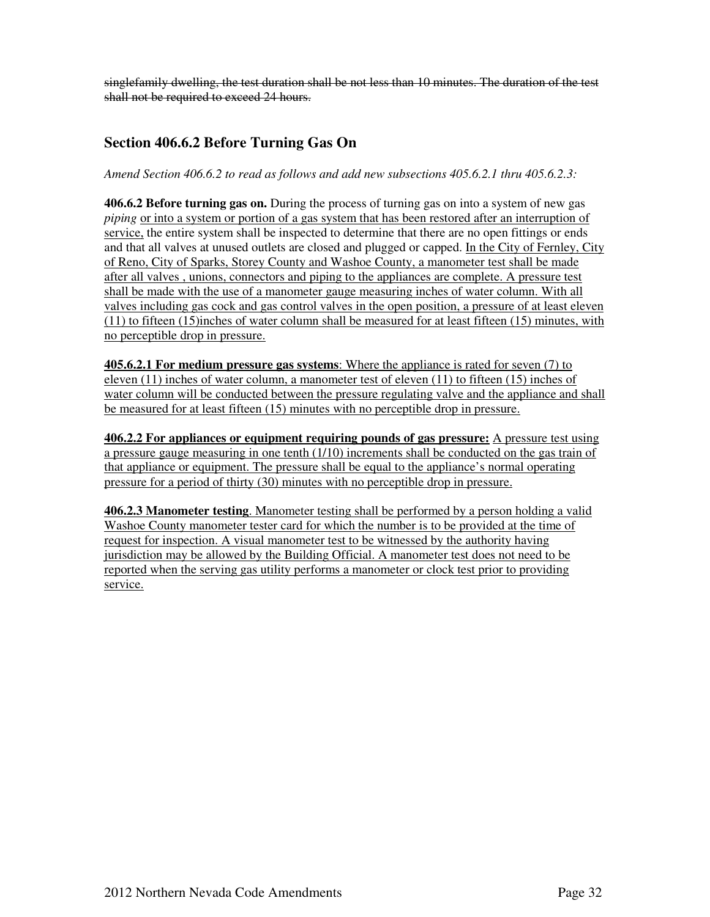singlefamily dwelling, the test duration shall be not less than 10 minutes. The duration of the test shall not be required to exceed 24 hours.

#### **Section 406.6.2 Before Turning Gas On**

*Amend Section 406.6.2 to read as follows and add new subsections 405.6.2.1 thru 405.6.2.3:* 

**406.6.2 Before turning gas on.** During the process of turning gas on into a system of new gas *piping* or into a system or portion of a gas system that has been restored after an interruption of service, the entire system shall be inspected to determine that there are no open fittings or ends and that all valves at unused outlets are closed and plugged or capped. In the City of Fernley, City of Reno, City of Sparks, Storey County and Washoe County, a manometer test shall be made after all valves , unions, connectors and piping to the appliances are complete. A pressure test shall be made with the use of a manometer gauge measuring inches of water column. With all valves including gas cock and gas control valves in the open position, a pressure of at least eleven (11) to fifteen (15)inches of water column shall be measured for at least fifteen (15) minutes, with no perceptible drop in pressure.

**405.6.2.1 For medium pressure gas systems**: Where the appliance is rated for seven (7) to eleven (11) inches of water column, a manometer test of eleven (11) to fifteen (15) inches of water column will be conducted between the pressure regulating valve and the appliance and shall be measured for at least fifteen (15) minutes with no perceptible drop in pressure.

**406.2.2 For appliances or equipment requiring pounds of gas pressure:** A pressure test using a pressure gauge measuring in one tenth (1/10) increments shall be conducted on the gas train of that appliance or equipment. The pressure shall be equal to the appliance's normal operating pressure for a period of thirty (30) minutes with no perceptible drop in pressure.

**406.2.3 Manometer testing**. Manometer testing shall be performed by a person holding a valid Washoe County manometer tester card for which the number is to be provided at the time of request for inspection. A visual manometer test to be witnessed by the authority having jurisdiction may be allowed by the Building Official. A manometer test does not need to be reported when the serving gas utility performs a manometer or clock test prior to providing service.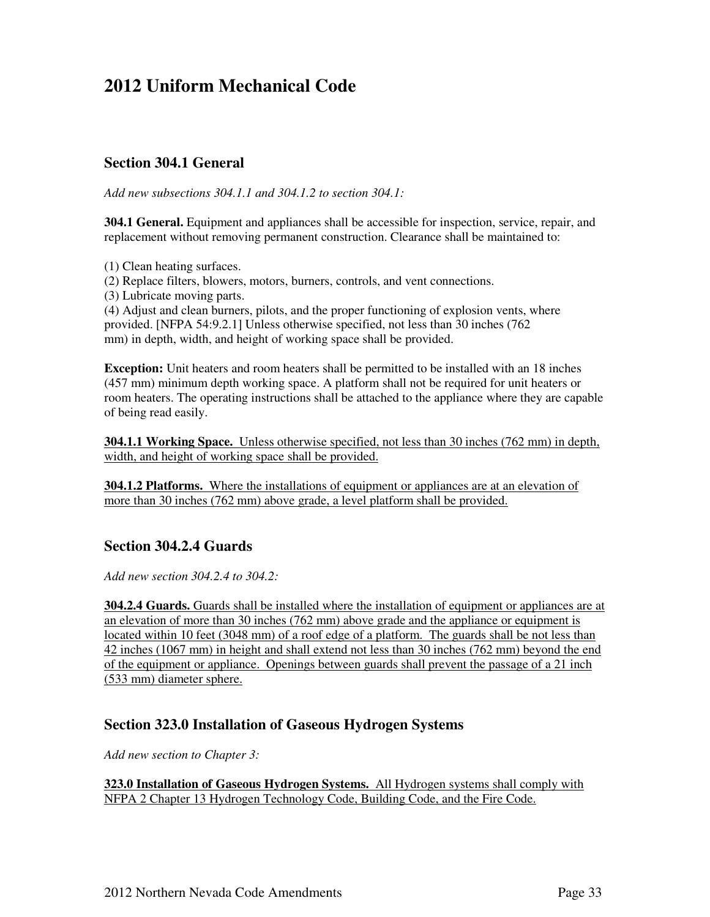## **2012 Uniform Mechanical Code**

#### **Section 304.1 General**

*Add new subsections 304.1.1 and 304.1.2 to section 304.1:* 

**304.1 General.** Equipment and appliances shall be accessible for inspection, service, repair, and replacement without removing permanent construction. Clearance shall be maintained to:

(1) Clean heating surfaces.

(2) Replace filters, blowers, motors, burners, controls, and vent connections.

(3) Lubricate moving parts.

(4) Adjust and clean burners, pilots, and the proper functioning of explosion vents, where provided. [NFPA 54:9.2.1] Unless otherwise specified, not less than 30 inches (762 mm) in depth, width, and height of working space shall be provided.

**Exception:** Unit heaters and room heaters shall be permitted to be installed with an 18 inches (457 mm) minimum depth working space. A platform shall not be required for unit heaters or room heaters. The operating instructions shall be attached to the appliance where they are capable of being read easily.

**304.1.1 Working Space.** Unless otherwise specified, not less than 30 inches (762 mm) in depth, width, and height of working space shall be provided.

**304.1.2 Platforms.** Where the installations of equipment or appliances are at an elevation of more than 30 inches (762 mm) above grade, a level platform shall be provided.

#### **Section 304.2.4 Guards**

*Add new section 304.2.4 to 304.2:*

**304.2.4 Guards.** Guards shall be installed where the installation of equipment or appliances are at an elevation of more than 30 inches (762 mm) above grade and the appliance or equipment is located within 10 feet (3048 mm) of a roof edge of a platform. The guards shall be not less than 42 inches (1067 mm) in height and shall extend not less than 30 inches (762 mm) beyond the end of the equipment or appliance. Openings between guards shall prevent the passage of a 21 inch (533 mm) diameter sphere.

#### **Section 323.0 Installation of Gaseous Hydrogen Systems**

*Add new section to Chapter 3:* 

**323.0 Installation of Gaseous Hydrogen Systems.** All Hydrogen systems shall comply with NFPA 2 Chapter 13 Hydrogen Technology Code, Building Code, and the Fire Code.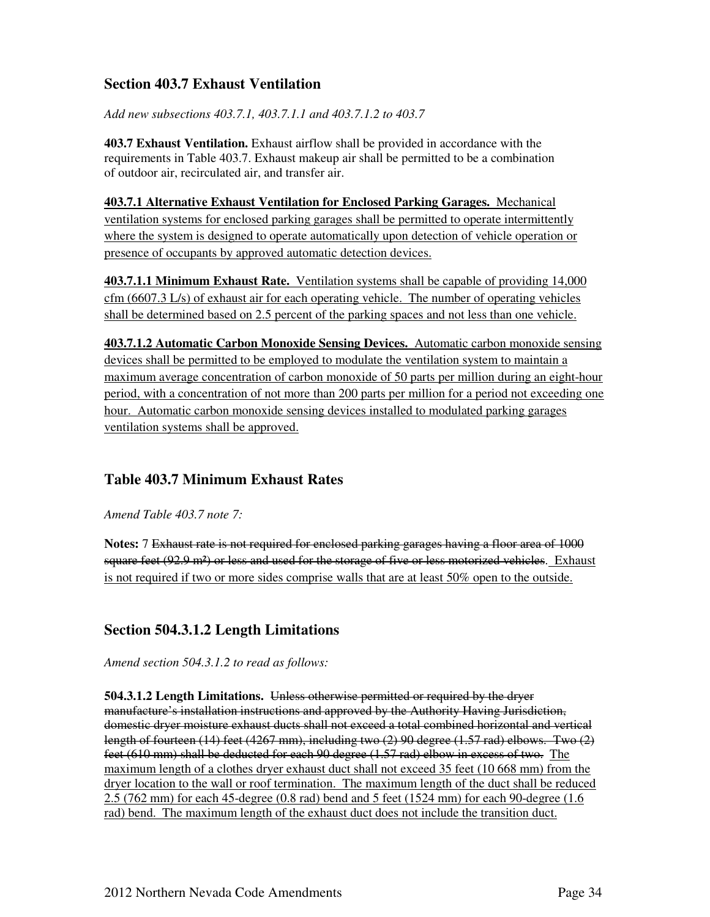### **Section 403.7 Exhaust Ventilation**

*Add new subsections 403.7.1, 403.7.1.1 and 403.7.1.2 to 403.7* 

**403.7 Exhaust Ventilation.** Exhaust airflow shall be provided in accordance with the requirements in Table 403.7. Exhaust makeup air shall be permitted to be a combination of outdoor air, recirculated air, and transfer air.

**403.7.1 Alternative Exhaust Ventilation for Enclosed Parking Garages.** Mechanical ventilation systems for enclosed parking garages shall be permitted to operate intermittently where the system is designed to operate automatically upon detection of vehicle operation or presence of occupants by approved automatic detection devices.

**403.7.1.1 Minimum Exhaust Rate.** Ventilation systems shall be capable of providing 14,000 cfm (6607.3 L/s) of exhaust air for each operating vehicle. The number of operating vehicles shall be determined based on 2.5 percent of the parking spaces and not less than one vehicle.

**403.7.1.2 Automatic Carbon Monoxide Sensing Devices.** Automatic carbon monoxide sensing devices shall be permitted to be employed to modulate the ventilation system to maintain a maximum average concentration of carbon monoxide of 50 parts per million during an eight-hour period, with a concentration of not more than 200 parts per million for a period not exceeding one hour. Automatic carbon monoxide sensing devices installed to modulated parking garages ventilation systems shall be approved.

### **Table 403.7 Minimum Exhaust Rates**

*Amend Table 403.7 note 7:* 

**Notes:** 7 Exhaust rate is not required for enclosed parking garages having a floor area of 1000 square feet (92.9 m<sup>2</sup>) or less and used for the storage of five or less motorized vehicles. Exhaust is not required if two or more sides comprise walls that are at least 50% open to the outside.

### **Section 504.3.1.2 Length Limitations**

*Amend section 504.3.1.2 to read as follows:* 

**504.3.1.2 Length Limitations.** Unless otherwise permitted or required by the dryer manufacture's installation instructions and approved by the Authority Having Jurisdiction, domestic dryer moisture exhaust ducts shall not exceed a total combined horizontal and vertical length of fourteen (14) feet (4267 mm), including two (2) 90 degree (1.57 rad) elbows. Two (2) feet (610 mm) shall be deducted for each 90 degree (1.57 rad) elbow in excess of two. The maximum length of a clothes dryer exhaust duct shall not exceed 35 feet (10 668 mm) from the dryer location to the wall or roof termination. The maximum length of the duct shall be reduced 2.5 (762 mm) for each 45-degree (0.8 rad) bend and 5 feet (1524 mm) for each 90-degree (1.6 rad) bend. The maximum length of the exhaust duct does not include the transition duct.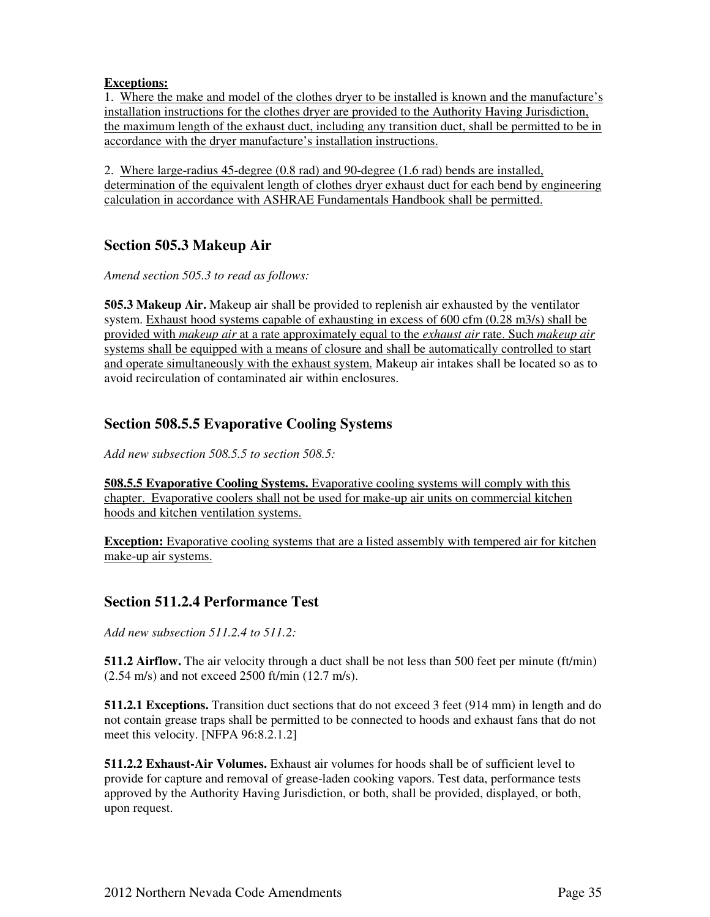#### **Exceptions:**

1. Where the make and model of the clothes dryer to be installed is known and the manufacture's installation instructions for the clothes dryer are provided to the Authority Having Jurisdiction, the maximum length of the exhaust duct, including any transition duct, shall be permitted to be in accordance with the dryer manufacture's installation instructions.

2. Where large-radius 45-degree (0.8 rad) and 90-degree (1.6 rad) bends are installed, determination of the equivalent length of clothes dryer exhaust duct for each bend by engineering calculation in accordance with ASHRAE Fundamentals Handbook shall be permitted.

## **Section 505.3 Makeup Air**

*Amend section 505.3 to read as follows:* 

**505.3 Makeup Air.** Makeup air shall be provided to replenish air exhausted by the ventilator system. Exhaust hood systems capable of exhausting in excess of 600 cfm (0.28 m3/s) shall be provided with *makeup air* at a rate approximately equal to the *exhaust air* rate. Such *makeup air*  systems shall be equipped with a means of closure and shall be automatically controlled to start and operate simultaneously with the exhaust system. Makeup air intakes shall be located so as to avoid recirculation of contaminated air within enclosures.

### **Section 508.5.5 Evaporative Cooling Systems**

*Add new subsection 508.5.5 to section 508.5:*

**508.5.5 Evaporative Cooling Systems.** Evaporative cooling systems will comply with this chapter. Evaporative coolers shall not be used for make-up air units on commercial kitchen hoods and kitchen ventilation systems.

**Exception:** Evaporative cooling systems that are a listed assembly with tempered air for kitchen make-up air systems.

### **Section 511.2.4 Performance Test**

*Add new subsection 511.2.4 to 511.2:* 

**511.2 Airflow.** The air velocity through a duct shall be not less than 500 feet per minute (ft/min) (2.54 m/s) and not exceed 2500 ft/min (12.7 m/s).

**511.2.1 Exceptions.** Transition duct sections that do not exceed 3 feet (914 mm) in length and do not contain grease traps shall be permitted to be connected to hoods and exhaust fans that do not meet this velocity. [NFPA 96:8.2.1.2]

**511.2.2 Exhaust-Air Volumes.** Exhaust air volumes for hoods shall be of sufficient level to provide for capture and removal of grease-laden cooking vapors. Test data, performance tests approved by the Authority Having Jurisdiction, or both, shall be provided, displayed, or both, upon request.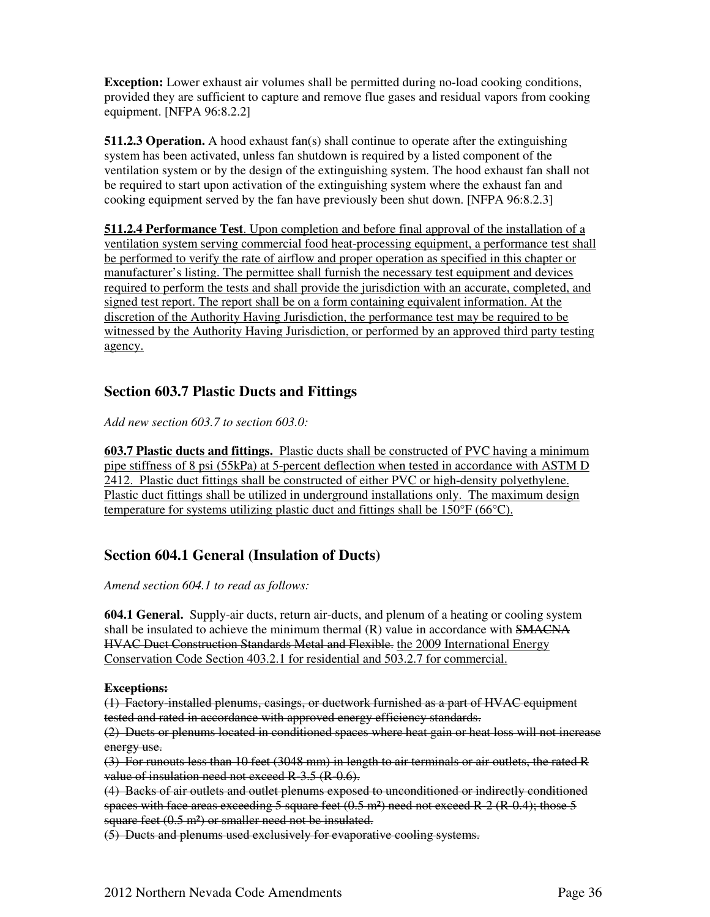**Exception:** Lower exhaust air volumes shall be permitted during no-load cooking conditions, provided they are sufficient to capture and remove flue gases and residual vapors from cooking equipment. [NFPA 96:8.2.2]

**511.2.3 Operation.** A hood exhaust fan(s) shall continue to operate after the extinguishing system has been activated, unless fan shutdown is required by a listed component of the ventilation system or by the design of the extinguishing system. The hood exhaust fan shall not be required to start upon activation of the extinguishing system where the exhaust fan and cooking equipment served by the fan have previously been shut down. [NFPA 96:8.2.3]

**511.2.4 Performance Test**. Upon completion and before final approval of the installation of a ventilation system serving commercial food heat-processing equipment, a performance test shall be performed to verify the rate of airflow and proper operation as specified in this chapter or manufacturer's listing. The permittee shall furnish the necessary test equipment and devices required to perform the tests and shall provide the jurisdiction with an accurate, completed, and signed test report. The report shall be on a form containing equivalent information. At the discretion of the Authority Having Jurisdiction, the performance test may be required to be witnessed by the Authority Having Jurisdiction, or performed by an approved third party testing agency.

#### **Section 603.7 Plastic Ducts and Fittings**

*Add new section 603.7 to section 603.0:* 

**603.7 Plastic ducts and fittings.** Plastic ducts shall be constructed of PVC having a minimum pipe stiffness of 8 psi (55kPa) at 5-percent deflection when tested in accordance with ASTM D 2412. Plastic duct fittings shall be constructed of either PVC or high-density polyethylene. Plastic duct fittings shall be utilized in underground installations only. The maximum design temperature for systems utilizing plastic duct and fittings shall be  $150^{\circ}F (66^{\circ}C)$ .

#### **Section 604.1 General (Insulation of Ducts)**

#### *Amend section 604.1 to read as follows:*

**604.1 General.** Supply-air ducts, return air-ducts, and plenum of a heating or cooling system shall be insulated to achieve the minimum thermal  $(R)$  value in accordance with  $SMACNA$ HVAC Duct Construction Standards Metal and Flexible. the 2009 International Energy Conservation Code Section 403.2.1 for residential and 503.2.7 for commercial.

#### **Exceptions:**

(1) Factory-installed plenums, casings, or ductwork furnished as a part of HVAC equipment tested and rated in accordance with approved energy efficiency standards.

(2) Ducts or plenums located in conditioned spaces where heat gain or heat loss will not increase energy use.

(3) For runouts less than 10 feet (3048 mm) in length to air terminals or air outlets, the rated R value of insulation need not exceed R-3.5 (R-0.6).

(4) Backs of air outlets and outlet plenums exposed to unconditioned or indirectly conditioned spaces with face areas exceeding  $5$  square feet  $(0.5 \text{ m}^2)$  need not exceed R-2 (R-0.4); those  $5$ square feet (0.5 m<sup>2</sup>) or smaller need not be insulated.

(5) Ducts and plenums used exclusively for evaporative cooling systems.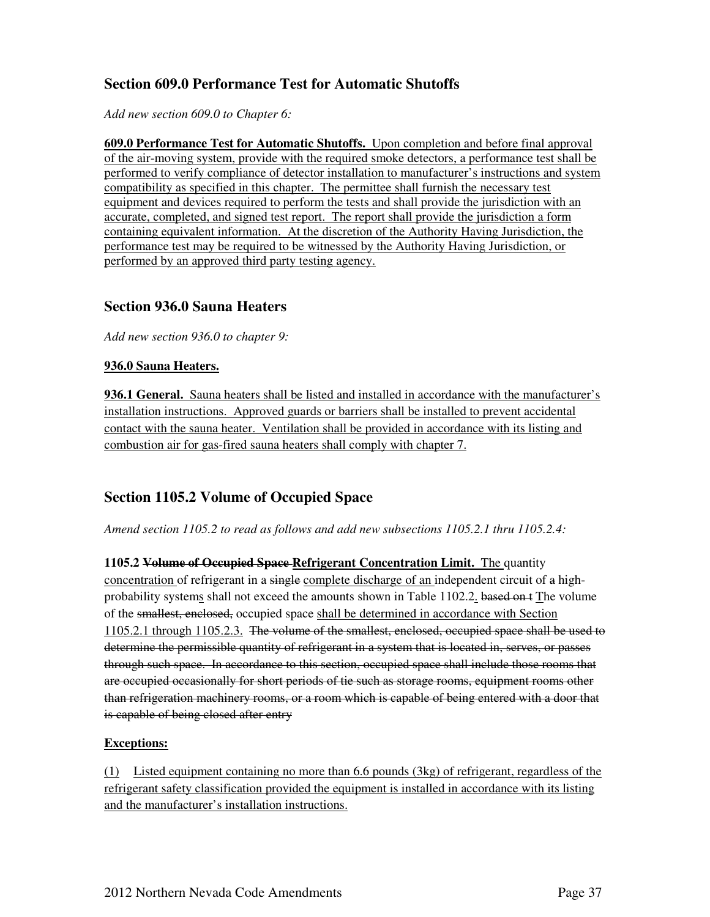### **Section 609.0 Performance Test for Automatic Shutoffs**

*Add new section 609.0 to Chapter 6:* 

**609.0 Performance Test for Automatic Shutoffs.** Upon completion and before final approval of the air-moving system, provide with the required smoke detectors, a performance test shall be performed to verify compliance of detector installation to manufacturer's instructions and system compatibility as specified in this chapter. The permittee shall furnish the necessary test equipment and devices required to perform the tests and shall provide the jurisdiction with an accurate, completed, and signed test report. The report shall provide the jurisdiction a form containing equivalent information. At the discretion of the Authority Having Jurisdiction, the performance test may be required to be witnessed by the Authority Having Jurisdiction, or performed by an approved third party testing agency.

#### **Section 936.0 Sauna Heaters**

*Add new section 936.0 to chapter 9:* 

#### **936.0 Sauna Heaters.**

**936.1 General.** Sauna heaters shall be listed and installed in accordance with the manufacturer's installation instructions. Approved guards or barriers shall be installed to prevent accidental contact with the sauna heater. Ventilation shall be provided in accordance with its listing and combustion air for gas-fired sauna heaters shall comply with chapter 7.

#### **Section 1105.2 Volume of Occupied Space**

*Amend section 1105.2 to read as follows and add new subsections 1105.2.1 thru 1105.2.4:* 

**1105.2 Volume of Occupied Space Refrigerant Concentration Limit.** The quantity concentration of refrigerant in a single complete discharge of an independent circuit of a highprobability systems shall not exceed the amounts shown in Table 1102.2. based on t The volume of the smallest, enclosed, occupied space shall be determined in accordance with Section 1105.2.1 through 1105.2.3. The volume of the smallest, enclosed, occupied space shall be used to determine the permissible quantity of refrigerant in a system that is located in, serves, or passes through such space. In accordance to this section, occupied space shall include those rooms that are occupied occasionally for short periods of tie such as storage rooms, equipment rooms other than refrigeration machinery rooms, or a room which is capable of being entered with a door that is capable of being closed after entry

#### **Exceptions:**

(1) Listed equipment containing no more than 6.6 pounds (3kg) of refrigerant, regardless of the refrigerant safety classification provided the equipment is installed in accordance with its listing and the manufacturer's installation instructions.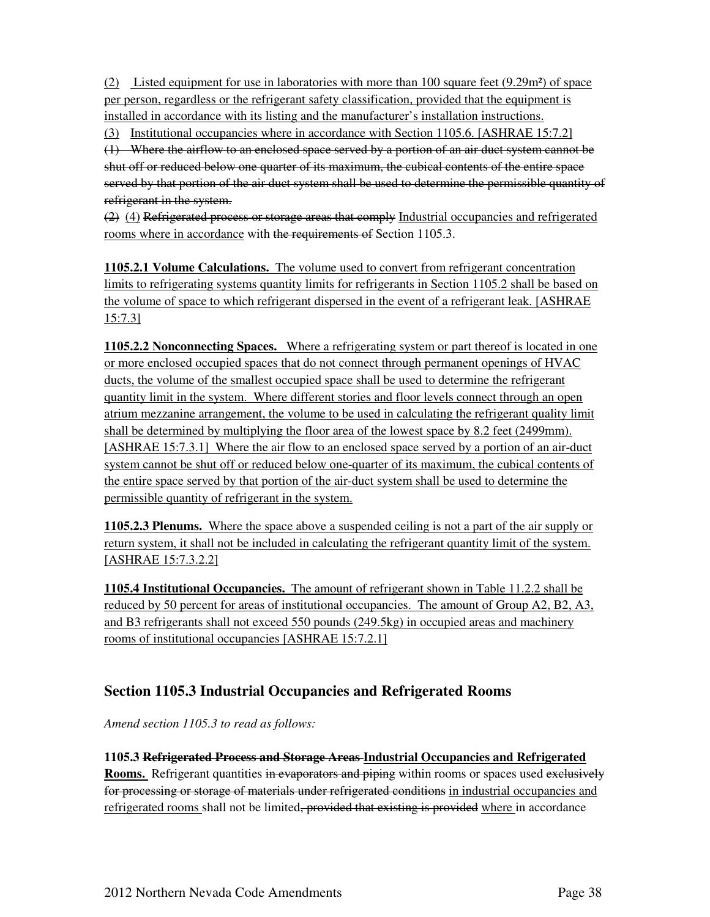(2) Listed equipment for use in laboratories with more than 100 square feet (9.29m²) of space per person, regardless or the refrigerant safety classification, provided that the equipment is installed in accordance with its listing and the manufacturer's installation instructions.

(3) Institutional occupancies where in accordance with Section 1105.6. [ASHRAE 15:7.2]

(1) Where the airflow to an enclosed space served by a portion of an air duct system cannot be shut off or reduced below one quarter of its maximum, the cubical contents of the entire space served by that portion of the air duct system shall be used to determine the permissible quantity of refrigerant in the system.

 $(2)$  (4) Refrigerated process or storage areas that comply Industrial occupancies and refrigerated rooms where in accordance with the requirements of Section 1105.3.

**1105.2.1 Volume Calculations.** The volume used to convert from refrigerant concentration limits to refrigerating systems quantity limits for refrigerants in Section 1105.2 shall be based on the volume of space to which refrigerant dispersed in the event of a refrigerant leak. [ASHRAE 15:7.3]

**1105.2.2 Nonconnecting Spaces.** Where a refrigerating system or part thereof is located in one or more enclosed occupied spaces that do not connect through permanent openings of HVAC ducts, the volume of the smallest occupied space shall be used to determine the refrigerant quantity limit in the system. Where different stories and floor levels connect through an open atrium mezzanine arrangement, the volume to be used in calculating the refrigerant quality limit shall be determined by multiplying the floor area of the lowest space by 8.2 feet (2499mm). [ASHRAE 15:7.3.1] Where the air flow to an enclosed space served by a portion of an air-duct system cannot be shut off or reduced below one-quarter of its maximum, the cubical contents of the entire space served by that portion of the air-duct system shall be used to determine the permissible quantity of refrigerant in the system.

**1105.2.3 Plenums.** Where the space above a suspended ceiling is not a part of the air supply or return system, it shall not be included in calculating the refrigerant quantity limit of the system. [ASHRAE 15:7.3.2.2]

**1105.4 Institutional Occupancies.** The amount of refrigerant shown in Table 11.2.2 shall be reduced by 50 percent for areas of institutional occupancies. The amount of Group A2, B2, A3, and B3 refrigerants shall not exceed 550 pounds (249.5kg) in occupied areas and machinery rooms of institutional occupancies [ASHRAE 15:7.2.1]

### **Section 1105.3 Industrial Occupancies and Refrigerated Rooms**

*Amend section 1105.3 to read as follows:* 

**1105.3 Refrigerated Process and Storage Areas Industrial Occupancies and Refrigerated Rooms.** Refrigerant quantities in evaporators and piping within rooms or spaces used exclusively for processing or storage of materials under refrigerated conditions in industrial occupancies and refrigerated rooms shall not be limited<del>, provided that existing is provided</del> where in accordance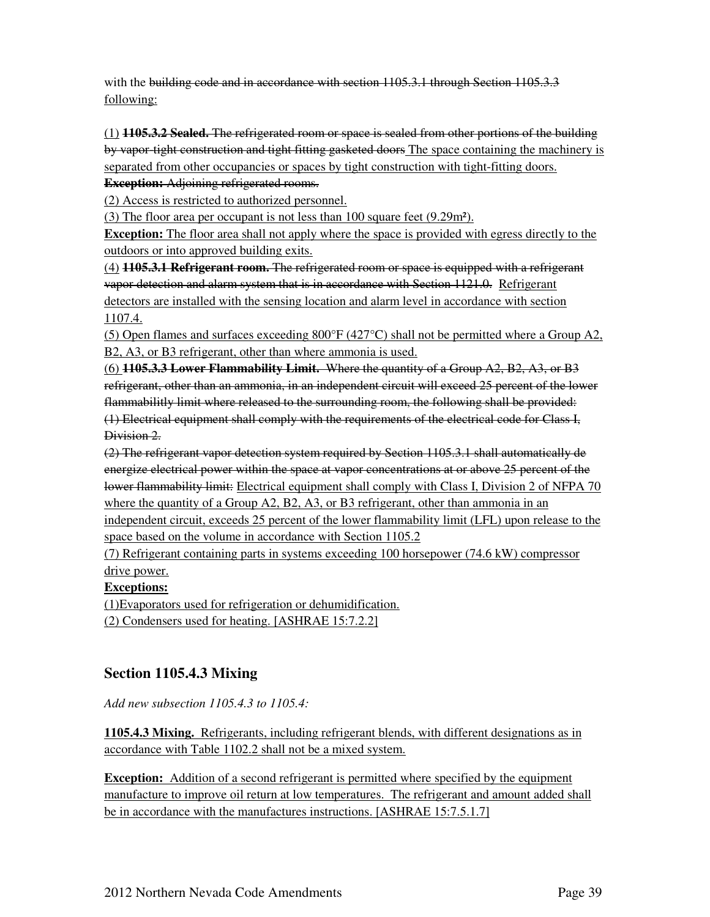with the building code and in accordance with section 1105.3.1 through Section 1105.3.3 following:

(1) **1105.3.2 Sealed.** The refrigerated room or space is sealed from other portions of the building by vapor-tight construction and tight fitting gasketed doors The space containing the machinery is separated from other occupancies or spaces by tight construction with tight-fitting doors.

**Exception:** Adjoining refrigerated rooms.

(2) Access is restricted to authorized personnel.

(3) The floor area per occupant is not less than 100 square feet (9.29m²).

**Exception:** The floor area shall not apply where the space is provided with egress directly to the outdoors or into approved building exits.

(4) **1105.3.1 Refrigerant room.** The refrigerated room or space is equipped with a refrigerant vapor detection and alarm system that is in accordance with Section 1121.0. Refrigerant detectors are installed with the sensing location and alarm level in accordance with section 1107.4.

(5) Open flames and surfaces exceeding  $800^{\circ}F(427^{\circ}C)$  shall not be permitted where a Group A2, B2, A3, or B3 refrigerant, other than where ammonia is used.

(6) **1105.3.3 Lower Flammability Limit.** Where the quantity of a Group A2, B2, A3, or B3 refrigerant, other than an ammonia, in an independent circuit will exceed 25 percent of the lower flammabilitly limit where released to the surrounding room, the following shall be provided: (1) Electrical equipment shall comply with the requirements of the electrical code for Class I, Division 2.

(2) The refrigerant vapor detection system required by Section 1105.3.1 shall automatically de energize electrical power within the space at vapor concentrations at or above 25 percent of the lower flammability limit: Electrical equipment shall comply with Class I, Division 2 of NFPA 70 where the quantity of a Group A2, B2, A3, or B3 refrigerant, other than ammonia in an independent circuit, exceeds 25 percent of the lower flammability limit (LFL) upon release to the space based on the volume in accordance with Section 1105.2

(7) Refrigerant containing parts in systems exceeding 100 horsepower (74.6 kW) compressor drive power.

**Exceptions:**

(1)Evaporators used for refrigeration or dehumidification.

(2) Condensers used for heating. [ASHRAE 15:7.2.2]

### **Section 1105.4.3 Mixing**

*Add new subsection 1105.4.3 to 1105.4:* 

**1105.4.3 Mixing.** Refrigerants, including refrigerant blends, with different designations as in accordance with Table 1102.2 shall not be a mixed system.

**Exception:** Addition of a second refrigerant is permitted where specified by the equipment manufacture to improve oil return at low temperatures. The refrigerant and amount added shall be in accordance with the manufactures instructions. [ASHRAE 15:7.5.1.7]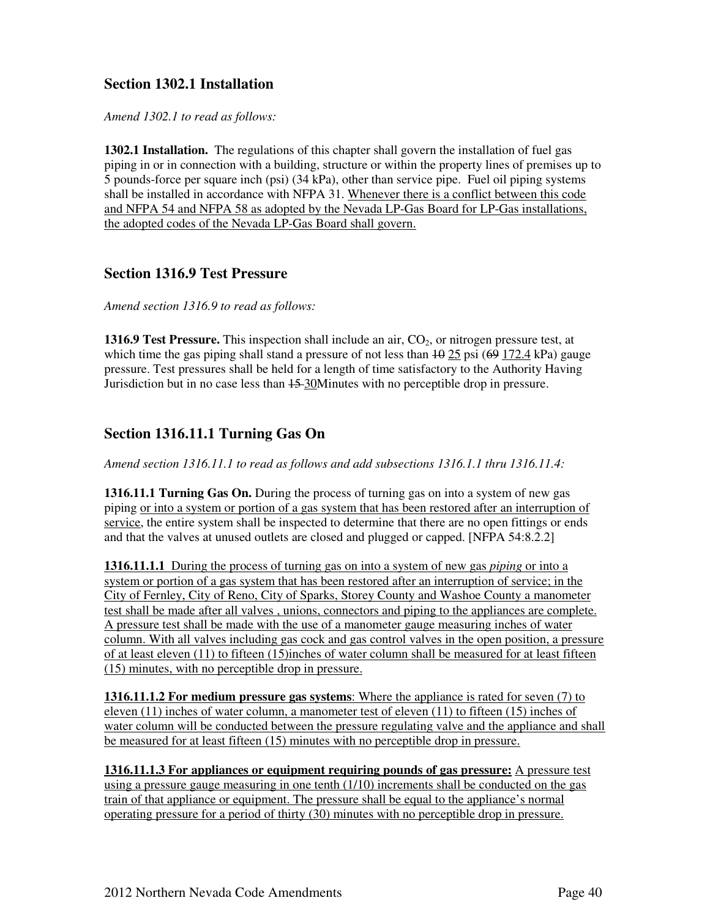#### **Section 1302.1 Installation**

*Amend 1302.1 to read as follows:* 

**1302.1 Installation.** The regulations of this chapter shall govern the installation of fuel gas piping in or in connection with a building, structure or within the property lines of premises up to 5 pounds-force per square inch (psi) (34 kPa), other than service pipe. Fuel oil piping systems shall be installed in accordance with NFPA 31. Whenever there is a conflict between this code and NFPA 54 and NFPA 58 as adopted by the Nevada LP-Gas Board for LP-Gas installations, the adopted codes of the Nevada LP-Gas Board shall govern.

#### **Section 1316.9 Test Pressure**

*Amend section 1316.9 to read as follows:* 

**1316.9 Test Pressure.** This inspection shall include an air, CO<sub>2</sub>, or nitrogen pressure test, at which time the gas piping shall stand a pressure of not less than  $\frac{10}{25}$  psi ( $\frac{69}{172.4}$  kPa) gauge pressure. Test pressures shall be held for a length of time satisfactory to the Authority Having Jurisdiction but in no case less than 15 30Minutes with no perceptible drop in pressure.

### **Section 1316.11.1 Turning Gas On**

*Amend section 1316.11.1 to read as follows and add subsections 1316.1.1 thru 1316.11.4:* 

**1316.11.1 Turning Gas On.** During the process of turning gas on into a system of new gas piping or into a system or portion of a gas system that has been restored after an interruption of service, the entire system shall be inspected to determine that there are no open fittings or ends and that the valves at unused outlets are closed and plugged or capped. [NFPA 54:8.2.2]

**1316.11.1.1** During the process of turning gas on into a system of new gas *piping* or into a system or portion of a gas system that has been restored after an interruption of service; in the City of Fernley, City of Reno, City of Sparks, Storey County and Washoe County a manometer test shall be made after all valves , unions, connectors and piping to the appliances are complete. A pressure test shall be made with the use of a manometer gauge measuring inches of water column. With all valves including gas cock and gas control valves in the open position, a pressure of at least eleven (11) to fifteen (15)inches of water column shall be measured for at least fifteen (15) minutes, with no perceptible drop in pressure.

**1316.11.1.2 For medium pressure gas systems**: Where the appliance is rated for seven (7) to eleven (11) inches of water column, a manometer test of eleven (11) to fifteen (15) inches of water column will be conducted between the pressure regulating valve and the appliance and shall be measured for at least fifteen (15) minutes with no perceptible drop in pressure.

**1316.11.1.3 For appliances or equipment requiring pounds of gas pressure:** A pressure test using a pressure gauge measuring in one tenth (1/10) increments shall be conducted on the gas train of that appliance or equipment. The pressure shall be equal to the appliance's normal operating pressure for a period of thirty (30) minutes with no perceptible drop in pressure.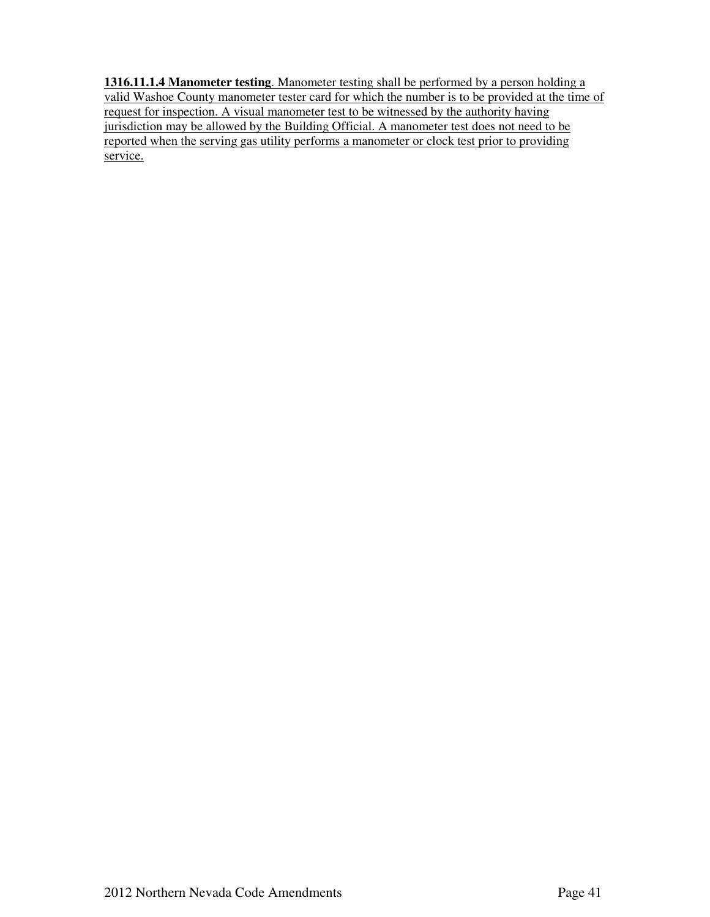**1316.11.1.4 Manometer testing**. Manometer testing shall be performed by a person holding a valid Washoe County manometer tester card for which the number is to be provided at the time of request for inspection. A visual manometer test to be witnessed by the authority having jurisdiction may be allowed by the Building Official. A manometer test does not need to be reported when the serving gas utility performs a manometer or clock test prior to providing service.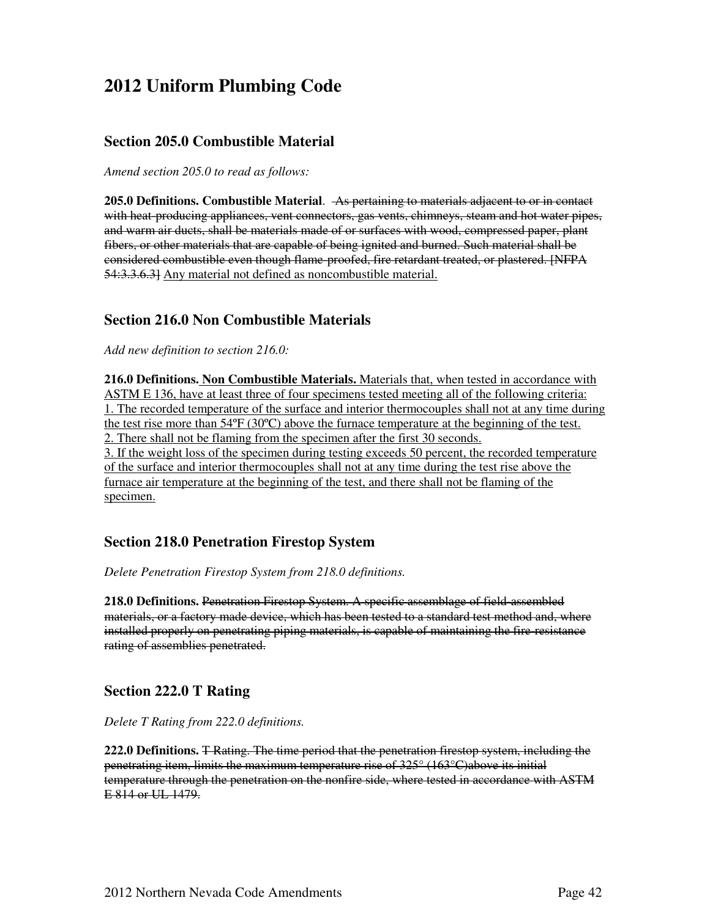## **2012 Uniform Plumbing Code**

#### **Section 205.0 Combustible Material**

*Amend section 205.0 to read as follows:* 

**205.0 Definitions. Combustible Material**. As pertaining to materials adjacent to or in contact with heat-producing appliances, vent connectors, gas vents, chimneys, steam and hot water pipes, and warm air ducts, shall be materials made of or surfaces with wood, compressed paper, plant fibers, or other materials that are capable of being ignited and burned. Such material shall be considered combustible even though flame-proofed, fire retardant treated, or plastered. [NFPA 54:3.3.6.3] Any material not defined as noncombustible material.

#### **Section 216.0 Non Combustible Materials**

*Add new definition to section 216.0:* 

**216.0 Definitions. Non Combustible Materials.** Materials that, when tested in accordance with ASTM E 136, have at least three of four specimens tested meeting all of the following criteria: 1. The recorded temperature of the surface and interior thermocouples shall not at any time during the test rise more than  $54^{\circ}F (30^{\circ}C)$  above the furnace temperature at the beginning of the test. 2. There shall not be flaming from the specimen after the first 30 seconds.

3. If the weight loss of the specimen during testing exceeds 50 percent, the recorded temperature of the surface and interior thermocouples shall not at any time during the test rise above the furnace air temperature at the beginning of the test, and there shall not be flaming of the specimen.

#### **Section 218.0 Penetration Firestop System**

*Delete Penetration Firestop System from 218.0 definitions.* 

**218.0 Definitions.** Penetration Firestop System. A specific assemblage of field-assembled materials, or a factory made device, which has been tested to a standard test method and, where installed properly on penetrating piping materials, is capable of maintaining the fire-resistance rating of assemblies penetrated.

#### **Section 222.0 T Rating**

*Delete T Rating from 222.0 definitions.* 

**222.0 Definitions.** T Rating. The time period that the penetration firestop system, including the penetrating item, limits the maximum temperature rise of 325° (163°C)above its initial temperature through the penetration on the nonfire side, where tested in accordance with ASTM E 814 or UL 1479.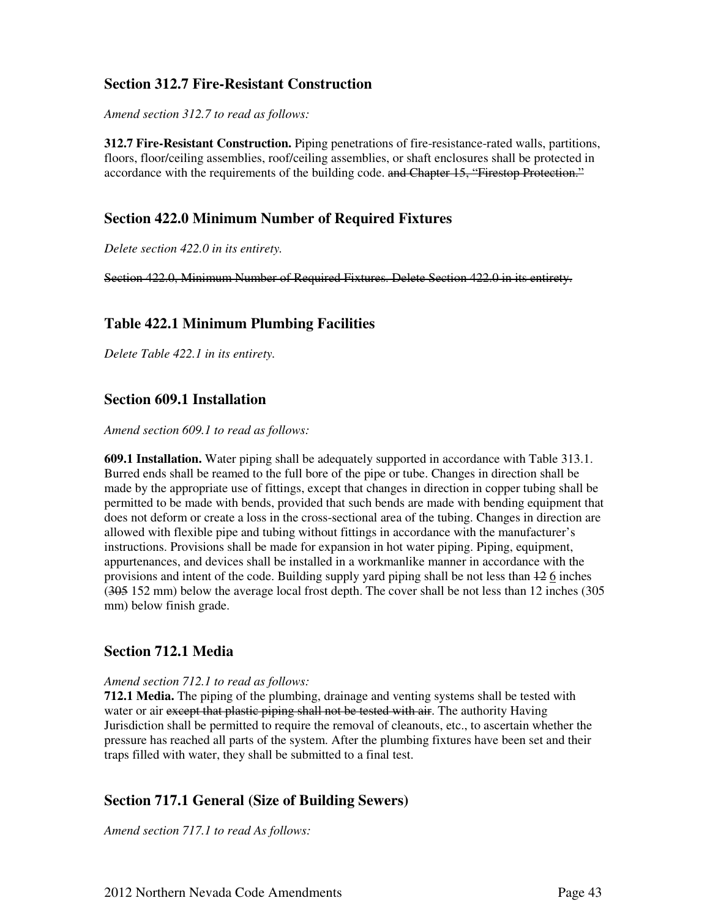#### **Section 312.7 Fire-Resistant Construction**

*Amend section 312.7 to read as follows:* 

**312.7 Fire-Resistant Construction.** Piping penetrations of fire-resistance-rated walls, partitions, floors, floor/ceiling assemblies, roof/ceiling assemblies, or shaft enclosures shall be protected in accordance with the requirements of the building code. and Chapter 15, "Firestop Protection."

#### **Section 422.0 Minimum Number of Required Fixtures**

*Delete section 422.0 in its entirety.* 

Section 422.0, Minimum Number of Required Fixtures. Delete Section 422.0 in its entirety.

#### **Table 422.1 Minimum Plumbing Facilities**

*Delete Table 422.1 in its entirety.* 

#### **Section 609.1 Installation**

*Amend section 609.1 to read as follows:* 

**609.1 Installation.** Water piping shall be adequately supported in accordance with Table 313.1. Burred ends shall be reamed to the full bore of the pipe or tube. Changes in direction shall be made by the appropriate use of fittings, except that changes in direction in copper tubing shall be permitted to be made with bends, provided that such bends are made with bending equipment that does not deform or create a loss in the cross-sectional area of the tubing. Changes in direction are allowed with flexible pipe and tubing without fittings in accordance with the manufacturer's instructions. Provisions shall be made for expansion in hot water piping. Piping, equipment, appurtenances, and devices shall be installed in a workmanlike manner in accordance with the provisions and intent of the code. Building supply yard piping shall be not less than 12 6 inches (305 152 mm) below the average local frost depth. The cover shall be not less than 12 inches (305 mm) below finish grade.

#### **Section 712.1 Media**

#### *Amend section 712.1 to read as follows:*

**712.1 Media.** The piping of the plumbing, drainage and venting systems shall be tested with water or air except that plastic piping shall not be tested with air. The authority Having Jurisdiction shall be permitted to require the removal of cleanouts, etc., to ascertain whether the pressure has reached all parts of the system. After the plumbing fixtures have been set and their traps filled with water, they shall be submitted to a final test.

#### **Section 717.1 General (Size of Building Sewers)**

*Amend section 717.1 to read As follows:*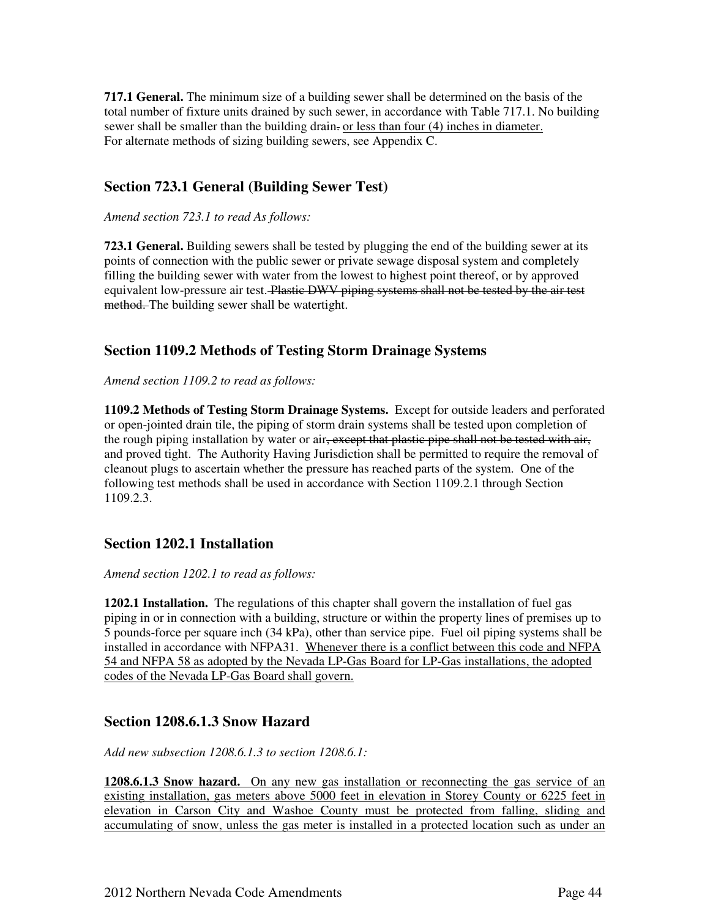**717.1 General.** The minimum size of a building sewer shall be determined on the basis of the total number of fixture units drained by such sewer, in accordance with Table 717.1. No building sewer shall be smaller than the building drain- or less than four (4) inches in diameter. For alternate methods of sizing building sewers, see Appendix C.

#### **Section 723.1 General (Building Sewer Test)**

*Amend section 723.1 to read As follows:* 

**723.1 General.** Building sewers shall be tested by plugging the end of the building sewer at its points of connection with the public sewer or private sewage disposal system and completely filling the building sewer with water from the lowest to highest point thereof, or by approved equivalent low-pressure air test. Plastic DWV piping systems shall not be tested by the air test method. The building sewer shall be watertight.

#### **Section 1109.2 Methods of Testing Storm Drainage Systems**

*Amend section 1109.2 to read as follows:* 

**1109.2 Methods of Testing Storm Drainage Systems.** Except for outside leaders and perforated or open-jointed drain tile, the piping of storm drain systems shall be tested upon completion of the rough piping installation by water or air, except that plastic pipe shall not be tested with air, and proved tight. The Authority Having Jurisdiction shall be permitted to require the removal of cleanout plugs to ascertain whether the pressure has reached parts of the system. One of the following test methods shall be used in accordance with Section 1109.2.1 through Section 1109.2.3.

#### **Section 1202.1 Installation**

*Amend section 1202.1 to read as follows:* 

**1202.1 Installation.** The regulations of this chapter shall govern the installation of fuel gas piping in or in connection with a building, structure or within the property lines of premises up to 5 pounds-force per square inch (34 kPa), other than service pipe. Fuel oil piping systems shall be installed in accordance with NFPA31. Whenever there is a conflict between this code and NFPA 54 and NFPA 58 as adopted by the Nevada LP-Gas Board for LP-Gas installations, the adopted codes of the Nevada LP-Gas Board shall govern.

#### **Section 1208.6.1.3 Snow Hazard**

*Add new subsection 1208.6.1.3 to section 1208.6.1:* 

**1208.6.1.3 Snow hazard.** On any new gas installation or reconnecting the gas service of an existing installation, gas meters above 5000 feet in elevation in Storey County or 6225 feet in elevation in Carson City and Washoe County must be protected from falling, sliding and accumulating of snow, unless the gas meter is installed in a protected location such as under an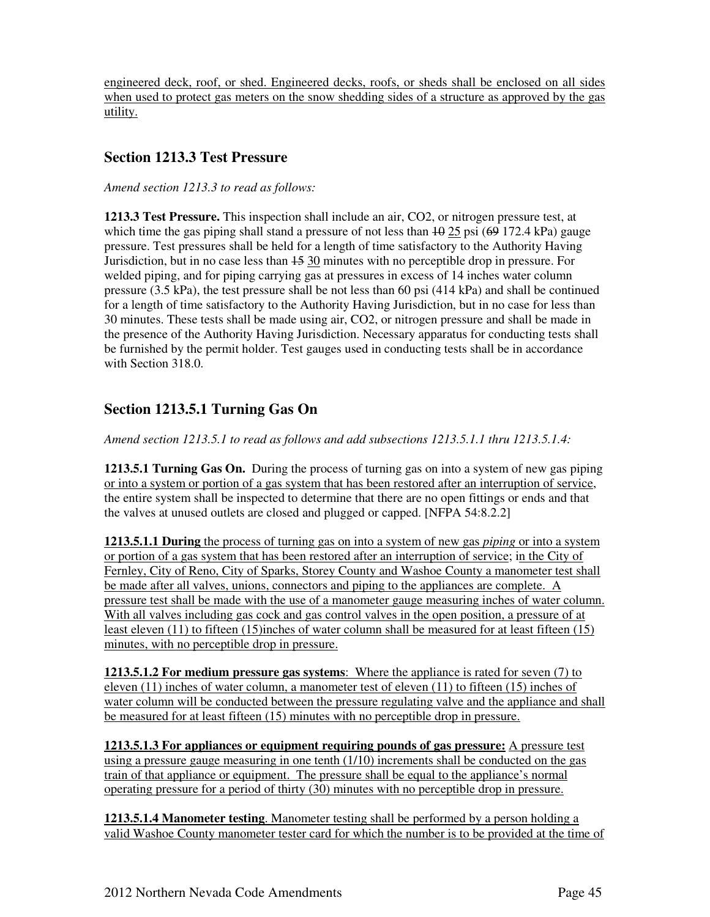engineered deck, roof, or shed. Engineered decks, roofs, or sheds shall be enclosed on all sides when used to protect gas meters on the snow shedding sides of a structure as approved by the gas utility.

#### **Section 1213.3 Test Pressure**

*Amend section 1213.3 to read as follows:* 

**1213.3 Test Pressure.** This inspection shall include an air, CO2, or nitrogen pressure test, at which time the gas piping shall stand a pressure of not less than  $\overline{49}$  25 psi ( $\overline{69}$  172.4 kPa) gauge pressure. Test pressures shall be held for a length of time satisfactory to the Authority Having Jurisdiction, but in no case less than  $\frac{1530}{15}$  minutes with no perceptible drop in pressure. For welded piping, and for piping carrying gas at pressures in excess of 14 inches water column pressure (3.5 kPa), the test pressure shall be not less than 60 psi (414 kPa) and shall be continued for a length of time satisfactory to the Authority Having Jurisdiction, but in no case for less than 30 minutes. These tests shall be made using air, CO2, or nitrogen pressure and shall be made in the presence of the Authority Having Jurisdiction. Necessary apparatus for conducting tests shall be furnished by the permit holder. Test gauges used in conducting tests shall be in accordance with Section 318.0.

## **Section 1213.5.1 Turning Gas On**

*Amend section 1213.5.1 to read as follows and add subsections 1213.5.1.1 thru 1213.5.1.4:* 

**1213.5.1 Turning Gas On.** During the process of turning gas on into a system of new gas piping or into a system or portion of a gas system that has been restored after an interruption of service, the entire system shall be inspected to determine that there are no open fittings or ends and that the valves at unused outlets are closed and plugged or capped. [NFPA 54:8.2.2]

**1213.5.1.1 During** the process of turning gas on into a system of new gas *piping* or into a system or portion of a gas system that has been restored after an interruption of service; in the City of Fernley, City of Reno, City of Sparks, Storey County and Washoe County a manometer test shall be made after all valves, unions, connectors and piping to the appliances are complete. A pressure test shall be made with the use of a manometer gauge measuring inches of water column. With all valves including gas cock and gas control valves in the open position, a pressure of at least eleven (11) to fifteen (15)inches of water column shall be measured for at least fifteen (15) minutes, with no perceptible drop in pressure.

**1213.5.1.2 For medium pressure gas systems**: Where the appliance is rated for seven (7) to eleven (11) inches of water column, a manometer test of eleven (11) to fifteen (15) inches of water column will be conducted between the pressure regulating valve and the appliance and shall be measured for at least fifteen (15) minutes with no perceptible drop in pressure.

**1213.5.1.3 For appliances or equipment requiring pounds of gas pressure:** A pressure test using a pressure gauge measuring in one tenth (1/10) increments shall be conducted on the gas train of that appliance or equipment. The pressure shall be equal to the appliance's normal operating pressure for a period of thirty (30) minutes with no perceptible drop in pressure.

**1213.5.1.4 Manometer testing**. Manometer testing shall be performed by a person holding a valid Washoe County manometer tester card for which the number is to be provided at the time of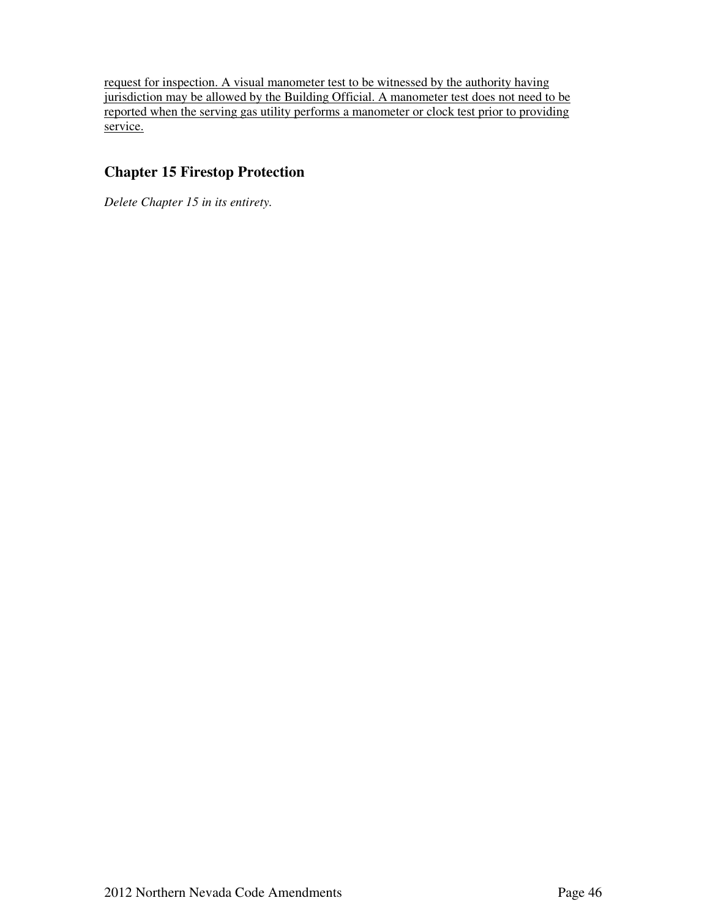request for inspection. A visual manometer test to be witnessed by the authority having jurisdiction may be allowed by the Building Official. A manometer test does not need to be reported when the serving gas utility performs a manometer or clock test prior to providing service.

#### **Chapter 15 Firestop Protection**

*Delete Chapter 15 in its entirety.*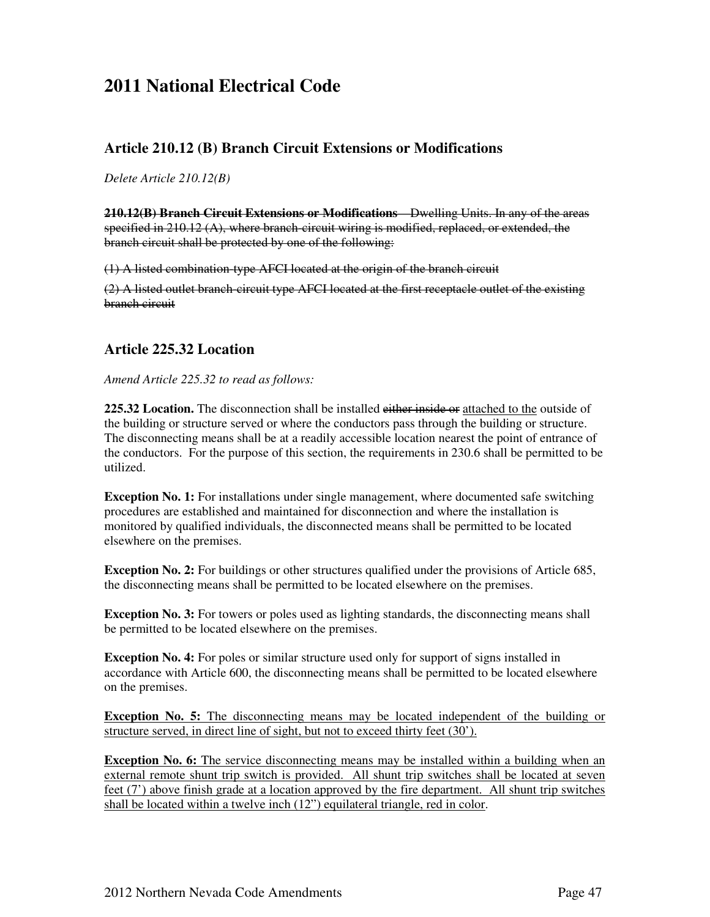## **2011 National Electrical Code**

#### **Article 210.12 (B) Branch Circuit Extensions or Modifications**

*Delete Article 210.12(B)* 

**210.12(B) Branch Circuit Extensions or Modifications**—Dwelling Units. In any of the areas specified in 210.12 (A), where branch-circuit wiring is modified, replaced, or extended, the branch circuit shall be protected by one of the following:

(1) A listed combination-type AFCI located at the origin of the branch circuit

 $(2)$  A listed outlet branch-circuit type AFCI located at the first receptacle outlet of the existing branch circuit

#### **Article 225.32 Location**

*Amend Article 225.32 to read as follows:* 

**225.32 Location.** The disconnection shall be installed either inside or attached to the outside of the building or structure served or where the conductors pass through the building or structure. The disconnecting means shall be at a readily accessible location nearest the point of entrance of the conductors. For the purpose of this section, the requirements in 230.6 shall be permitted to be utilized.

**Exception No. 1:** For installations under single management, where documented safe switching procedures are established and maintained for disconnection and where the installation is monitored by qualified individuals, the disconnected means shall be permitted to be located elsewhere on the premises.

**Exception No. 2:** For buildings or other structures qualified under the provisions of Article 685, the disconnecting means shall be permitted to be located elsewhere on the premises.

**Exception No. 3:** For towers or poles used as lighting standards, the disconnecting means shall be permitted to be located elsewhere on the premises.

**Exception No. 4:** For poles or similar structure used only for support of signs installed in accordance with Article 600, the disconnecting means shall be permitted to be located elsewhere on the premises.

**Exception No. 5:** The disconnecting means may be located independent of the building or structure served, in direct line of sight, but not to exceed thirty feet (30').

**Exception No. 6:** The service disconnecting means may be installed within a building when an external remote shunt trip switch is provided. All shunt trip switches shall be located at seven feet (7') above finish grade at a location approved by the fire department. All shunt trip switches shall be located within a twelve inch (12") equilateral triangle, red in color.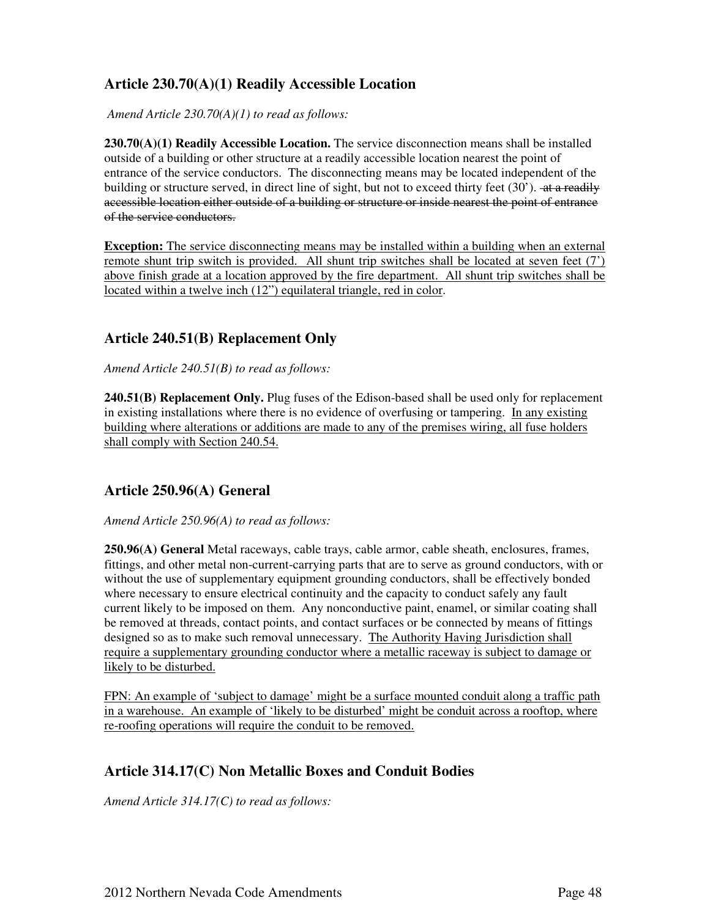### **Article 230.70(A)(1) Readily Accessible Location**

*Amend Article 230.70(A)(1) to read as follows:* 

**230.70(A)(1) Readily Accessible Location.** The service disconnection means shall be installed outside of a building or other structure at a readily accessible location nearest the point of entrance of the service conductors. The disconnecting means may be located independent of the building or structure served, in direct line of sight, but not to exceed thirty feet (30'). <del>at a readily</del> accessible location either outside of a building or structure or inside nearest the point of entrance of the service conductors.

**Exception:** The service disconnecting means may be installed within a building when an external remote shunt trip switch is provided. All shunt trip switches shall be located at seven feet (7') above finish grade at a location approved by the fire department. All shunt trip switches shall be located within a twelve inch (12") equilateral triangle, red in color.

#### **Article 240.51(B) Replacement Only**

*Amend Article 240.51(B) to read as follows:* 

**240.51(B) Replacement Only.** Plug fuses of the Edison-based shall be used only for replacement in existing installations where there is no evidence of overfusing or tampering. In any existing building where alterations or additions are made to any of the premises wiring, all fuse holders shall comply with Section 240.54.

#### **Article 250.96(A) General**

#### *Amend Article 250.96(A) to read as follows:*

**250.96(A) General** Metal raceways, cable trays, cable armor, cable sheath, enclosures, frames, fittings, and other metal non-current-carrying parts that are to serve as ground conductors, with or without the use of supplementary equipment grounding conductors, shall be effectively bonded where necessary to ensure electrical continuity and the capacity to conduct safely any fault current likely to be imposed on them. Any nonconductive paint, enamel, or similar coating shall be removed at threads, contact points, and contact surfaces or be connected by means of fittings designed so as to make such removal unnecessary. The Authority Having Jurisdiction shall require a supplementary grounding conductor where a metallic raceway is subject to damage or likely to be disturbed.

FPN: An example of 'subject to damage' might be a surface mounted conduit along a traffic path in a warehouse. An example of 'likely to be disturbed' might be conduit across a rooftop, where re-roofing operations will require the conduit to be removed.

#### **Article 314.17(C) Non Metallic Boxes and Conduit Bodies**

*Amend Article 314.17(C) to read as follows:*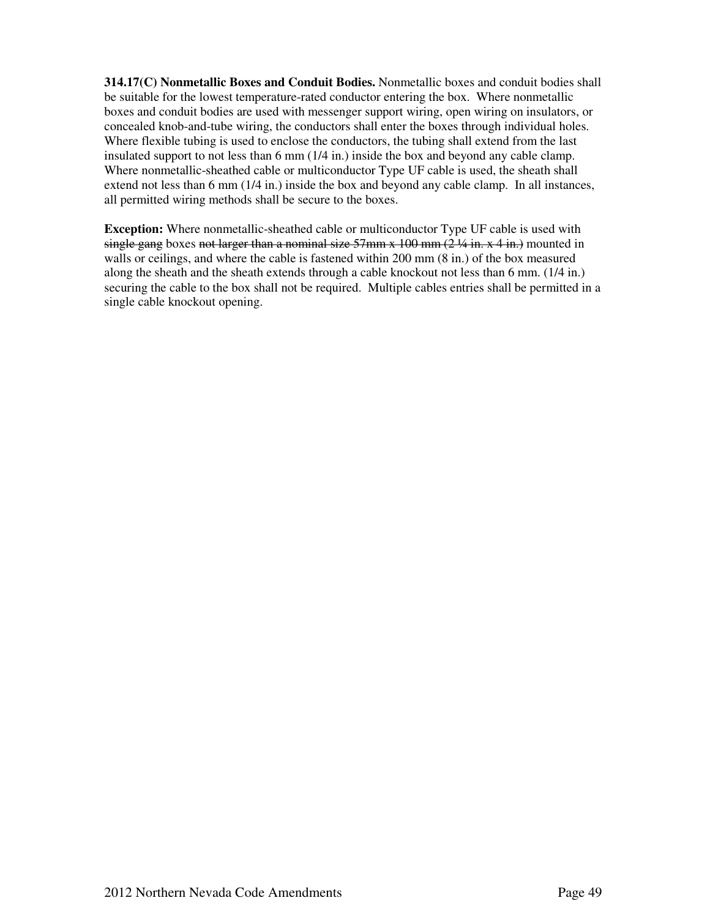**314.17(C) Nonmetallic Boxes and Conduit Bodies.** Nonmetallic boxes and conduit bodies shall be suitable for the lowest temperature-rated conductor entering the box. Where nonmetallic boxes and conduit bodies are used with messenger support wiring, open wiring on insulators, or concealed knob-and-tube wiring, the conductors shall enter the boxes through individual holes. Where flexible tubing is used to enclose the conductors, the tubing shall extend from the last insulated support to not less than 6 mm (1/4 in.) inside the box and beyond any cable clamp. Where nonmetallic-sheathed cable or multiconductor Type UF cable is used, the sheath shall extend not less than 6 mm (1/4 in.) inside the box and beyond any cable clamp. In all instances, all permitted wiring methods shall be secure to the boxes.

**Exception:** Where nonmetallic-sheathed cable or multiconductor Type UF cable is used with single gang boxes not larger than a nominal size  $57 \text{mm} \times 100 \text{mm}$  ( $2\frac{1}{4}$  in.  $x$  4 in.) mounted in walls or ceilings, and where the cable is fastened within 200 mm (8 in.) of the box measured along the sheath and the sheath extends through a cable knockout not less than 6 mm. (1/4 in.) securing the cable to the box shall not be required. Multiple cables entries shall be permitted in a single cable knockout opening.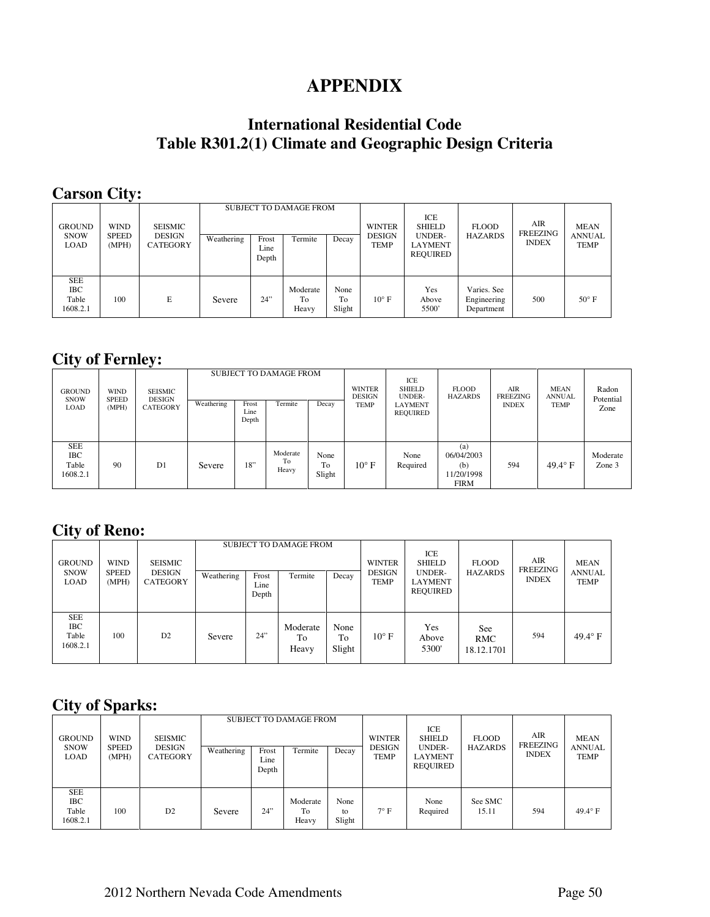## **APPENDIX**

## **International Residential Code Table R301.2(1) Climate and Geographic Design Criteria**

## **Carson City:**

| <b>GROUND</b><br><b>SNOW</b><br><b>LOAD</b>   | <b>WIND</b><br><b>SPEED</b><br>(MPH) | <b>SEISMIC</b><br><b>DESIGN</b><br><b>CATEGORY</b> | Weathering | Frost<br>Line<br>Depth | <b>SUBJECT TO DAMAGE FROM</b><br>Termite | Decay                | <b>WINTER</b><br><b>DESIGN</b><br><b>TEMP</b> | ICE<br><b>SHIELD</b><br><b>UNDER-</b><br><b>LAYMENT</b><br>REQUIRED | <b>FLOOD</b><br><b>HAZARDS</b>           | <b>AIR</b><br>FREEZING<br><b>INDEX</b> | <b>MEAN</b><br><b>ANNUAL</b><br><b>TEMP</b> |
|-----------------------------------------------|--------------------------------------|----------------------------------------------------|------------|------------------------|------------------------------------------|----------------------|-----------------------------------------------|---------------------------------------------------------------------|------------------------------------------|----------------------------------------|---------------------------------------------|
| <b>SEE</b><br><b>IBC</b><br>Table<br>1608.2.1 | 100                                  | E                                                  | Severe     | 24"                    | Moderate<br>To<br>Heavy                  | None<br>To<br>Slight | $10^{\circ}$ F                                | Yes<br>Above<br>5500                                                | Varies. See<br>Engineering<br>Department | 500                                    | $50^{\circ}$ F                              |

## **City of Fernley:**

| <b>GROUND</b><br><b>SNOW</b><br><b>LOAD</b>   | <b>WIND</b><br><b>SPEED</b><br>(MPH) | <b>SEISMIC</b><br><b>DESIGN</b><br><b>CATEGORY</b> | Weathering | Frost<br>Line<br>Depth | <b>SUBJECT TO DAMAGE FROM</b><br>Termite | Decay                | <b>WINTER</b><br><b>DESIGN</b><br><b>TEMP</b> | ICE<br><b>SHIELD</b><br><b>UNDER-</b><br><b>LAYMENT</b><br>REQUIRED | <b>FLOOD</b><br><b>HAZARDS</b>                        | AIR<br><b>FREEZING</b><br><b>INDEX</b> | <b>MEAN</b><br><b>ANNUAL</b><br><b>TEMP</b> | Radon<br>Potential<br>Zone |
|-----------------------------------------------|--------------------------------------|----------------------------------------------------|------------|------------------------|------------------------------------------|----------------------|-----------------------------------------------|---------------------------------------------------------------------|-------------------------------------------------------|----------------------------------------|---------------------------------------------|----------------------------|
| <b>SEE</b><br><b>IBC</b><br>Table<br>1608.2.1 | 90                                   | D1                                                 | Severe     | 18"                    | Moderate<br>To<br>Heavy                  | None<br>To<br>Slight | $10^{\circ}$ F                                | None<br>Required                                                    | (a)<br>06/04/2003<br>(b)<br>11/20/1998<br><b>FIRM</b> | 594                                    | $49.4^\circ$ F                              | Moderate<br>Zone 3         |

## **City of Reno:**

| <b>GROUND</b><br><b>SNOW</b><br><b>LOAD</b>   | <b>WIND</b><br><b>SPEED</b> | <b>SEISMIC</b><br><b>DESIGN</b> | Weathering | Frost         | <b>SUBJECT TO DAMAGE FROM</b><br>Termite | Decay                | <b>WINTER</b><br><b>DESIGN</b> | ICE<br><b>SHIELD</b><br>UNDER- | <b>FLOOD</b><br><b>HAZARDS</b>  | AIR<br>FREEZING | <b>MEAN</b><br><b>ANNUAL</b> |
|-----------------------------------------------|-----------------------------|---------------------------------|------------|---------------|------------------------------------------|----------------------|--------------------------------|--------------------------------|---------------------------------|-----------------|------------------------------|
|                                               | (MPH)                       | CATEGORY                        |            | Line<br>Depth |                                          |                      | <b>TEMP</b>                    | <b>LAYMENT</b><br>REOUIRED     |                                 | <b>INDEX</b>    | <b>TEMP</b>                  |
| <b>SEE</b><br><b>IBC</b><br>Table<br>1608.2.1 | 100                         | D <sub>2</sub>                  | Severe     | 24"           | Moderate<br>To<br>Heavy                  | None<br>To<br>Slight | $10^{\circ}$ F                 | Yes<br>Above<br>5300           | <b>See</b><br>RMC<br>18.12.1701 | 594             | $49.4^\circ$ F               |

## **City of Sparks:**

| <b>GROUND</b><br><b>SNOW</b><br><b>LOAD</b>   | <b>WIND</b>           | <b>SEISMIC</b><br><b>DESIGN</b><br><b>CATEGORY</b> |            |                        | <b>SUBJECT TO DAMAGE FROM</b> |                      | <b>WINTER</b>                | ICE<br><b>SHIELD</b><br>UNDER- | <b>FLOOD</b>     | <b>AIR</b><br>FREEZING | <b>MEAN</b><br><b>ANNUAL</b> |
|-----------------------------------------------|-----------------------|----------------------------------------------------|------------|------------------------|-------------------------------|----------------------|------------------------------|--------------------------------|------------------|------------------------|------------------------------|
|                                               | <b>SPEED</b><br>(MPH) |                                                    | Weathering | Frost<br>Line<br>Depth | Termite                       | Decay                | <b>DESIGN</b><br><b>TEMP</b> | LAYMENT<br>REQUIRED            | <b>HAZARDS</b>   | <b>INDEX</b>           | <b>TEMP</b>                  |
| <b>SEE</b><br><b>IBC</b><br>Table<br>1608.2.1 | 100                   | D2                                                 | Severe     | 24"                    | Moderate<br>To<br>Heavy       | None<br>to<br>Slight | $7^\circ$ F                  | None<br>Required               | See SMC<br>15.11 | 594                    | $49.4^\circ$ F               |